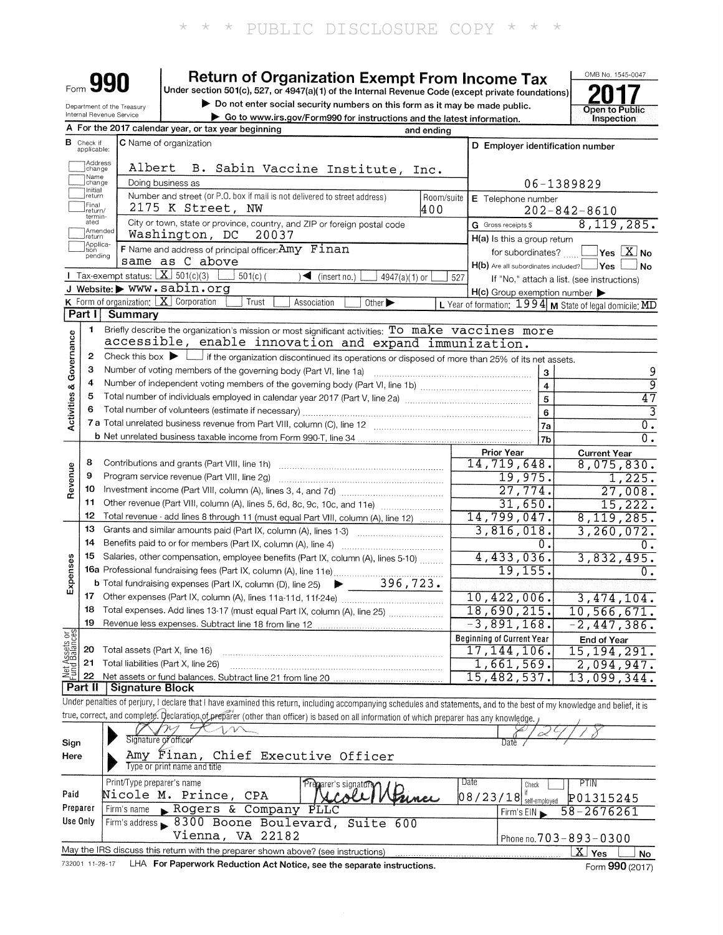|                         |                              |                                                        | <b>Return of Organization Exempt From Income Tax</b>                                                                                                                       |                   |                                                     | OMB No. 1545-0047                                                                     |
|-------------------------|------------------------------|--------------------------------------------------------|----------------------------------------------------------------------------------------------------------------------------------------------------------------------------|-------------------|-----------------------------------------------------|---------------------------------------------------------------------------------------|
|                         |                              |                                                        | Under section 501(c), 527, or 4947(a)(1) of the Internal Revenue Code (except private foundations)                                                                         |                   |                                                     |                                                                                       |
|                         |                              | Department of the Treasury<br>Internal Revenue Service | Do not enter social security numbers on this form as it may be made public.<br>Go to www.irs.gov/Form990 for instructions and the latest information.                      |                   |                                                     | Open to Public<br>Inspection                                                          |
|                         |                              |                                                        | A For the 2017 calendar year, or tax year beginning                                                                                                                        | and ending        |                                                     |                                                                                       |
| в                       | Check if<br>applicable:      |                                                        | <b>C</b> Name of organization                                                                                                                                              |                   | D Employer identification number                    |                                                                                       |
|                         | Address                      |                                                        |                                                                                                                                                                            |                   |                                                     |                                                                                       |
|                         | change<br>Name               | Albert                                                 | B. Sabin Vaccine Institute,                                                                                                                                                | Inc.              |                                                     |                                                                                       |
|                         | change<br>Initial<br> return |                                                        | Doing business as<br>Number and street (or P.O. box if mail is not delivered to street address)                                                                            |                   |                                                     | 06-1389829                                                                            |
|                         | Final<br>return/             |                                                        | 2175 K Street, NW                                                                                                                                                          | Room/suite<br>400 | E Telephone number                                  | $202 - 842 - 8610$                                                                    |
|                         | termin-<br>ated              |                                                        | City or town, state or province, country, and ZIP or foreign postal code                                                                                                   |                   | G Gross receipts \$                                 | 8,119,285.                                                                            |
|                         | Ireturn                      | Amended                                                | Washington, DC<br>20037                                                                                                                                                    |                   | H(a) Is this a group return                         |                                                                                       |
|                         | Applica-<br>tion<br>pending  |                                                        | F Name and address of principal officer: Amy Finan                                                                                                                         |                   | for subordinates?                                   | $\exists$ Yes $\Box X$ No                                                             |
|                         |                              |                                                        | same as C above                                                                                                                                                            |                   | $H(b)$ Are all subordinates included? $\Box$ Yes    | . No                                                                                  |
|                         |                              | <b>I</b> Tax-exempt status: $X \ 501(c)(3)$            | $501(c)$ (<br>∖◀<br>(insert no.)<br>$4947(a)(1)$ or<br>J Website: WWW.sabin.org                                                                                            | 527               |                                                     | If "No," attach a list. (see instructions)                                            |
|                         |                              | <b>K</b> Form of organization: $X$ Corporation         | Trust<br>Association<br>Other $\blacktriangleright$                                                                                                                        |                   | $H(c)$ Group exemption number $\blacktriangleright$ | L Year of formation: $1994 \text{ m}$ State of legal domicile: $\overline{\text{MD}}$ |
|                         | Part I                       | Summary                                                |                                                                                                                                                                            |                   |                                                     |                                                                                       |
|                         | 1                            |                                                        | Briefly describe the organization's mission or most significant activities: To make vaccines more                                                                          |                   |                                                     |                                                                                       |
| Activities & Governance |                              |                                                        | accessible, enable innovation and expand immunization.                                                                                                                     |                   |                                                     |                                                                                       |
|                         | 2                            |                                                        | Check this box $\blacktriangleright$   if the organization discontinued its operations or disposed of more than 25% of its net assets.                                     |                   |                                                     |                                                                                       |
|                         | з                            |                                                        | Number of voting members of the governing body (Part VI, line 1a)                                                                                                          |                   | 3                                                   | 9                                                                                     |
|                         | 4<br>5                       |                                                        |                                                                                                                                                                            |                   | $\overline{4}$                                      | ॺ                                                                                     |
|                         | 6                            |                                                        |                                                                                                                                                                            |                   | $\overline{5}$                                      | $\overline{47}$<br>3                                                                  |
|                         |                              |                                                        |                                                                                                                                                                            |                   | 6<br>7a                                             | $\overline{\mathfrak{o}}$ .                                                           |
|                         |                              |                                                        |                                                                                                                                                                            |                   | 7 <sub>b</sub>                                      | $\overline{0}$ .                                                                      |
|                         |                              |                                                        |                                                                                                                                                                            |                   | <b>Prior Year</b>                                   | <b>Current Year</b>                                                                   |
|                         | 8                            |                                                        | Contributions and grants (Part VIII, line 1h)                                                                                                                              |                   | 14,719,648.                                         | 8,075,830.                                                                            |
| Revenue                 | 9                            |                                                        | Program service revenue (Part VIII, line 2g)                                                                                                                               |                   | 19,975.                                             | 1,225.                                                                                |
|                         | 10<br>11                     |                                                        |                                                                                                                                                                            |                   | 27,774.                                             | 27,008.                                                                               |
|                         | 12                           |                                                        | Other revenue (Part VIII, column (A), lines 5, 6d, 8c, 9c, 10c, and 11e)<br>Total revenue - add lines 8 through 11 (must equal Part VIII, column (A), line 12)             |                   | 31,650.<br>14,799,047.                              | 15,222.<br>8,119,285.                                                                 |
|                         | 13                           |                                                        | Grants and similar amounts paid (Part IX, column (A), lines 1-3)                                                                                                           |                   | 3,816,018.                                          | 3,260,072.                                                                            |
|                         | 14                           |                                                        | Benefits paid to or for members (Part IX, column (A), line 4)                                                                                                              |                   | 0.                                                  | 0.                                                                                    |
|                         | 15                           |                                                        | Salaries, other compensation, employee benefits (Part IX, column (A), lines 5-10)                                                                                          |                   | 4,433,036.                                          | 3,832,495.                                                                            |
| xpenses                 |                              |                                                        | 16 Dataries, Julius Component<br>16a Professional fundraising fees (Part IX, column (A), line 11e)<br>296, 723.                                                            |                   | 19, 155.                                            | 0.                                                                                    |
| ш                       |                              |                                                        |                                                                                                                                                                            |                   |                                                     |                                                                                       |
|                         | 17<br>18                     |                                                        | Total expenses. Add lines 13-17 (must equal Part IX, column (A), line 25)                                                                                                  |                   | 10,422,006.<br>18,690,215.                          | 3,474,104.                                                                            |
|                         | 19                           |                                                        | Revenue less expenses. Subtract line 18 from line 12                                                                                                                       |                   | $-3,891,168.$                                       | 10,566,671.<br>$-2,447,386.$                                                          |
|                         |                              |                                                        |                                                                                                                                                                            |                   | <b>Beginning of Current Year</b>                    | End of Year                                                                           |
| Net Assets or           | 20                           | Total assets (Part X, line 16)                         |                                                                                                                                                                            |                   | 17, 144, 106.                                       | 15, 194, 291.                                                                         |
|                         | 21                           |                                                        | Total liabilities (Part X, line 26)                                                                                                                                        |                   | 1,661,569.                                          | 2,094,947.                                                                            |
|                         | 22<br>Part II                |                                                        | Net assets or fund balances. Subtract line 21 from line 20                                                                                                                 |                   | 15,482,537.                                         | 13,099,344.                                                                           |
|                         |                              | <b>Signature Block</b>                                 | Under penalties of perjury, I declare that I have examined this return, including accompanying schedules and statements, and to the best of my knowledge and belief, it is |                   |                                                     |                                                                                       |
|                         |                              |                                                        | true, correct, and complete. Declaration of preparer (other than officer) is based on all information of which preparer has any knowledge.                                 |                   |                                                     |                                                                                       |
|                         |                              |                                                        |                                                                                                                                                                            |                   |                                                     |                                                                                       |
| Sign                    |                              |                                                        | Signature of officer                                                                                                                                                       |                   |                                                     |                                                                                       |
| Here                    |                              |                                                        | Amy Finan, Chief Executive Officer                                                                                                                                         |                   |                                                     |                                                                                       |
|                         |                              |                                                        | Type or print name and title                                                                                                                                               |                   |                                                     |                                                                                       |
| Paid                    |                              | Print/Type preparer's name                             | Pregarer's signature<br>Nicole M. Prince, CPA                                                                                                                              |                   | Date<br>Check                                       | PTIN                                                                                  |
| Preparer                |                              | Firm's name                                            | Rogers & Company PLLC                                                                                                                                                      |                   | 08/23/18<br>self-employed                           | P01315245                                                                             |
| Use Only                |                              |                                                        | Firm's address 8300 Boone Boulevard, Suite<br>-600                                                                                                                         |                   | Firm's EIN                                          | $58 - 2676261$                                                                        |
|                         |                              |                                                        | Vienna, VA 22182                                                                                                                                                           |                   |                                                     | Phone no. 703-893-0300                                                                |
|                         |                              |                                                        | May the IRS discuss this return with the preparer shown above? (see instructions)                                                                                          |                   |                                                     | $\overline{X}$ Yes<br>No                                                              |

732001 11-28-17 LHA For Paperwork Reduction Act Notice, see the separate instructions.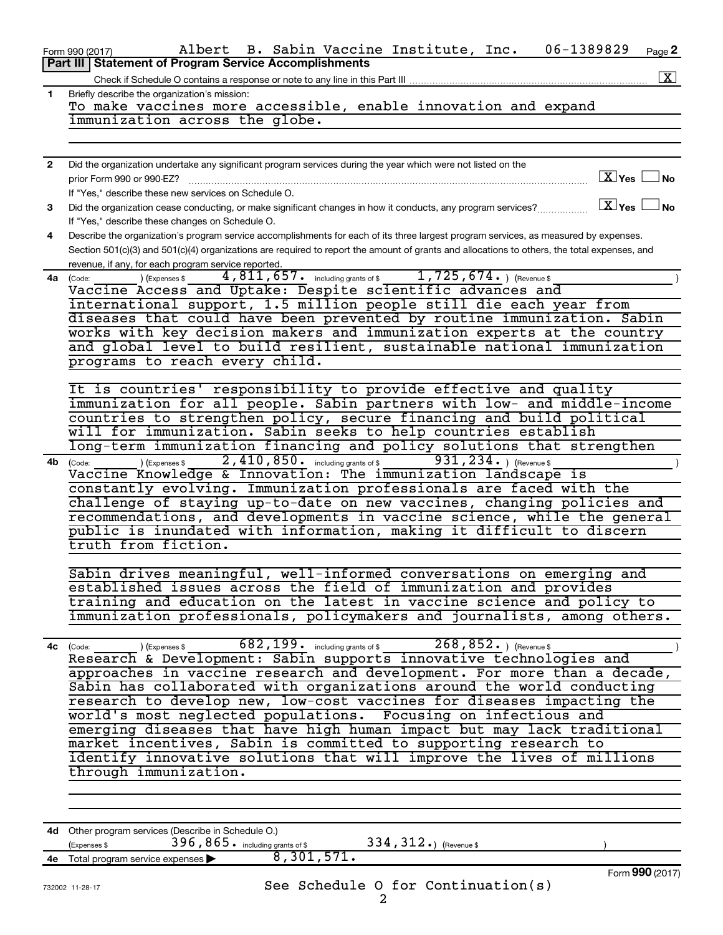|              | 06-1389829<br>Albert B. Sabin Vaccine Institute, Inc.<br>Page 2<br>Form 990 (2017)                                                                                                                                                                     |
|--------------|--------------------------------------------------------------------------------------------------------------------------------------------------------------------------------------------------------------------------------------------------------|
|              | <b>Part III Statement of Program Service Accomplishments</b>                                                                                                                                                                                           |
|              | $\mathbf{X}$<br>Check if Schedule O contains a response or note to any line in this Part III                                                                                                                                                           |
| 1.           | Briefly describe the organization's mission:                                                                                                                                                                                                           |
|              | To make vaccines more accessible, enable innovation and expand<br>immunization across the globe.                                                                                                                                                       |
|              |                                                                                                                                                                                                                                                        |
|              |                                                                                                                                                                                                                                                        |
| $\mathbf{2}$ | Did the organization undertake any significant program services during the year which were not listed on the                                                                                                                                           |
|              | $X$ Yes $\Box$ No<br>prior Form 990 or 990-EZ?                                                                                                                                                                                                         |
|              | If "Yes," describe these new services on Schedule O.                                                                                                                                                                                                   |
| 3            | $X$ Yes $\Box$ No<br>Did the organization cease conducting, or make significant changes in how it conducts, any program services?                                                                                                                      |
|              | If "Yes," describe these changes on Schedule O.                                                                                                                                                                                                        |
| 4            | Describe the organization's program service accomplishments for each of its three largest program services, as measured by expenses.                                                                                                                   |
|              | Section 501(c)(3) and 501(c)(4) organizations are required to report the amount of grants and allocations to others, the total expenses, and                                                                                                           |
|              | revenue, if any, for each program service reported.                                                                                                                                                                                                    |
|              | 4,811,657. including grants of \$1,725,674. ) (Revenue \$<br>) (Expenses \$<br>4a (Code:                                                                                                                                                               |
|              | Vaccine Access and Uptake: Despite scientific advances and<br>international support, 1.5 million people still die each year from                                                                                                                       |
|              | diseases that could have been prevented by routine immunization. Sabin                                                                                                                                                                                 |
|              | works with key decision makers and immunization experts at the country                                                                                                                                                                                 |
|              | and global level to build resilient, sustainable national immunization                                                                                                                                                                                 |
|              | programs to reach every child.                                                                                                                                                                                                                         |
|              |                                                                                                                                                                                                                                                        |
|              | It is countries' responsibility to provide effective and quality                                                                                                                                                                                       |
|              | immunization for all people. Sabin partners with low- and middle-income                                                                                                                                                                                |
|              | countries to strengthen policy, secure financing and build political                                                                                                                                                                                   |
|              | will for immunization. Sabin seeks to help countries establish                                                                                                                                                                                         |
|              | long-term immunization financing and policy solutions that strengthen                                                                                                                                                                                  |
| 4b           | 2,410,850. including grants of \$<br>931, $234.$ (Revenue \$<br>(Expenses \$<br>(Code:                                                                                                                                                                 |
|              | Vaccine Knowledge & Innovation: The immunization landscape is<br>constantly evolving. Immunization professionals are faced with the                                                                                                                    |
|              | challenge of staying up-to-date on new vaccines, changing policies and                                                                                                                                                                                 |
|              | recommendations, and developments in vaccine science, while the general                                                                                                                                                                                |
|              | public is inundated with information, making it difficult to discern                                                                                                                                                                                   |
|              | truth from fiction.                                                                                                                                                                                                                                    |
|              |                                                                                                                                                                                                                                                        |
|              | Sabin drives meaningful, well-informed conversations on emerging and                                                                                                                                                                                   |
|              | established issues across the field of immunization and provides                                                                                                                                                                                       |
|              | training and education on the latest in vaccine science and policy to                                                                                                                                                                                  |
|              | immunization professionals, policymakers and journalists, among others.                                                                                                                                                                                |
|              | $682,199$ $\cdot$ including grants of \$<br>$268, 852.$ ) (Revenue \$                                                                                                                                                                                  |
|              | (Code: 1994, including grants of \$1,000,000) (Revenue \$1,000,000) (Revenue \$1,000,000) (Revenue \$1,000) (Revenue \$1,000) (Revenue \$1,000) (Revenue \$1,000) (Revenue \$1,000) (Revenue \$1,000) (Revenue \$1,000) (Revenue \$1,000)<br>4c (Code: |
|              | approaches in vaccine research and development. For more than a decade,                                                                                                                                                                                |
|              | Sabin has collaborated with organizations around the world conducting                                                                                                                                                                                  |
|              | research to develop new, low-cost vaccines for diseases impacting the                                                                                                                                                                                  |
|              | world's most neglected populations. Focusing on infectious and                                                                                                                                                                                         |
|              | emerging diseases that have high human impact but may lack traditional                                                                                                                                                                                 |
|              | market incentives, Sabin is committed to supporting research to                                                                                                                                                                                        |
|              | identify innovative solutions that will improve the lives of millions                                                                                                                                                                                  |
|              | through immunization.                                                                                                                                                                                                                                  |
|              |                                                                                                                                                                                                                                                        |
|              |                                                                                                                                                                                                                                                        |
|              |                                                                                                                                                                                                                                                        |
|              | 4d Other program services (Describe in Schedule O.)<br>396, 865. including grants of \$<br>334, 312.) (Revenue \$<br>(Expenses \$                                                                                                                      |
|              | 8,301,571.<br>4e Total program service expenses >                                                                                                                                                                                                      |

Form (2017) **990**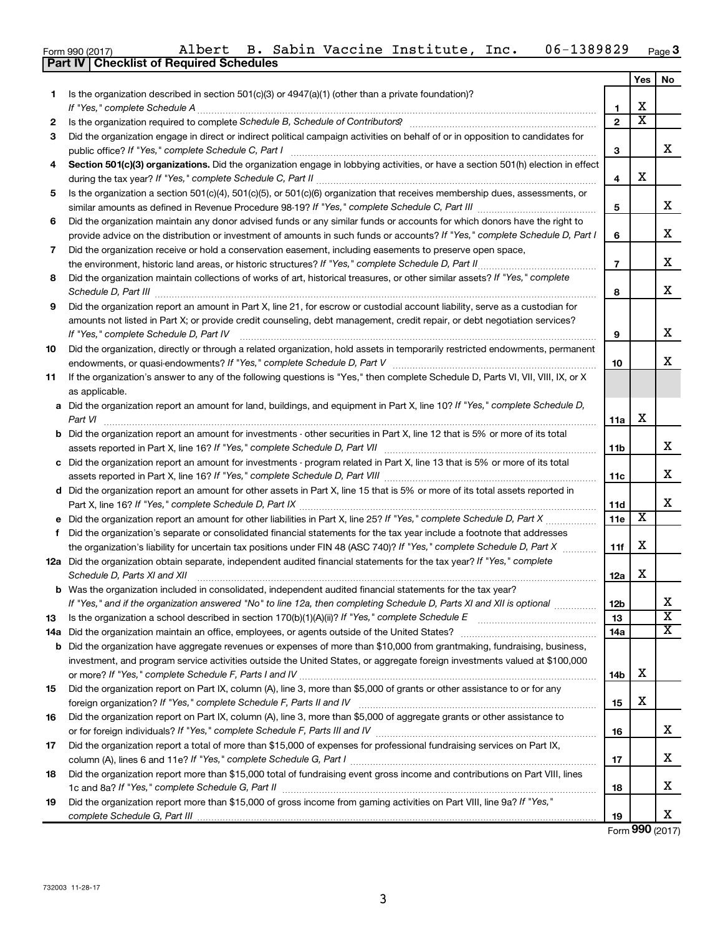|  | Form 990 (2017) |
|--|-----------------|

|    | Part IV   Checklist of Required Schedules                                                                                            |                |                         |                         |
|----|--------------------------------------------------------------------------------------------------------------------------------------|----------------|-------------------------|-------------------------|
|    |                                                                                                                                      |                | Yes                     | No                      |
| 1. | Is the organization described in section 501(c)(3) or $4947(a)(1)$ (other than a private foundation)?                                |                |                         |                         |
|    | If "Yes," complete Schedule A                                                                                                        | 1              | X                       |                         |
| 2  |                                                                                                                                      | $\overline{2}$ | $\overline{\text{x}}$   |                         |
| 3  | Did the organization engage in direct or indirect political campaign activities on behalf of or in opposition to candidates for      |                |                         |                         |
|    | public office? If "Yes," complete Schedule C, Part I                                                                                 | 3              |                         | x                       |
| 4  | Section 501(c)(3) organizations. Did the organization engage in lobbying activities, or have a section 501(h) election in effect     |                |                         |                         |
|    |                                                                                                                                      | 4              | х                       |                         |
| 5  | Is the organization a section 501(c)(4), 501(c)(5), or 501(c)(6) organization that receives membership dues, assessments, or         |                |                         |                         |
|    |                                                                                                                                      | 5              |                         | x                       |
| 6  | Did the organization maintain any donor advised funds or any similar funds or accounts for which donors have the right to            |                |                         |                         |
|    | provide advice on the distribution or investment of amounts in such funds or accounts? If "Yes," complete Schedule D, Part I         | 6              |                         | x                       |
|    |                                                                                                                                      |                |                         |                         |
| 7  | Did the organization receive or hold a conservation easement, including easements to preserve open space,                            | $\overline{7}$ |                         | x                       |
|    | the environment, historic land areas, or historic structures? If "Yes," complete Schedule D, Part II                                 |                |                         |                         |
| 8  | Did the organization maintain collections of works of art, historical treasures, or other similar assets? If "Yes," complete         |                |                         | x                       |
|    |                                                                                                                                      | 8              |                         |                         |
| 9  | Did the organization report an amount in Part X, line 21, for escrow or custodial account liability, serve as a custodian for        |                |                         |                         |
|    | amounts not listed in Part X; or provide credit counseling, debt management, credit repair, or debt negotiation services?            |                |                         |                         |
|    | If "Yes," complete Schedule D, Part IV                                                                                               | 9              |                         | x                       |
| 10 | Did the organization, directly or through a related organization, hold assets in temporarily restricted endowments, permanent        |                |                         |                         |
|    |                                                                                                                                      | 10             |                         | X                       |
| 11 | If the organization's answer to any of the following questions is "Yes," then complete Schedule D, Parts VI, VII, VIII, IX, or X     |                |                         |                         |
|    | as applicable.                                                                                                                       |                |                         |                         |
|    | a Did the organization report an amount for land, buildings, and equipment in Part X, line 10? If "Yes," complete Schedule D,        |                |                         |                         |
|    | Part VI                                                                                                                              | 11a            | х                       |                         |
|    | <b>b</b> Did the organization report an amount for investments - other securities in Part X, line 12 that is 5% or more of its total |                |                         |                         |
|    |                                                                                                                                      | 11b            |                         | x                       |
|    | c Did the organization report an amount for investments - program related in Part X, line 13 that is 5% or more of its total         |                |                         |                         |
|    |                                                                                                                                      | 11c            |                         | x                       |
|    | d Did the organization report an amount for other assets in Part X, line 15 that is 5% or more of its total assets reported in       |                |                         |                         |
|    |                                                                                                                                      | 11d            |                         | x                       |
|    | e Did the organization report an amount for other liabilities in Part X, line 25? If "Yes," complete Schedule D, Part X              | 11e            | $\overline{\textbf{x}}$ |                         |
| f  | Did the organization's separate or consolidated financial statements for the tax year include a footnote that addresses              |                |                         |                         |
|    | the organization's liability for uncertain tax positions under FIN 48 (ASC 740)? If "Yes," complete Schedule D, Part X               | 11f            | х                       |                         |
|    | 12a Did the organization obtain separate, independent audited financial statements for the tax year? If "Yes," complete              |                |                         |                         |
|    | Schedule D, Parts XI and XII                                                                                                         | 12a            | х                       |                         |
|    | b Was the organization included in consolidated, independent audited financial statements for the tax year?                          |                |                         |                         |
|    | If "Yes," and if the organization answered "No" to line 12a, then completing Schedule D, Parts XI and XII is optional                | 12b            |                         | x                       |
| 13 |                                                                                                                                      | 13             |                         | $\overline{\textbf{x}}$ |
|    | 14a Did the organization maintain an office, employees, or agents outside of the United States?                                      | 14a            |                         | $\overline{\mathbf{X}}$ |
|    | <b>b</b> Did the organization have aggregate revenues or expenses of more than \$10,000 from grantmaking, fundraising, business,     |                |                         |                         |
|    | investment, and program service activities outside the United States, or aggregate foreign investments valued at \$100,000           |                |                         |                         |
|    |                                                                                                                                      | 14b            | х                       |                         |
| 15 | Did the organization report on Part IX, column (A), line 3, more than \$5,000 of grants or other assistance to or for any            |                |                         |                         |
|    |                                                                                                                                      | 15             | х                       |                         |
| 16 | Did the organization report on Part IX, column (A), line 3, more than \$5,000 of aggregate grants or other assistance to             |                |                         |                         |
|    |                                                                                                                                      | 16             |                         | x                       |
| 17 | Did the organization report a total of more than \$15,000 of expenses for professional fundraising services on Part IX,              |                |                         |                         |
|    |                                                                                                                                      | 17             |                         | x                       |
| 18 | Did the organization report more than \$15,000 total of fundraising event gross income and contributions on Part VIII, lines         |                |                         |                         |
|    |                                                                                                                                      | 18             |                         | х                       |
|    | Did the organization report more than \$15,000 of gross income from gaming activities on Part VIII, line 9a? If "Yes,"               |                |                         |                         |
| 19 |                                                                                                                                      | 19             |                         | x                       |
|    |                                                                                                                                      |                |                         |                         |

Form (2017) **990**

**3**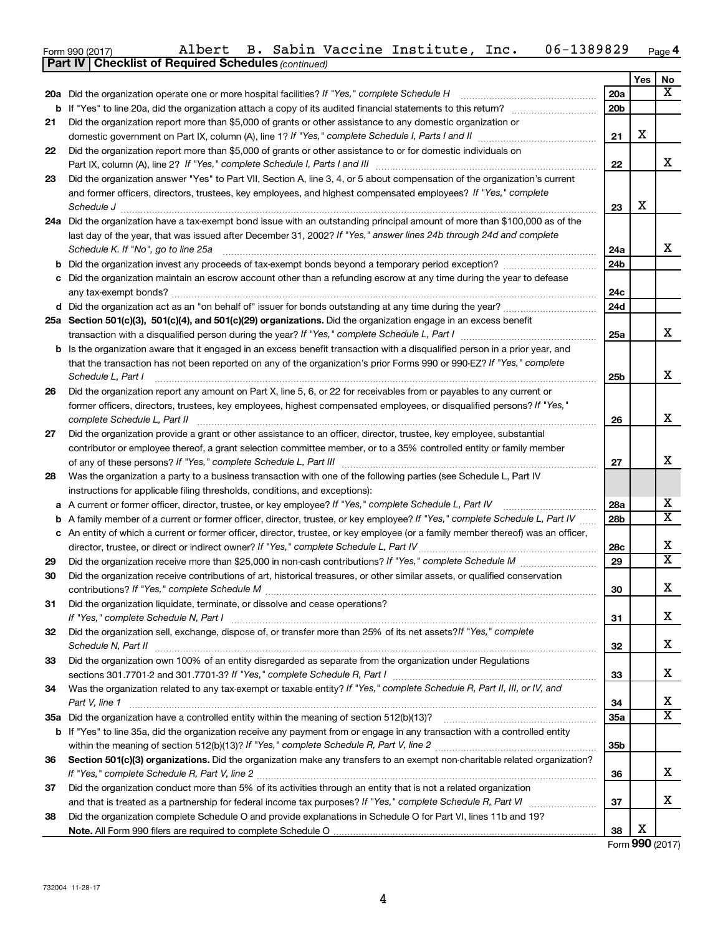| Form 990 (2017) | Albert | <b>B.</b> | Sabin | Vaccine | Institute, | Inc. | 1389829<br>$06 -$ | Page 4 |
|-----------------|--------|-----------|-------|---------|------------|------|-------------------|--------|
|-----------------|--------|-----------|-------|---------|------------|------|-------------------|--------|

|    | <b>Part IV   Checklist of Required Schedules (continued)</b>                                                                                         |                 |     |                         |
|----|------------------------------------------------------------------------------------------------------------------------------------------------------|-----------------|-----|-------------------------|
|    |                                                                                                                                                      |                 | Yes | No                      |
|    | 20a Did the organization operate one or more hospital facilities? If "Yes," complete Schedule H                                                      | 20a             |     | x                       |
| b  |                                                                                                                                                      | 20 <sub>b</sub> |     |                         |
| 21 | Did the organization report more than \$5,000 of grants or other assistance to any domestic organization or                                          |                 |     |                         |
|    |                                                                                                                                                      | 21              | X   |                         |
| 22 | Did the organization report more than \$5,000 of grants or other assistance to or for domestic individuals on                                        |                 |     |                         |
|    |                                                                                                                                                      | 22              |     | x                       |
| 23 | Did the organization answer "Yes" to Part VII, Section A, line 3, 4, or 5 about compensation of the organization's current                           |                 |     |                         |
|    | and former officers, directors, trustees, key employees, and highest compensated employees? If "Yes," complete                                       |                 |     |                         |
|    |                                                                                                                                                      | 23              | X   |                         |
|    | 24a Did the organization have a tax-exempt bond issue with an outstanding principal amount of more than \$100,000 as of the                          |                 |     |                         |
|    | last day of the year, that was issued after December 31, 2002? If "Yes," answer lines 24b through 24d and complete                                   |                 |     |                         |
|    | Schedule K. If "No", go to line 25a                                                                                                                  | 24a             |     | x                       |
| b  |                                                                                                                                                      | 24b             |     |                         |
|    | c Did the organization maintain an escrow account other than a refunding escrow at any time during the year to defease                               |                 |     |                         |
|    |                                                                                                                                                      | 24c             |     |                         |
|    |                                                                                                                                                      | 24d             |     |                         |
|    | 25a Section 501(c)(3), 501(c)(4), and 501(c)(29) organizations. Did the organization engage in an excess benefit                                     |                 |     |                         |
|    |                                                                                                                                                      | 25a             |     | x                       |
|    | <b>b</b> Is the organization aware that it engaged in an excess benefit transaction with a disqualified person in a prior year, and                  |                 |     |                         |
|    | that the transaction has not been reported on any of the organization's prior Forms 990 or 990-EZ? If "Yes," complete                                |                 |     | x                       |
|    | Schedule L, Part I                                                                                                                                   | 25b             |     |                         |
| 26 | Did the organization report any amount on Part X, line 5, 6, or 22 for receivables from or payables to any current or                                |                 |     |                         |
|    | former officers, directors, trustees, key employees, highest compensated employees, or disqualified persons? If "Yes,"                               |                 |     | x                       |
|    | complete Schedule L, Part II<br>Did the organization provide a grant or other assistance to an officer, director, trustee, key employee, substantial | 26              |     |                         |
| 27 | contributor or employee thereof, a grant selection committee member, or to a 35% controlled entity or family member                                  |                 |     |                         |
|    |                                                                                                                                                      | 27              |     | X                       |
| 28 | Was the organization a party to a business transaction with one of the following parties (see Schedule L, Part IV                                    |                 |     |                         |
|    | instructions for applicable filing thresholds, conditions, and exceptions):                                                                          |                 |     |                         |
| а  | A current or former officer, director, trustee, or key employee? If "Yes," complete Schedule L, Part IV                                              | 28a             |     | x                       |
| b  | A family member of a current or former officer, director, trustee, or key employee? If "Yes," complete Schedule L, Part IV                           | 28b             |     | $\overline{\mathtt{x}}$ |
|    | c An entity of which a current or former officer, director, trustee, or key employee (or a family member thereof) was an officer,                    |                 |     |                         |
|    | director, trustee, or direct or indirect owner? If "Yes," complete Schedule L, Part IV                                                               | 28c             |     | х                       |
| 29 |                                                                                                                                                      | 29              |     | $\overline{\mathtt{x}}$ |
| 30 | Did the organization receive contributions of art, historical treasures, or other similar assets, or qualified conservation                          |                 |     |                         |
|    |                                                                                                                                                      | 30              |     | Y<br>ᅀ                  |
| 31 | Did the organization liquidate, terminate, or dissolve and cease operations?                                                                         |                 |     |                         |
|    |                                                                                                                                                      | 31              |     | x                       |
| 32 | Did the organization sell, exchange, dispose of, or transfer more than 25% of its net assets? If "Yes," complete                                     |                 |     |                         |
|    |                                                                                                                                                      | 32              |     | x                       |
| 33 | Did the organization own 100% of an entity disregarded as separate from the organization under Regulations                                           |                 |     |                         |
|    |                                                                                                                                                      | 33              |     | X                       |
| 34 | Was the organization related to any tax-exempt or taxable entity? If "Yes," complete Schedule R, Part II, III, or IV, and                            |                 |     |                         |
|    | Part V, line 1                                                                                                                                       | 34              |     | x                       |
|    |                                                                                                                                                      | 35a             |     | $\overline{\mathtt{x}}$ |
|    | b If "Yes" to line 35a, did the organization receive any payment from or engage in any transaction with a controlled entity                          |                 |     |                         |
|    |                                                                                                                                                      | 35b             |     |                         |
| 36 | Section 501(c)(3) organizations. Did the organization make any transfers to an exempt non-charitable related organization?                           |                 |     |                         |
|    |                                                                                                                                                      | 36              |     | x                       |
| 37 | Did the organization conduct more than 5% of its activities through an entity that is not a related organization                                     |                 |     |                         |
|    |                                                                                                                                                      | 37              |     | x                       |
| 38 | Did the organization complete Schedule O and provide explanations in Schedule O for Part VI, lines 11b and 19?                                       |                 |     |                         |
|    |                                                                                                                                                      | 38              | х   |                         |
|    |                                                                                                                                                      |                 |     | Form 990 (2017)         |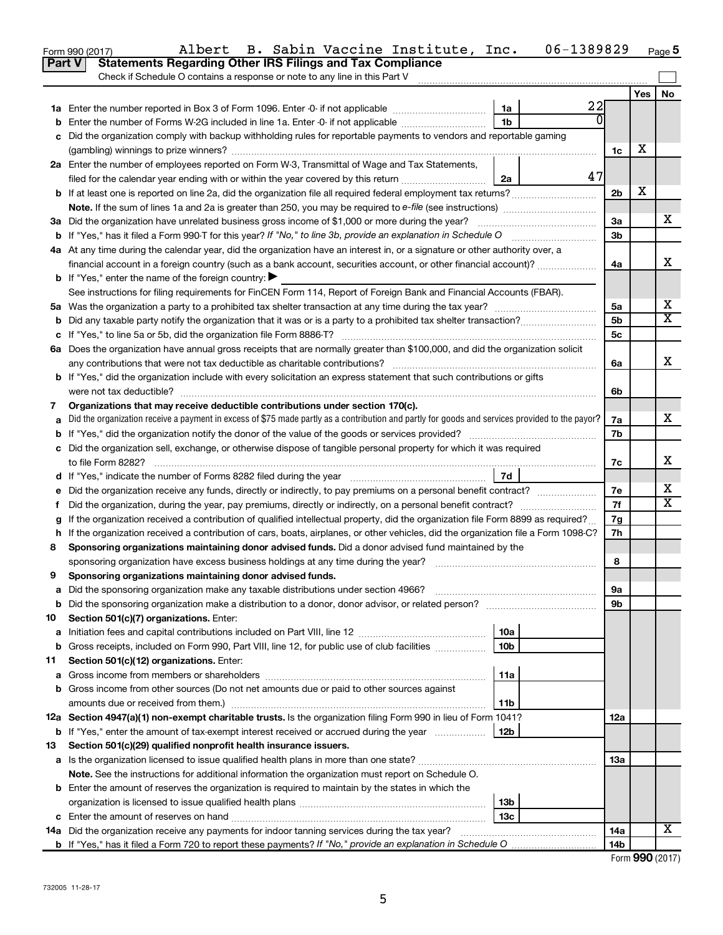|    | B. Sabin Vaccine Institute, Inc.<br>Albert<br>Form 990 (2017)<br><b>Statements Regarding Other IRS Filings and Tax Compliance</b><br>Part V     |                 | 06-1389829 |                |     | Page 5                |
|----|-------------------------------------------------------------------------------------------------------------------------------------------------|-----------------|------------|----------------|-----|-----------------------|
|    | Check if Schedule O contains a response or note to any line in this Part V                                                                      |                 |            |                |     |                       |
|    |                                                                                                                                                 |                 |            |                |     |                       |
|    |                                                                                                                                                 |                 | 22         |                | Yes | No                    |
|    |                                                                                                                                                 | 1a              |            |                |     |                       |
| b  | Enter the number of Forms W-2G included in line 1a. Enter -0- if not applicable                                                                 | 1b              |            |                |     |                       |
| c  | Did the organization comply with backup withholding rules for reportable payments to vendors and reportable gaming                              |                 |            |                |     |                       |
|    |                                                                                                                                                 |                 |            | 1c             | х   |                       |
|    | 2a Enter the number of employees reported on Form W-3, Transmittal of Wage and Tax Statements,                                                  |                 |            |                |     |                       |
|    | filed for the calendar year ending with or within the year covered by this return                                                               | 2a              | 47         |                |     |                       |
| b  | If at least one is reported on line 2a, did the organization file all required federal employment tax returns?                                  |                 |            | 2 <sub>b</sub> | х   |                       |
|    |                                                                                                                                                 |                 |            |                |     |                       |
|    | 3a Did the organization have unrelated business gross income of \$1,000 or more during the year?                                                |                 |            | За             |     | x                     |
|    |                                                                                                                                                 |                 |            | 3 <sub>b</sub> |     |                       |
|    | 4a At any time during the calendar year, did the organization have an interest in, or a signature or other authority over, a                    |                 |            |                |     |                       |
|    | financial account in a foreign country (such as a bank account, securities account, or other financial account)?                                |                 |            | 4a             |     | х                     |
|    | <b>b</b> If "Yes," enter the name of the foreign country: $\blacktriangleright$                                                                 |                 |            |                |     |                       |
|    | See instructions for filing requirements for FinCEN Form 114, Report of Foreign Bank and Financial Accounts (FBAR).                             |                 |            |                |     |                       |
|    |                                                                                                                                                 |                 |            | 5a             |     | х                     |
| b  |                                                                                                                                                 |                 |            | 5 <sub>b</sub> |     | X                     |
|    |                                                                                                                                                 |                 |            | 5c             |     |                       |
|    | 6a Does the organization have annual gross receipts that are normally greater than \$100,000, and did the organization solicit                  |                 |            |                |     |                       |
|    | any contributions that were not tax deductible as charitable contributions?                                                                     |                 |            | 6a             |     | X                     |
|    | <b>b</b> If "Yes," did the organization include with every solicitation an express statement that such contributions or gifts                   |                 |            |                |     |                       |
|    | were not tax deductible?                                                                                                                        |                 |            | 6b             |     |                       |
| 7  | Organizations that may receive deductible contributions under section 170(c).                                                                   |                 |            |                |     |                       |
| a  | Did the organization receive a payment in excess of \$75 made partly as a contribution and partly for goods and services provided to the payor? |                 |            | 7a             |     | х                     |
|    |                                                                                                                                                 |                 |            |                |     |                       |
|    | c Did the organization sell, exchange, or otherwise dispose of tangible personal property for which it was required                             |                 |            |                |     |                       |
|    | to file Form 8282?                                                                                                                              |                 |            | 7c             |     | X                     |
|    |                                                                                                                                                 | 7d              |            |                |     |                       |
| е  | Did the organization receive any funds, directly or indirectly, to pay premiums on a personal benefit contract?                                 |                 |            | 7e             |     | х                     |
| f. | Did the organization, during the year, pay premiums, directly or indirectly, on a personal benefit contract?                                    |                 |            | 7f             |     | $\overline{\text{x}}$ |
| g  | If the organization received a contribution of qualified intellectual property, did the organization file Form 8899 as required?                |                 |            | 7g             |     |                       |
|    | h If the organization received a contribution of cars, boats, airplanes, or other vehicles, did the organization file a Form 1098-C?            |                 |            | 7h             |     |                       |
| 8  | Sponsoring organizations maintaining donor advised funds. Did a donor advised fund maintained by the                                            |                 |            |                |     |                       |
|    | sponsoring organization have excess business holdings at any time during the year?                                                              |                 |            | 8              |     |                       |
| 9  | Sponsoring organizations maintaining donor advised funds.                                                                                       |                 |            |                |     |                       |
| а  | Did the sponsoring organization make any taxable distributions under section 4966?                                                              |                 |            | 9а             |     |                       |
| b  |                                                                                                                                                 |                 |            | 9b             |     |                       |
| 10 | Section 501(c)(7) organizations. Enter:                                                                                                         |                 |            |                |     |                       |
| а  |                                                                                                                                                 | 10a             |            |                |     |                       |
| b  | Gross receipts, included on Form 990, Part VIII, line 12, for public use of club facilities                                                     | 10 <sub>b</sub> |            |                |     |                       |
| 11 | Section 501(c)(12) organizations. Enter:                                                                                                        |                 |            |                |     |                       |
| а  |                                                                                                                                                 | 11a             |            |                |     |                       |
| b  | Gross income from other sources (Do not net amounts due or paid to other sources against                                                        |                 |            |                |     |                       |
|    | amounts due or received from them.)                                                                                                             | 11b             |            |                |     |                       |
|    | 12a Section 4947(a)(1) non-exempt charitable trusts. Is the organization filing Form 990 in lieu of Form 1041?                                  |                 |            | 12a            |     |                       |
| b  | If "Yes," enter the amount of tax-exempt interest received or accrued during the year                                                           | 12b             |            |                |     |                       |
| 13 | Section 501(c)(29) qualified nonprofit health insurance issuers.                                                                                |                 |            |                |     |                       |
|    |                                                                                                                                                 |                 |            | 13a            |     |                       |
| а  | Note. See the instructions for additional information the organization must report on Schedule O.                                               |                 |            |                |     |                       |
|    |                                                                                                                                                 |                 |            |                |     |                       |
| b  | Enter the amount of reserves the organization is required to maintain by the states in which the                                                | 13 <sub>b</sub> |            |                |     |                       |
|    |                                                                                                                                                 | 13с             |            |                |     |                       |
|    |                                                                                                                                                 |                 |            | 14a            |     | х                     |
|    | <b>14a</b> Did the organization receive any payments for indoor tanning services during the tax year?                                           |                 |            | 14b            |     |                       |
|    |                                                                                                                                                 |                 |            |                |     |                       |

|  |  | Form 990 (2017) |
|--|--|-----------------|
|--|--|-----------------|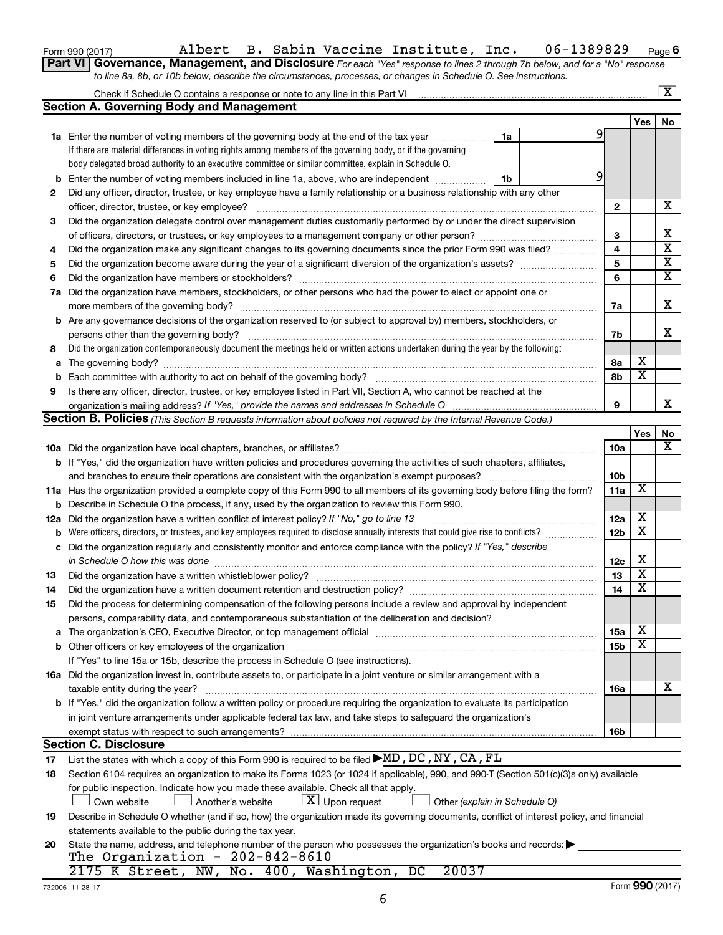| Form 990 (2017) |  |
|-----------------|--|
|-----------------|--|

## Form 990 (2017) Page Albert B. Sabin Vaccine Institute, Inc. 06-1389829

**6**

|                                                                                                                  | Part VI   Governance, Management, and Disclosure For each "Yes" response to lines 2 through 7b below, and for a "No" response |
|------------------------------------------------------------------------------------------------------------------|-------------------------------------------------------------------------------------------------------------------------------|
| to line 8a, 8b, or 10b below, describe the circumstances, processes, or changes in Schedule O. See instructions. |                                                                                                                               |

|     |                                                                                                                                                                                                                                |    |                         |   |                         | X                       |
|-----|--------------------------------------------------------------------------------------------------------------------------------------------------------------------------------------------------------------------------------|----|-------------------------|---|-------------------------|-------------------------|
|     | <b>Section A. Governing Body and Management</b>                                                                                                                                                                                |    |                         |   |                         |                         |
|     |                                                                                                                                                                                                                                |    |                         |   | Yes                     | No                      |
|     | <b>1a</b> Enter the number of voting members of the governing body at the end of the tax year                                                                                                                                  | 1a | 9                       |   |                         |                         |
|     | If there are material differences in voting rights among members of the governing body, or if the governing                                                                                                                    |    |                         |   |                         |                         |
|     | body delegated broad authority to an executive committee or similar committee, explain in Schedule O.                                                                                                                          |    |                         |   |                         |                         |
| b   | Enter the number of voting members included in line 1a, above, who are independent                                                                                                                                             | 1b | 9                       |   |                         |                         |
| 2   | Did any officer, director, trustee, or key employee have a family relationship or a business relationship with any other                                                                                                       |    |                         |   |                         |                         |
|     | officer, director, trustee, or key employee?                                                                                                                                                                                   |    | 2                       |   |                         | x                       |
| 3   | Did the organization delegate control over management duties customarily performed by or under the direct supervision                                                                                                          |    |                         |   |                         |                         |
|     |                                                                                                                                                                                                                                |    | 3                       |   |                         | х                       |
| 4   | Did the organization make any significant changes to its governing documents since the prior Form 990 was filed?                                                                                                               |    | $\overline{\mathbf{4}}$ |   |                         | $\overline{\textbf{x}}$ |
| 5   |                                                                                                                                                                                                                                |    | 5                       |   |                         | $\overline{\textbf{X}}$ |
| 6   |                                                                                                                                                                                                                                |    | 6                       |   |                         | $\overline{\mathtt{x}}$ |
| 7a  | Did the organization have members, stockholders, or other persons who had the power to elect or appoint one or                                                                                                                 |    |                         |   |                         |                         |
|     |                                                                                                                                                                                                                                |    | 7a                      |   |                         | х                       |
|     | <b>b</b> Are any governance decisions of the organization reserved to (or subject to approval by) members, stockholders, or                                                                                                    |    |                         |   |                         |                         |
|     | persons other than the governing body?                                                                                                                                                                                         |    | 7b                      |   |                         | x                       |
| 8   | Did the organization contemporaneously document the meetings held or written actions undertaken during the year by the following:                                                                                              |    |                         |   |                         |                         |
| a   | The governing body? [[11] notice is a construction of the construction of the construction of the construction of the construction of the construction of the construction of the construction of the construction of the cons |    | 8а                      |   | х                       |                         |
| b   | Each committee with authority to act on behalf of the governing body?                                                                                                                                                          |    | 8b                      |   | $\overline{\textbf{x}}$ |                         |
| 9   | Is there any officer, director, trustee, or key employee listed in Part VII, Section A, who cannot be reached at the                                                                                                           |    |                         |   |                         |                         |
|     |                                                                                                                                                                                                                                |    | 9                       |   |                         | x                       |
|     | <b>Section B. Policies</b> (This Section B requests information about policies not required by the Internal Revenue Code.)                                                                                                     |    |                         |   |                         |                         |
|     |                                                                                                                                                                                                                                |    |                         |   | Yes                     | No                      |
|     |                                                                                                                                                                                                                                |    | <b>10a</b>              |   |                         | $\overline{\mathbf{X}}$ |
|     | b If "Yes," did the organization have written policies and procedures governing the activities of such chapters, affiliates,                                                                                                   |    |                         |   |                         |                         |
|     |                                                                                                                                                                                                                                |    | 10 <sub>b</sub>         |   |                         |                         |
|     | 11a Has the organization provided a complete copy of this Form 990 to all members of its governing body before filing the form?                                                                                                |    | 11a                     | X |                         |                         |
| b   | Describe in Schedule O the process, if any, used by the organization to review this Form 990.                                                                                                                                  |    |                         |   |                         |                         |
| 12a | Did the organization have a written conflict of interest policy? If "No," go to line 13                                                                                                                                        |    | 12a                     | х |                         |                         |
| b   | Were officers, directors, or trustees, and key employees required to disclose annually interests that could give rise to conflicts?                                                                                            |    | 12 <sub>b</sub>         |   | $\overline{\textbf{x}}$ |                         |
| с   | Did the organization regularly and consistently monitor and enforce compliance with the policy? If "Yes," describe                                                                                                             |    |                         |   |                         |                         |
|     | in Schedule O how this was done                                                                                                                                                                                                |    | 12c                     | х |                         |                         |
| 13  | Did the organization have a written whistleblower policy?                                                                                                                                                                      |    | 13                      |   | $\overline{\textbf{x}}$ |                         |
| 14  |                                                                                                                                                                                                                                |    | 14                      |   | $\overline{\textbf{x}}$ |                         |
| 15  | Did the process for determining compensation of the following persons include a review and approval by independent                                                                                                             |    |                         |   |                         |                         |
|     | persons, comparability data, and contemporaneous substantiation of the deliberation and decision?                                                                                                                              |    |                         |   |                         |                         |
|     | The organization's CEO, Executive Director, or top management official manufactured content of the organization's CEO, Executive Director, or top management official manufactured and the state of the state of the state of  |    | 15a                     | х |                         |                         |
| b   | Other officers or key employees of the organization                                                                                                                                                                            |    | 15b                     |   | $\overline{\textbf{x}}$ |                         |
|     | If "Yes" to line 15a or 15b, describe the process in Schedule O (see instructions).                                                                                                                                            |    |                         |   |                         |                         |
|     | 16a Did the organization invest in, contribute assets to, or participate in a joint venture or similar arrangement with a                                                                                                      |    |                         |   |                         |                         |
|     | taxable entity during the year?                                                                                                                                                                                                |    | 16a                     |   |                         | х                       |
|     | <b>b</b> If "Yes," did the organization follow a written policy or procedure requiring the organization to evaluate its participation                                                                                          |    |                         |   |                         |                         |
|     | in joint venture arrangements under applicable federal tax law, and take steps to safeguard the organization's                                                                                                                 |    |                         |   |                         |                         |
|     | exempt status with respect to such arrangements?                                                                                                                                                                               |    | 16b                     |   |                         |                         |
|     | <b>Section C. Disclosure</b>                                                                                                                                                                                                   |    |                         |   |                         |                         |
| 17  | List the states with which a copy of this Form 990 is required to be filed $\blacktriangleright$ MD, DC, NY, CA, FL                                                                                                            |    |                         |   |                         |                         |
| 18  | Section 6104 requires an organization to make its Forms 1023 (or 1024 if applicable), 990, and 990-T (Section 501(c)(3)s only) available                                                                                       |    |                         |   |                         |                         |
|     | for public inspection. Indicate how you made these available. Check all that apply.                                                                                                                                            |    |                         |   |                         |                         |
|     | $\lfloor \underline{X} \rfloor$ Upon request<br>Own website<br>Another's website<br>Other (explain in Schedule O)                                                                                                              |    |                         |   |                         |                         |
| 19  | Describe in Schedule O whether (and if so, how) the organization made its governing documents, conflict of interest policy, and financial                                                                                      |    |                         |   |                         |                         |
|     | statements available to the public during the tax year.                                                                                                                                                                        |    |                         |   |                         |                         |
| 20  | State the name, address, and telephone number of the person who possesses the organization's books and records:                                                                                                                |    |                         |   |                         |                         |
|     | The Organization - $202-842-8610$                                                                                                                                                                                              |    |                         |   |                         |                         |
|     | 20037<br>2175 K Street, NW, No. 400, Washington, DC                                                                                                                                                                            |    |                         |   |                         |                         |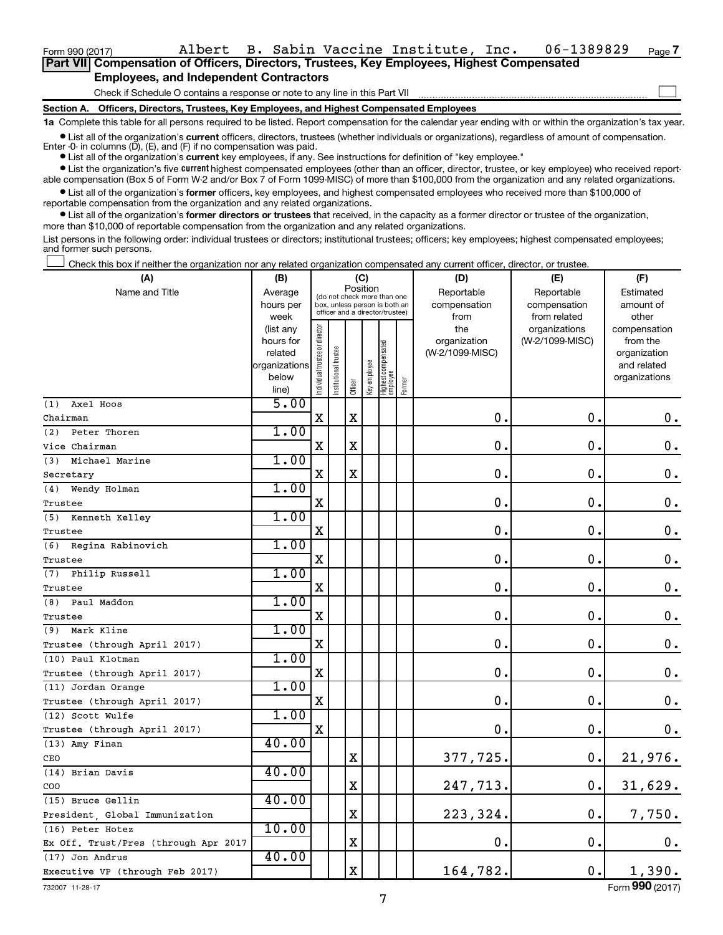Form 990 (2017) Page Albert B. Sabin Vaccine Institute, Inc. 06-1389829

 $\Box$ 

| Part VII Compensation of Officers, Directors, Trustees, Key Employees, Highest Compensated |
|--------------------------------------------------------------------------------------------|
| <b>Employees, and Independent Contractors</b>                                              |

Check if Schedule O contains a response or note to any line in this Part VII

**Section A. Officers, Directors, Trustees, Key Employees, and Highest Compensated Employees**

**1a**  Complete this table for all persons required to be listed. Report compensation for the calendar year ending with or within the organization's tax year.

**•** List all of the organization's current officers, directors, trustees (whether individuals or organizations), regardless of amount of compensation. Enter  $-0$ - in columns  $(D)$ ,  $(E)$ , and  $(F)$  if no compensation was paid.

**•** List all of the organization's **current** key employees, if any. See instructions for definition of "key employee."

**•** List the organization's five current highest compensated employees (other than an officer, director, trustee, or key employee) who received reportable compensation (Box 5 of Form W-2 and/or Box 7 of Form 1099-MISC) of more than \$100,000 from the organization and any related organizations.

**•** List all of the organization's former officers, key employees, and highest compensated employees who received more than \$100,000 of reportable compensation from the organization and any related organizations.

**•** List all of the organization's former directors or trustees that received, in the capacity as a former director or trustee of the organization, more than \$10,000 of reportable compensation from the organization and any related organizations.

List persons in the following order: individual trustees or directors; institutional trustees; officers; key employees; highest compensated employees; and former such persons.

Check this box if neither the organization nor any related organization compensated any current officer, director, or trustee.  $\Box$ 

| Position<br>Name and Title<br>Reportable<br>Reportable<br>Estimated<br>Average<br>(do not check more than one<br>hours per<br>compensation<br>compensation<br>amount of<br>box, unless person is both an<br>officer and a director/trustee)<br>week<br>from<br>from related<br>other<br>Individual trustee or director<br>(list any<br>the<br>organizations<br>compensation<br>hours for<br>organization<br>(W-2/1099-MISC)<br>from the<br>Highest compensated<br>employee<br>trustee<br>(W-2/1099-MISC)<br>related<br>organization<br>Key employee<br>organizations<br>and related<br>Institutional t<br>below<br>organizations<br>Former<br>Officer<br>line)<br>5.00<br>Axel Hoos<br>(1)<br>$\mathbf X$<br>$\mathbf X$<br>$\mathbf 0$ .<br>$\mathbf 0$ .<br>0.<br>Chairman<br>1.00<br>Peter Thoren<br>(2)<br>$\mathbf X$<br>$\mathbf 0$ .<br>X<br>$\mathbf 0$ .<br>$\boldsymbol{0}$ .<br>Vice Chairman<br>1.00<br>Michael Marine<br>(3)<br>$\mathbf X$<br>$\mathbf 0$ .<br>0.<br>X<br>$\mathbf 0$ .<br>Secretary<br>1.00<br>Wendy Holman<br>(4)<br>0.<br>X<br>0.<br>$\boldsymbol{0}$ .<br>Trustee<br>1.00<br>(5)<br>Kenneth Kelley<br>X<br>0.<br>$\mathbf 0$ .<br>$\mathbf 0$ .<br>Trustee<br>1.00<br>(6) Regina Rabinovich<br>$\mathbf 0$ .<br>$\mathbf 0$ .<br>$\mathbf 0$ .<br>х<br>Trustee<br>1.00<br>Philip Russell<br>(7)<br>X<br>$\mathbf 0$ .<br>$\mathbf 0$ .<br>$\mathbf 0$ .<br>Trustee<br>1.00<br>Paul Maddon<br>(8)<br>$\mathbf 0$ .<br>$\mathbf 0$ .<br>$\mathbf 0$ .<br>X<br>Trustee<br>1.00<br>Mark Kline<br>(9)<br>$\mathbf 0$ .<br>$\mathbf 0$ .<br>$\mathbf 0$ .<br>X<br>Trustee (through April 2017)<br>1.00<br>(10) Paul Klotman<br>0.<br>$\mathbf 0$ .<br>$\mathbf X$<br>$\mathbf 0$ .<br>Trustee (through April 2017)<br>1.00<br>(11) Jordan Orange<br>$\mathbf 0$ .<br>$\mathbf 0$ .<br>X<br>$\mathbf 0$ .<br>Trustee (through April 2017)<br>1.00<br>(12) Scott Wulfe<br>0.<br>$\mathbf 0$ .<br>$\mathbf X$<br>0.<br>Trustee (through April 2017)<br>40.00<br>(13) Amy Finan<br>377,725.<br>0.<br>21,976.<br>х<br>CEO<br>40.00<br>(14) Brian Davis<br>$\mathbf X$<br>247,713.<br>0.<br>31,629.<br>COO<br>40.00<br>(15) Bruce Gellin<br>$\mathbf X$<br>223, 324.<br>7,750.<br>0.<br>President, Global Immunization<br>10.00<br>(16) Peter Hotez<br>$\mathbf X$<br>$\mathbf 0$ .<br>0.<br>0.<br>Ex Off. Trust/Pres (through Apr 2017<br>40.00<br>(17) Jon Andrus<br>1,390.<br>$\mathbf X$<br>164,782.<br>0.<br>Executive VP (through Feb 2017) | (A) | (B) |  | (C) |  |  | (D) | (E) | (F) |
|-------------------------------------------------------------------------------------------------------------------------------------------------------------------------------------------------------------------------------------------------------------------------------------------------------------------------------------------------------------------------------------------------------------------------------------------------------------------------------------------------------------------------------------------------------------------------------------------------------------------------------------------------------------------------------------------------------------------------------------------------------------------------------------------------------------------------------------------------------------------------------------------------------------------------------------------------------------------------------------------------------------------------------------------------------------------------------------------------------------------------------------------------------------------------------------------------------------------------------------------------------------------------------------------------------------------------------------------------------------------------------------------------------------------------------------------------------------------------------------------------------------------------------------------------------------------------------------------------------------------------------------------------------------------------------------------------------------------------------------------------------------------------------------------------------------------------------------------------------------------------------------------------------------------------------------------------------------------------------------------------------------------------------------------------------------------------------------------------------------------------------------------------------------------------------------------------------------------------------------------------------------------------------------------------------------------------------------------------------------------------------------------------------------------------------------------------------------------------|-----|-----|--|-----|--|--|-----|-----|-----|
|                                                                                                                                                                                                                                                                                                                                                                                                                                                                                                                                                                                                                                                                                                                                                                                                                                                                                                                                                                                                                                                                                                                                                                                                                                                                                                                                                                                                                                                                                                                                                                                                                                                                                                                                                                                                                                                                                                                                                                                                                                                                                                                                                                                                                                                                                                                                                                                                                                                                         |     |     |  |     |  |  |     |     |     |
|                                                                                                                                                                                                                                                                                                                                                                                                                                                                                                                                                                                                                                                                                                                                                                                                                                                                                                                                                                                                                                                                                                                                                                                                                                                                                                                                                                                                                                                                                                                                                                                                                                                                                                                                                                                                                                                                                                                                                                                                                                                                                                                                                                                                                                                                                                                                                                                                                                                                         |     |     |  |     |  |  |     |     |     |
|                                                                                                                                                                                                                                                                                                                                                                                                                                                                                                                                                                                                                                                                                                                                                                                                                                                                                                                                                                                                                                                                                                                                                                                                                                                                                                                                                                                                                                                                                                                                                                                                                                                                                                                                                                                                                                                                                                                                                                                                                                                                                                                                                                                                                                                                                                                                                                                                                                                                         |     |     |  |     |  |  |     |     |     |
|                                                                                                                                                                                                                                                                                                                                                                                                                                                                                                                                                                                                                                                                                                                                                                                                                                                                                                                                                                                                                                                                                                                                                                                                                                                                                                                                                                                                                                                                                                                                                                                                                                                                                                                                                                                                                                                                                                                                                                                                                                                                                                                                                                                                                                                                                                                                                                                                                                                                         |     |     |  |     |  |  |     |     |     |
|                                                                                                                                                                                                                                                                                                                                                                                                                                                                                                                                                                                                                                                                                                                                                                                                                                                                                                                                                                                                                                                                                                                                                                                                                                                                                                                                                                                                                                                                                                                                                                                                                                                                                                                                                                                                                                                                                                                                                                                                                                                                                                                                                                                                                                                                                                                                                                                                                                                                         |     |     |  |     |  |  |     |     |     |
|                                                                                                                                                                                                                                                                                                                                                                                                                                                                                                                                                                                                                                                                                                                                                                                                                                                                                                                                                                                                                                                                                                                                                                                                                                                                                                                                                                                                                                                                                                                                                                                                                                                                                                                                                                                                                                                                                                                                                                                                                                                                                                                                                                                                                                                                                                                                                                                                                                                                         |     |     |  |     |  |  |     |     |     |
|                                                                                                                                                                                                                                                                                                                                                                                                                                                                                                                                                                                                                                                                                                                                                                                                                                                                                                                                                                                                                                                                                                                                                                                                                                                                                                                                                                                                                                                                                                                                                                                                                                                                                                                                                                                                                                                                                                                                                                                                                                                                                                                                                                                                                                                                                                                                                                                                                                                                         |     |     |  |     |  |  |     |     |     |
|                                                                                                                                                                                                                                                                                                                                                                                                                                                                                                                                                                                                                                                                                                                                                                                                                                                                                                                                                                                                                                                                                                                                                                                                                                                                                                                                                                                                                                                                                                                                                                                                                                                                                                                                                                                                                                                                                                                                                                                                                                                                                                                                                                                                                                                                                                                                                                                                                                                                         |     |     |  |     |  |  |     |     |     |
|                                                                                                                                                                                                                                                                                                                                                                                                                                                                                                                                                                                                                                                                                                                                                                                                                                                                                                                                                                                                                                                                                                                                                                                                                                                                                                                                                                                                                                                                                                                                                                                                                                                                                                                                                                                                                                                                                                                                                                                                                                                                                                                                                                                                                                                                                                                                                                                                                                                                         |     |     |  |     |  |  |     |     |     |
|                                                                                                                                                                                                                                                                                                                                                                                                                                                                                                                                                                                                                                                                                                                                                                                                                                                                                                                                                                                                                                                                                                                                                                                                                                                                                                                                                                                                                                                                                                                                                                                                                                                                                                                                                                                                                                                                                                                                                                                                                                                                                                                                                                                                                                                                                                                                                                                                                                                                         |     |     |  |     |  |  |     |     |     |
|                                                                                                                                                                                                                                                                                                                                                                                                                                                                                                                                                                                                                                                                                                                                                                                                                                                                                                                                                                                                                                                                                                                                                                                                                                                                                                                                                                                                                                                                                                                                                                                                                                                                                                                                                                                                                                                                                                                                                                                                                                                                                                                                                                                                                                                                                                                                                                                                                                                                         |     |     |  |     |  |  |     |     |     |
|                                                                                                                                                                                                                                                                                                                                                                                                                                                                                                                                                                                                                                                                                                                                                                                                                                                                                                                                                                                                                                                                                                                                                                                                                                                                                                                                                                                                                                                                                                                                                                                                                                                                                                                                                                                                                                                                                                                                                                                                                                                                                                                                                                                                                                                                                                                                                                                                                                                                         |     |     |  |     |  |  |     |     |     |
|                                                                                                                                                                                                                                                                                                                                                                                                                                                                                                                                                                                                                                                                                                                                                                                                                                                                                                                                                                                                                                                                                                                                                                                                                                                                                                                                                                                                                                                                                                                                                                                                                                                                                                                                                                                                                                                                                                                                                                                                                                                                                                                                                                                                                                                                                                                                                                                                                                                                         |     |     |  |     |  |  |     |     |     |
|                                                                                                                                                                                                                                                                                                                                                                                                                                                                                                                                                                                                                                                                                                                                                                                                                                                                                                                                                                                                                                                                                                                                                                                                                                                                                                                                                                                                                                                                                                                                                                                                                                                                                                                                                                                                                                                                                                                                                                                                                                                                                                                                                                                                                                                                                                                                                                                                                                                                         |     |     |  |     |  |  |     |     |     |
|                                                                                                                                                                                                                                                                                                                                                                                                                                                                                                                                                                                                                                                                                                                                                                                                                                                                                                                                                                                                                                                                                                                                                                                                                                                                                                                                                                                                                                                                                                                                                                                                                                                                                                                                                                                                                                                                                                                                                                                                                                                                                                                                                                                                                                                                                                                                                                                                                                                                         |     |     |  |     |  |  |     |     |     |
|                                                                                                                                                                                                                                                                                                                                                                                                                                                                                                                                                                                                                                                                                                                                                                                                                                                                                                                                                                                                                                                                                                                                                                                                                                                                                                                                                                                                                                                                                                                                                                                                                                                                                                                                                                                                                                                                                                                                                                                                                                                                                                                                                                                                                                                                                                                                                                                                                                                                         |     |     |  |     |  |  |     |     |     |
|                                                                                                                                                                                                                                                                                                                                                                                                                                                                                                                                                                                                                                                                                                                                                                                                                                                                                                                                                                                                                                                                                                                                                                                                                                                                                                                                                                                                                                                                                                                                                                                                                                                                                                                                                                                                                                                                                                                                                                                                                                                                                                                                                                                                                                                                                                                                                                                                                                                                         |     |     |  |     |  |  |     |     |     |
|                                                                                                                                                                                                                                                                                                                                                                                                                                                                                                                                                                                                                                                                                                                                                                                                                                                                                                                                                                                                                                                                                                                                                                                                                                                                                                                                                                                                                                                                                                                                                                                                                                                                                                                                                                                                                                                                                                                                                                                                                                                                                                                                                                                                                                                                                                                                                                                                                                                                         |     |     |  |     |  |  |     |     |     |
|                                                                                                                                                                                                                                                                                                                                                                                                                                                                                                                                                                                                                                                                                                                                                                                                                                                                                                                                                                                                                                                                                                                                                                                                                                                                                                                                                                                                                                                                                                                                                                                                                                                                                                                                                                                                                                                                                                                                                                                                                                                                                                                                                                                                                                                                                                                                                                                                                                                                         |     |     |  |     |  |  |     |     |     |
|                                                                                                                                                                                                                                                                                                                                                                                                                                                                                                                                                                                                                                                                                                                                                                                                                                                                                                                                                                                                                                                                                                                                                                                                                                                                                                                                                                                                                                                                                                                                                                                                                                                                                                                                                                                                                                                                                                                                                                                                                                                                                                                                                                                                                                                                                                                                                                                                                                                                         |     |     |  |     |  |  |     |     |     |
|                                                                                                                                                                                                                                                                                                                                                                                                                                                                                                                                                                                                                                                                                                                                                                                                                                                                                                                                                                                                                                                                                                                                                                                                                                                                                                                                                                                                                                                                                                                                                                                                                                                                                                                                                                                                                                                                                                                                                                                                                                                                                                                                                                                                                                                                                                                                                                                                                                                                         |     |     |  |     |  |  |     |     |     |
|                                                                                                                                                                                                                                                                                                                                                                                                                                                                                                                                                                                                                                                                                                                                                                                                                                                                                                                                                                                                                                                                                                                                                                                                                                                                                                                                                                                                                                                                                                                                                                                                                                                                                                                                                                                                                                                                                                                                                                                                                                                                                                                                                                                                                                                                                                                                                                                                                                                                         |     |     |  |     |  |  |     |     |     |
|                                                                                                                                                                                                                                                                                                                                                                                                                                                                                                                                                                                                                                                                                                                                                                                                                                                                                                                                                                                                                                                                                                                                                                                                                                                                                                                                                                                                                                                                                                                                                                                                                                                                                                                                                                                                                                                                                                                                                                                                                                                                                                                                                                                                                                                                                                                                                                                                                                                                         |     |     |  |     |  |  |     |     |     |
|                                                                                                                                                                                                                                                                                                                                                                                                                                                                                                                                                                                                                                                                                                                                                                                                                                                                                                                                                                                                                                                                                                                                                                                                                                                                                                                                                                                                                                                                                                                                                                                                                                                                                                                                                                                                                                                                                                                                                                                                                                                                                                                                                                                                                                                                                                                                                                                                                                                                         |     |     |  |     |  |  |     |     |     |
|                                                                                                                                                                                                                                                                                                                                                                                                                                                                                                                                                                                                                                                                                                                                                                                                                                                                                                                                                                                                                                                                                                                                                                                                                                                                                                                                                                                                                                                                                                                                                                                                                                                                                                                                                                                                                                                                                                                                                                                                                                                                                                                                                                                                                                                                                                                                                                                                                                                                         |     |     |  |     |  |  |     |     |     |
|                                                                                                                                                                                                                                                                                                                                                                                                                                                                                                                                                                                                                                                                                                                                                                                                                                                                                                                                                                                                                                                                                                                                                                                                                                                                                                                                                                                                                                                                                                                                                                                                                                                                                                                                                                                                                                                                                                                                                                                                                                                                                                                                                                                                                                                                                                                                                                                                                                                                         |     |     |  |     |  |  |     |     |     |
|                                                                                                                                                                                                                                                                                                                                                                                                                                                                                                                                                                                                                                                                                                                                                                                                                                                                                                                                                                                                                                                                                                                                                                                                                                                                                                                                                                                                                                                                                                                                                                                                                                                                                                                                                                                                                                                                                                                                                                                                                                                                                                                                                                                                                                                                                                                                                                                                                                                                         |     |     |  |     |  |  |     |     |     |
|                                                                                                                                                                                                                                                                                                                                                                                                                                                                                                                                                                                                                                                                                                                                                                                                                                                                                                                                                                                                                                                                                                                                                                                                                                                                                                                                                                                                                                                                                                                                                                                                                                                                                                                                                                                                                                                                                                                                                                                                                                                                                                                                                                                                                                                                                                                                                                                                                                                                         |     |     |  |     |  |  |     |     |     |
|                                                                                                                                                                                                                                                                                                                                                                                                                                                                                                                                                                                                                                                                                                                                                                                                                                                                                                                                                                                                                                                                                                                                                                                                                                                                                                                                                                                                                                                                                                                                                                                                                                                                                                                                                                                                                                                                                                                                                                                                                                                                                                                                                                                                                                                                                                                                                                                                                                                                         |     |     |  |     |  |  |     |     |     |
|                                                                                                                                                                                                                                                                                                                                                                                                                                                                                                                                                                                                                                                                                                                                                                                                                                                                                                                                                                                                                                                                                                                                                                                                                                                                                                                                                                                                                                                                                                                                                                                                                                                                                                                                                                                                                                                                                                                                                                                                                                                                                                                                                                                                                                                                                                                                                                                                                                                                         |     |     |  |     |  |  |     |     |     |
|                                                                                                                                                                                                                                                                                                                                                                                                                                                                                                                                                                                                                                                                                                                                                                                                                                                                                                                                                                                                                                                                                                                                                                                                                                                                                                                                                                                                                                                                                                                                                                                                                                                                                                                                                                                                                                                                                                                                                                                                                                                                                                                                                                                                                                                                                                                                                                                                                                                                         |     |     |  |     |  |  |     |     |     |
|                                                                                                                                                                                                                                                                                                                                                                                                                                                                                                                                                                                                                                                                                                                                                                                                                                                                                                                                                                                                                                                                                                                                                                                                                                                                                                                                                                                                                                                                                                                                                                                                                                                                                                                                                                                                                                                                                                                                                                                                                                                                                                                                                                                                                                                                                                                                                                                                                                                                         |     |     |  |     |  |  |     |     |     |
|                                                                                                                                                                                                                                                                                                                                                                                                                                                                                                                                                                                                                                                                                                                                                                                                                                                                                                                                                                                                                                                                                                                                                                                                                                                                                                                                                                                                                                                                                                                                                                                                                                                                                                                                                                                                                                                                                                                                                                                                                                                                                                                                                                                                                                                                                                                                                                                                                                                                         |     |     |  |     |  |  |     |     |     |
|                                                                                                                                                                                                                                                                                                                                                                                                                                                                                                                                                                                                                                                                                                                                                                                                                                                                                                                                                                                                                                                                                                                                                                                                                                                                                                                                                                                                                                                                                                                                                                                                                                                                                                                                                                                                                                                                                                                                                                                                                                                                                                                                                                                                                                                                                                                                                                                                                                                                         |     |     |  |     |  |  |     |     |     |
|                                                                                                                                                                                                                                                                                                                                                                                                                                                                                                                                                                                                                                                                                                                                                                                                                                                                                                                                                                                                                                                                                                                                                                                                                                                                                                                                                                                                                                                                                                                                                                                                                                                                                                                                                                                                                                                                                                                                                                                                                                                                                                                                                                                                                                                                                                                                                                                                                                                                         |     |     |  |     |  |  |     |     |     |
|                                                                                                                                                                                                                                                                                                                                                                                                                                                                                                                                                                                                                                                                                                                                                                                                                                                                                                                                                                                                                                                                                                                                                                                                                                                                                                                                                                                                                                                                                                                                                                                                                                                                                                                                                                                                                                                                                                                                                                                                                                                                                                                                                                                                                                                                                                                                                                                                                                                                         |     |     |  |     |  |  |     |     |     |
|                                                                                                                                                                                                                                                                                                                                                                                                                                                                                                                                                                                                                                                                                                                                                                                                                                                                                                                                                                                                                                                                                                                                                                                                                                                                                                                                                                                                                                                                                                                                                                                                                                                                                                                                                                                                                                                                                                                                                                                                                                                                                                                                                                                                                                                                                                                                                                                                                                                                         |     |     |  |     |  |  |     |     |     |
|                                                                                                                                                                                                                                                                                                                                                                                                                                                                                                                                                                                                                                                                                                                                                                                                                                                                                                                                                                                                                                                                                                                                                                                                                                                                                                                                                                                                                                                                                                                                                                                                                                                                                                                                                                                                                                                                                                                                                                                                                                                                                                                                                                                                                                                                                                                                                                                                                                                                         |     |     |  |     |  |  |     |     |     |
|                                                                                                                                                                                                                                                                                                                                                                                                                                                                                                                                                                                                                                                                                                                                                                                                                                                                                                                                                                                                                                                                                                                                                                                                                                                                                                                                                                                                                                                                                                                                                                                                                                                                                                                                                                                                                                                                                                                                                                                                                                                                                                                                                                                                                                                                                                                                                                                                                                                                         |     |     |  |     |  |  |     |     |     |
|                                                                                                                                                                                                                                                                                                                                                                                                                                                                                                                                                                                                                                                                                                                                                                                                                                                                                                                                                                                                                                                                                                                                                                                                                                                                                                                                                                                                                                                                                                                                                                                                                                                                                                                                                                                                                                                                                                                                                                                                                                                                                                                                                                                                                                                                                                                                                                                                                                                                         |     |     |  |     |  |  |     |     |     |
|                                                                                                                                                                                                                                                                                                                                                                                                                                                                                                                                                                                                                                                                                                                                                                                                                                                                                                                                                                                                                                                                                                                                                                                                                                                                                                                                                                                                                                                                                                                                                                                                                                                                                                                                                                                                                                                                                                                                                                                                                                                                                                                                                                                                                                                                                                                                                                                                                                                                         |     |     |  |     |  |  |     |     |     |
|                                                                                                                                                                                                                                                                                                                                                                                                                                                                                                                                                                                                                                                                                                                                                                                                                                                                                                                                                                                                                                                                                                                                                                                                                                                                                                                                                                                                                                                                                                                                                                                                                                                                                                                                                                                                                                                                                                                                                                                                                                                                                                                                                                                                                                                                                                                                                                                                                                                                         |     |     |  |     |  |  |     |     |     |

Form (2017) **990**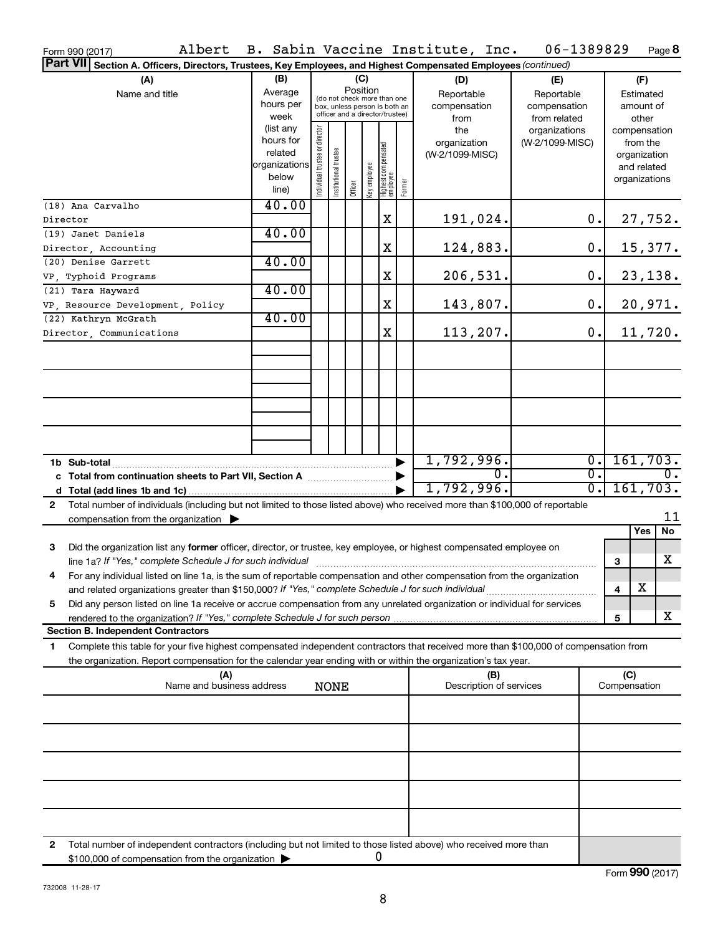| Albert<br>Form 990 (2017)                                                                                                                                                                                                                                    |                                                                      |                                                                                                                    |                       |         |              |                                   |                                           | B. Sabin Vaccine Institute, Inc.                  | 06-1389829                       |                                                 |                                        | Page 8                                                                   |
|--------------------------------------------------------------------------------------------------------------------------------------------------------------------------------------------------------------------------------------------------------------|----------------------------------------------------------------------|--------------------------------------------------------------------------------------------------------------------|-----------------------|---------|--------------|-----------------------------------|-------------------------------------------|---------------------------------------------------|----------------------------------|-------------------------------------------------|----------------------------------------|--------------------------------------------------------------------------|
| <b>Part VII</b><br>Section A. Officers, Directors, Trustees, Key Employees, and Highest Compensated Employees (continued)                                                                                                                                    |                                                                      |                                                                                                                    |                       |         |              |                                   |                                           |                                                   |                                  |                                                 |                                        |                                                                          |
| (A)<br>Name and title                                                                                                                                                                                                                                        | (B)<br>Average<br>hours per<br>week                                  | (C)<br>Position<br>(do not check more than one<br>box, unless person is both an<br>officer and a director/trustee) |                       |         |              |                                   | (D)<br>Reportable<br>compensation<br>from | (E)<br>Reportable<br>compensation<br>from related |                                  |                                                 | (F)<br>Estimated<br>amount of<br>other |                                                                          |
|                                                                                                                                                                                                                                                              | (list any<br>hours for<br>related<br>organizations<br>below<br>line) | Individual trustee or director                                                                                     | Institutional trustee | Officer | Key employee | Highest compensated<br>  employee | Former                                    | the<br>organization<br>(W-2/1099-MISC)            | organizations<br>(W-2/1099-MISC) |                                                 |                                        | compensation<br>from the<br>organization<br>and related<br>organizations |
| (18) Ana Carvalho<br>Director                                                                                                                                                                                                                                | 40.00                                                                |                                                                                                                    |                       |         |              | X                                 |                                           | 191,024.                                          |                                  | 0.                                              |                                        | 27,752.                                                                  |
| (19) Janet Daniels                                                                                                                                                                                                                                           | 40.00                                                                |                                                                                                                    |                       |         |              |                                   |                                           |                                                   |                                  |                                                 |                                        |                                                                          |
| Director, Accounting                                                                                                                                                                                                                                         |                                                                      |                                                                                                                    |                       |         |              | X                                 |                                           | 124,883.                                          |                                  | 0.                                              |                                        | 15,377.                                                                  |
| (20) Denise Garrett                                                                                                                                                                                                                                          | 40.00                                                                |                                                                                                                    |                       |         |              |                                   |                                           |                                                   |                                  |                                                 |                                        |                                                                          |
| VP, Typhoid Programs                                                                                                                                                                                                                                         | 40.00                                                                |                                                                                                                    |                       |         |              | X                                 |                                           | 206,531.                                          |                                  | 0.                                              |                                        | 23,138.                                                                  |
| (21) Tara Hayward<br>VP, Resource Development, Policy                                                                                                                                                                                                        |                                                                      |                                                                                                                    |                       |         |              | X                                 |                                           | 143,807.                                          |                                  | 0.                                              |                                        | 20,971.                                                                  |
| (22) Kathryn McGrath                                                                                                                                                                                                                                         | 40.00                                                                |                                                                                                                    |                       |         |              |                                   |                                           |                                                   |                                  |                                                 |                                        |                                                                          |
| Director, Communications                                                                                                                                                                                                                                     |                                                                      |                                                                                                                    |                       |         |              | X                                 |                                           | 113,207.                                          |                                  | 0.                                              |                                        | 11,720.                                                                  |
|                                                                                                                                                                                                                                                              |                                                                      |                                                                                                                    |                       |         |              |                                   |                                           |                                                   |                                  |                                                 |                                        |                                                                          |
|                                                                                                                                                                                                                                                              |                                                                      |                                                                                                                    |                       |         |              |                                   |                                           |                                                   |                                  |                                                 |                                        |                                                                          |
|                                                                                                                                                                                                                                                              |                                                                      |                                                                                                                    |                       |         |              |                                   |                                           |                                                   |                                  |                                                 |                                        |                                                                          |
|                                                                                                                                                                                                                                                              |                                                                      |                                                                                                                    |                       |         |              |                                   |                                           |                                                   |                                  |                                                 |                                        |                                                                          |
|                                                                                                                                                                                                                                                              |                                                                      |                                                                                                                    |                       |         |              |                                   |                                           | 1,792,996.                                        |                                  | $\overline{0}$ .                                |                                        | 161, 703.                                                                |
|                                                                                                                                                                                                                                                              |                                                                      |                                                                                                                    |                       |         |              |                                   |                                           | σ.<br>1,792,996.                                  |                                  | $\overline{\mathfrak{o}}$ .<br>$\overline{0}$ . |                                        | $\overline{0}$ .<br>161, 703.                                            |
| Total number of individuals (including but not limited to those listed above) who received more than \$100,000 of reportable<br>2                                                                                                                            |                                                                      |                                                                                                                    |                       |         |              |                                   |                                           |                                                   |                                  |                                                 |                                        |                                                                          |
| compensation from the organization $\blacktriangleright$                                                                                                                                                                                                     |                                                                      |                                                                                                                    |                       |         |              |                                   |                                           |                                                   |                                  |                                                 |                                        | 11                                                                       |
|                                                                                                                                                                                                                                                              |                                                                      |                                                                                                                    |                       |         |              |                                   |                                           |                                                   |                                  |                                                 |                                        | Yes<br>No                                                                |
| 3<br>Did the organization list any former officer, director, or trustee, key employee, or highest compensated employee on                                                                                                                                    |                                                                      |                                                                                                                    |                       |         |              |                                   |                                           |                                                   |                                  |                                                 | 3                                      | X                                                                        |
| For any individual listed on line 1a, is the sum of reportable compensation and other compensation from the organization                                                                                                                                     |                                                                      |                                                                                                                    |                       |         |              |                                   |                                           |                                                   |                                  |                                                 |                                        |                                                                          |
| and related organizations greater than \$150,000? If "Yes," complete Schedule J for such individual<br>Did any person listed on line 1a receive or accrue compensation from any unrelated organization or individual for services<br>5                       |                                                                      |                                                                                                                    |                       |         |              |                                   |                                           |                                                   |                                  |                                                 | 4                                      | х                                                                        |
|                                                                                                                                                                                                                                                              |                                                                      |                                                                                                                    |                       |         |              |                                   |                                           |                                                   |                                  |                                                 | 5                                      | X                                                                        |
| <b>Section B. Independent Contractors</b>                                                                                                                                                                                                                    |                                                                      |                                                                                                                    |                       |         |              |                                   |                                           |                                                   |                                  |                                                 |                                        |                                                                          |
| Complete this table for your five highest compensated independent contractors that received more than \$100,000 of compensation from<br>1.<br>the organization. Report compensation for the calendar year ending with or within the organization's tax year. |                                                                      |                                                                                                                    |                       |         |              |                                   |                                           |                                                   |                                  |                                                 |                                        |                                                                          |
| (A)<br>Name and business address                                                                                                                                                                                                                             |                                                                      | <b>NONE</b>                                                                                                        |                       |         |              |                                   | (B)<br>Description of services            |                                                   |                                  | (C)<br>Compensation                             |                                        |                                                                          |
|                                                                                                                                                                                                                                                              |                                                                      |                                                                                                                    |                       |         |              |                                   |                                           |                                                   |                                  |                                                 |                                        |                                                                          |
|                                                                                                                                                                                                                                                              |                                                                      |                                                                                                                    |                       |         |              |                                   |                                           |                                                   |                                  |                                                 |                                        |                                                                          |
|                                                                                                                                                                                                                                                              |                                                                      |                                                                                                                    |                       |         |              |                                   |                                           |                                                   |                                  |                                                 |                                        |                                                                          |
|                                                                                                                                                                                                                                                              |                                                                      |                                                                                                                    |                       |         |              |                                   |                                           |                                                   |                                  |                                                 |                                        |                                                                          |
|                                                                                                                                                                                                                                                              |                                                                      |                                                                                                                    |                       |         |              |                                   |                                           |                                                   |                                  |                                                 |                                        |                                                                          |
|                                                                                                                                                                                                                                                              |                                                                      |                                                                                                                    |                       |         |              |                                   |                                           |                                                   |                                  |                                                 |                                        |                                                                          |
| Total number of independent contractors (including but not limited to those listed above) who received more than<br>2<br>\$100,000 of compensation from the organization                                                                                     |                                                                      |                                                                                                                    |                       |         | 0            |                                   |                                           |                                                   |                                  |                                                 |                                        |                                                                          |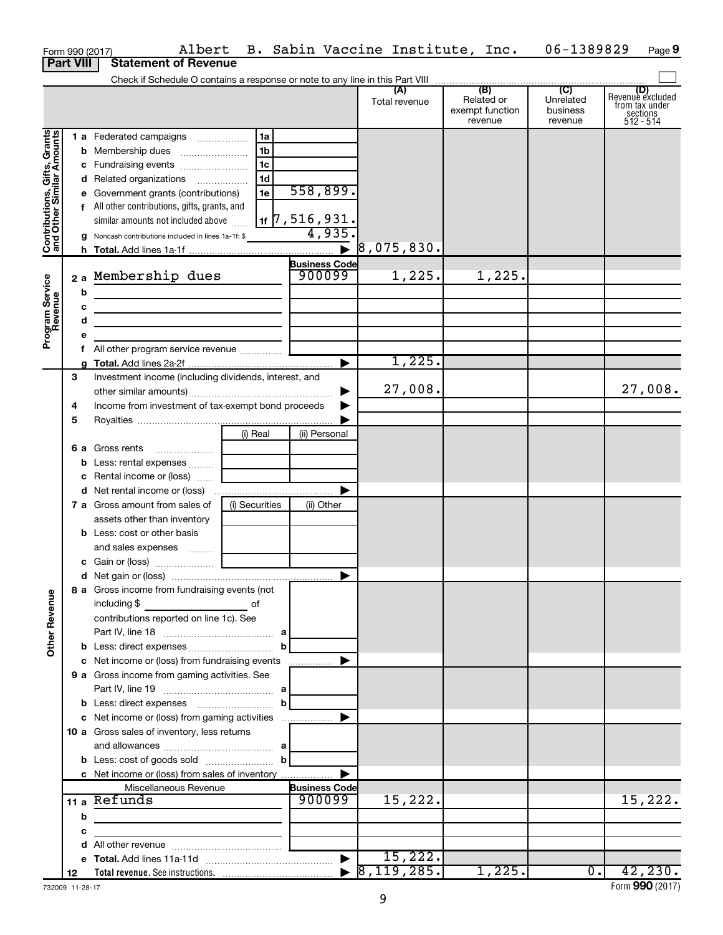|                                                           |                  |   | Albert<br>Form 990 (2017)                                                                                            |                |                             | B. Sabin Vaccine Institute, Inc. |                                                 | 06-1389829                                         | Page 9                                                      |
|-----------------------------------------------------------|------------------|---|----------------------------------------------------------------------------------------------------------------------|----------------|-----------------------------|----------------------------------|-------------------------------------------------|----------------------------------------------------|-------------------------------------------------------------|
|                                                           | <b>Part VIII</b> |   | <b>Statement of Revenue</b>                                                                                          |                |                             |                                  |                                                 |                                                    |                                                             |
|                                                           |                  |   |                                                                                                                      |                |                             |                                  |                                                 |                                                    |                                                             |
|                                                           |                  |   |                                                                                                                      |                |                             | (A)<br>Total revenue             | (B)<br>Related or<br>exempt function<br>revenue | $\overline{C}$<br>Unrelated<br>business<br>revenue | Revenue excluded<br>trom tax under<br>sections<br>512 - 514 |
|                                                           |                  |   | 1 a Federated campaigns                                                                                              | 1a             |                             |                                  |                                                 |                                                    |                                                             |
|                                                           |                  |   |                                                                                                                      | 1b             |                             |                                  |                                                 |                                                    |                                                             |
|                                                           |                  |   |                                                                                                                      | 1c             |                             |                                  |                                                 |                                                    |                                                             |
|                                                           |                  |   | d Related organizations                                                                                              | 1 <sub>d</sub> |                             |                                  |                                                 |                                                    |                                                             |
|                                                           |                  |   | e Government grants (contributions)                                                                                  | 1e             | 558,899.                    |                                  |                                                 |                                                    |                                                             |
|                                                           |                  |   | f All other contributions, gifts, grants, and                                                                        |                |                             |                                  |                                                 |                                                    |                                                             |
|                                                           |                  |   | similar amounts not included above                                                                                   |                | $\frac{1}{11}$ 7, 516, 931. |                                  |                                                 |                                                    |                                                             |
| Contributions, Gifts, Grants<br>and Other Similar Amounts |                  |   | <b>g</b> Noncash contributions included in lines 1a-1f: \$                                                           |                | 4,935.                      |                                  |                                                 |                                                    |                                                             |
|                                                           |                  |   |                                                                                                                      |                | $\blacktriangleright$       | 8,075,830.                       |                                                 |                                                    |                                                             |
|                                                           |                  |   |                                                                                                                      |                | <b>Business Code</b>        |                                  |                                                 |                                                    |                                                             |
|                                                           |                  |   | 2 a Membership dues                                                                                                  |                | 900099                      | 1,225.                           | 1,225.                                          |                                                    |                                                             |
|                                                           |                  | b | <u> 1989 - Johann Barn, fransk politik (f. 1989)</u>                                                                 |                |                             |                                  |                                                 |                                                    |                                                             |
|                                                           |                  | с | <u> 1989 - Johann Barn, mars ann an t-Amhain Aonaich an t-Aonaich an t-Aonaich ann an t-Aonaich ann an t-Aonaich</u> |                |                             |                                  |                                                 |                                                    |                                                             |
|                                                           |                  | d | the contract of the contract of the contract of the                                                                  |                |                             |                                  |                                                 |                                                    |                                                             |
| Program Service<br>Revenue                                |                  | е |                                                                                                                      |                |                             |                                  |                                                 |                                                    |                                                             |
|                                                           |                  |   | All other program service revenue                                                                                    |                |                             |                                  |                                                 |                                                    |                                                             |
|                                                           |                  |   |                                                                                                                      |                | ▶                           | 1,225.                           |                                                 |                                                    |                                                             |
|                                                           | 3                |   | Investment income (including dividends, interest, and                                                                |                |                             |                                  |                                                 |                                                    |                                                             |
|                                                           |                  |   |                                                                                                                      |                |                             | 27,008.                          |                                                 |                                                    | 27,008.                                                     |
|                                                           | 4                |   | Income from investment of tax-exempt bond proceeds                                                                   |                |                             |                                  |                                                 |                                                    |                                                             |
|                                                           | 5                |   |                                                                                                                      |                |                             |                                  |                                                 |                                                    |                                                             |
|                                                           |                  |   |                                                                                                                      | (i) Real       | (ii) Personal               |                                  |                                                 |                                                    |                                                             |
|                                                           |                  |   | 6 a Gross rents                                                                                                      |                |                             |                                  |                                                 |                                                    |                                                             |
|                                                           |                  |   | <b>b</b> Less: rental expenses  [                                                                                    |                |                             |                                  |                                                 |                                                    |                                                             |
|                                                           |                  |   | c Rental income or (loss)                                                                                            |                |                             |                                  |                                                 |                                                    |                                                             |
|                                                           |                  |   |                                                                                                                      |                | ▶                           |                                  |                                                 |                                                    |                                                             |
|                                                           |                  |   | <b>7 a</b> Gross amount from sales of                                                                                | (i) Securities | (ii) Other                  |                                  |                                                 |                                                    |                                                             |
|                                                           |                  |   | assets other than inventory                                                                                          |                |                             |                                  |                                                 |                                                    |                                                             |
|                                                           |                  |   | <b>b</b> Less: cost or other basis                                                                                   |                |                             |                                  |                                                 |                                                    |                                                             |
|                                                           |                  |   | and sales expenses  [                                                                                                |                |                             |                                  |                                                 |                                                    |                                                             |
|                                                           |                  |   |                                                                                                                      |                |                             |                                  |                                                 |                                                    |                                                             |
|                                                           |                  |   | 8 a Gross income from fundraising events (not                                                                        |                |                             |                                  |                                                 |                                                    |                                                             |
| <b>Other Revenue</b>                                      |                  |   | including \$                                                                                                         |                |                             |                                  |                                                 |                                                    |                                                             |
|                                                           |                  |   | contributions reported on line 1c). See                                                                              |                |                             |                                  |                                                 |                                                    |                                                             |
|                                                           |                  |   |                                                                                                                      |                |                             |                                  |                                                 |                                                    |                                                             |
|                                                           |                  |   |                                                                                                                      | b              |                             |                                  |                                                 |                                                    |                                                             |
|                                                           |                  |   | c Net income or (loss) from fundraising events                                                                       |                | .                           |                                  |                                                 |                                                    |                                                             |
|                                                           |                  |   | 9 a Gross income from gaming activities. See                                                                         |                |                             |                                  |                                                 |                                                    |                                                             |
|                                                           |                  |   |                                                                                                                      |                |                             |                                  |                                                 |                                                    |                                                             |
|                                                           |                  |   |                                                                                                                      | $\mathbf{b}$   |                             |                                  |                                                 |                                                    |                                                             |
|                                                           |                  |   | c Net income or (loss) from gaming activities                                                                        |                | ▶                           |                                  |                                                 |                                                    |                                                             |
|                                                           |                  |   | 10 a Gross sales of inventory, less returns                                                                          |                |                             |                                  |                                                 |                                                    |                                                             |
|                                                           |                  |   |                                                                                                                      |                |                             |                                  |                                                 |                                                    |                                                             |
|                                                           |                  |   |                                                                                                                      |                |                             |                                  |                                                 |                                                    |                                                             |
|                                                           |                  |   | c Net income or (loss) from sales of inventory                                                                       |                |                             |                                  |                                                 |                                                    |                                                             |
|                                                           |                  |   | Miscellaneous Revenue                                                                                                |                | <b>Business Code</b>        |                                  |                                                 |                                                    |                                                             |
|                                                           |                  |   | 11 a Refunds                                                                                                         |                | 900099                      | 15,222.                          |                                                 |                                                    | 15,222.                                                     |
|                                                           |                  | b | the control of the control of the control of                                                                         |                |                             |                                  |                                                 |                                                    |                                                             |
|                                                           |                  | с | <u> 1980 - John Stein, mars and de Britain Born Book</u>                                                             |                |                             |                                  |                                                 |                                                    |                                                             |
|                                                           |                  |   |                                                                                                                      |                |                             |                                  |                                                 |                                                    |                                                             |
|                                                           |                  |   |                                                                                                                      |                |                             | 15,222.                          |                                                 |                                                    |                                                             |
|                                                           | 12               |   |                                                                                                                      |                |                             |                                  | 1,225.                                          | $\overline{0}$ .                                   | 42, 230.                                                    |

732009 11-28-17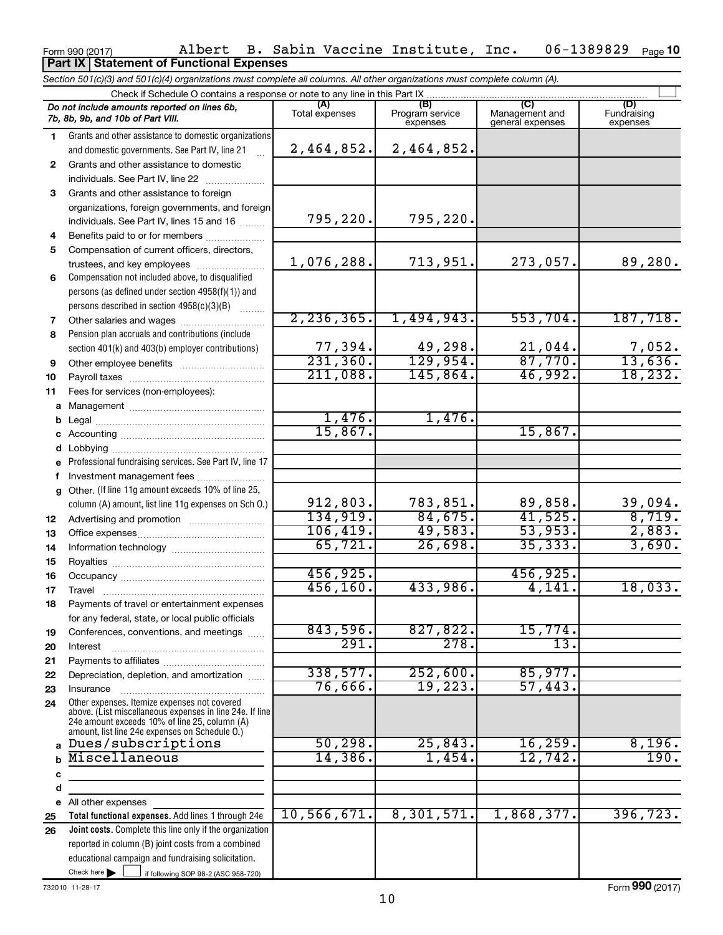## Form 990 (2017) Albert B. Sabin Vaccine Institute, Inc. 06-1389829 Page 06-1389829 Page 10 **Part IX Statement of Functional Expenses**

*Section 501(c)(3) and 501(c)(4) organizations must complete all columns. All other organizations must complete column (A).*

|    | Check if Schedule O contains a response or note to any line in this Part IX                              |                     |                             |                                    |                         |
|----|----------------------------------------------------------------------------------------------------------|---------------------|-----------------------------|------------------------------------|-------------------------|
|    | Do not include amounts reported on lines 6b,                                                             | (A)                 | (B)                         | (C)                                | (D)                     |
|    | 7b, 8b, 9b, and 10b of Part VIII.                                                                        | Total expenses      | Program service<br>expenses | Management and<br>general expenses | Fundraising<br>expenses |
| 1. | Grants and other assistance to domestic organizations                                                    |                     |                             |                                    |                         |
|    | and domestic governments. See Part IV, line 21                                                           | 2,464,852.          | 2,464,852.                  |                                    |                         |
| 2  | Grants and other assistance to domestic                                                                  |                     |                             |                                    |                         |
|    | individuals. See Part IV, line 22                                                                        |                     |                             |                                    |                         |
| 3  | Grants and other assistance to foreign                                                                   |                     |                             |                                    |                         |
|    | organizations, foreign governments, and foreign                                                          |                     |                             |                                    |                         |
|    | individuals. See Part IV, lines 15 and 16                                                                | 795, 220.           | 795,220.                    |                                    |                         |
| 4  | Benefits paid to or for members                                                                          |                     |                             |                                    |                         |
| 5  | Compensation of current officers, directors,                                                             |                     |                             |                                    |                         |
|    | trustees, and key employees                                                                              | 1,076,288.          | 713,951.                    | 273,057.                           | 89,280.                 |
| 6  | Compensation not included above, to disqualified                                                         |                     |                             |                                    |                         |
|    | persons (as defined under section 4958(f)(1)) and                                                        |                     |                             |                                    |                         |
|    | persons described in section 4958(c)(3)(B)                                                               |                     |                             |                                    |                         |
| 7  | Other salaries and wages                                                                                 | 2, 236, 365.        | 1,494,943.                  | 553,704.                           | 187,718.                |
| 8  | Pension plan accruals and contributions (include                                                         |                     |                             |                                    |                         |
|    | section 401(k) and 403(b) employer contributions)                                                        | 77,394.             | 49,298.                     | 21,044.                            | 7,052.                  |
| 9  |                                                                                                          | 231, 360.           | 129,954.                    | 87,770.                            | 13,636.                 |
| 10 |                                                                                                          | 211,088.            | 145,864.                    | 46,992.                            | 18, 232.                |
| 11 | Fees for services (non-employees):                                                                       |                     |                             |                                    |                         |
|    |                                                                                                          |                     |                             |                                    |                         |
| b  |                                                                                                          | 1,476.              | 1,476.                      |                                    |                         |
|    |                                                                                                          | 15,867.             |                             | 15,867.                            |                         |
| d  |                                                                                                          |                     |                             |                                    |                         |
|    | e Professional fundraising services. See Part IV, line 17                                                |                     |                             |                                    |                         |
| f  | Investment management fees                                                                               |                     |                             |                                    |                         |
|    | g Other. (If line 11g amount exceeds 10% of line 25,                                                     |                     |                             |                                    |                         |
|    | column (A) amount, list line 11g expenses on Sch O.)                                                     | 912,803.            | 783,851.                    | 89,858.                            | 39,094.                 |
| 12 | Advertising and promotion                                                                                | 134,919.            | 84,675.                     | 41,525.                            | 8,719.                  |
| 13 |                                                                                                          | 106, 419.           | 49,583.                     | 53,953.                            | 2,883.                  |
| 14 |                                                                                                          | 65,721.             | 26,698.                     | 35, 333.                           | 3,690.                  |
| 15 |                                                                                                          |                     |                             |                                    |                         |
| 16 |                                                                                                          | 456,925.            |                             | 456,925.                           |                         |
| 17 | Travel                                                                                                   | 456, 160.           | 433,986.                    | 4,141.                             | 18,033.                 |
| 18 | Payments of travel or entertainment expenses                                                             |                     |                             |                                    |                         |
|    | for any federal, state, or local public officials                                                        |                     |                             |                                    |                         |
| 19 | Conferences, conventions, and meetings                                                                   | 843,596.            | 827,822.                    | 15,774.                            |                         |
| 20 | Interest                                                                                                 | 291.                | 278.                        | 13.                                |                         |
| 21 |                                                                                                          |                     |                             |                                    |                         |
| 22 | Depreciation, depletion, and amortization                                                                | 338,577.            | 252,600.                    | 85,977.                            |                         |
| 23 | Insurance                                                                                                | 76,666.             | 19,223.                     | 57,443.                            |                         |
| 24 | Other expenses. Itemize expenses not covered<br>above. (List miscellaneous expenses in line 24e. If line |                     |                             |                                    |                         |
|    | 24e amount exceeds 10% of line 25, column (A)                                                            |                     |                             |                                    |                         |
|    | amount, list line 24e expenses on Schedule O.)                                                           |                     |                             |                                    |                         |
| a  | Dues/subscriptions<br>Miscellaneous                                                                      | 50, 298.<br>14,386. | 25,843.                     | 16, 259.<br>12,742.                | 8,196.<br>190.          |
|    |                                                                                                          |                     | 1,454.                      |                                    |                         |
| с  |                                                                                                          |                     |                             |                                    |                         |
| d  |                                                                                                          |                     |                             |                                    |                         |
| е  | All other expenses                                                                                       | 10, 566, 671.       | 8,301,571.                  | 1,868,377.                         | 396, 723.               |
| 25 | Total functional expenses. Add lines 1 through 24e                                                       |                     |                             |                                    |                         |
| 26 | Joint costs. Complete this line only if the organization                                                 |                     |                             |                                    |                         |
|    | reported in column (B) joint costs from a combined<br>educational campaign and fundraising solicitation. |                     |                             |                                    |                         |
|    | Check here $\blacktriangleright$                                                                         |                     |                             |                                    |                         |
|    | if following SOP 98-2 (ASC 958-720)                                                                      |                     |                             |                                    |                         |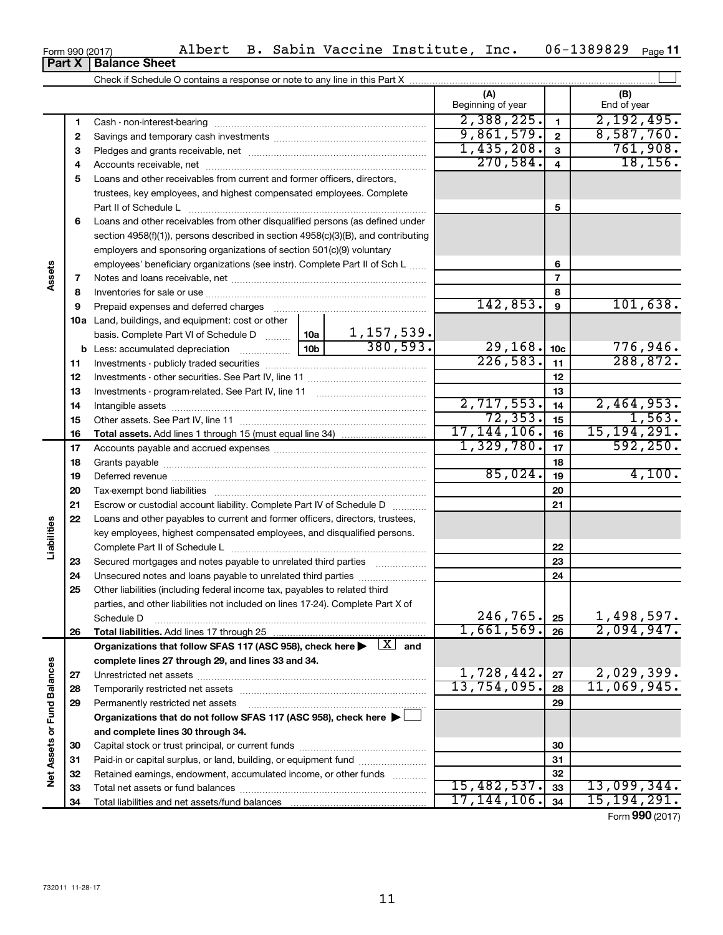| <b>Part X   Balance Sheet</b> |
|-------------------------------|

|                             |    |                                                                                                                           | (A)<br>Beginning of year |                         | (B)<br>End of year       |
|-----------------------------|----|---------------------------------------------------------------------------------------------------------------------------|--------------------------|-------------------------|--------------------------|
|                             | 1  |                                                                                                                           | 2,388,225.               | $\mathbf{1}$            | 2,192,495.               |
|                             | 2  |                                                                                                                           | 9,861,579.               | $\overline{\mathbf{2}}$ | 8,587,760.               |
|                             | З  |                                                                                                                           | 1,435,208.               | 3                       | 761,908.                 |
|                             | 4  |                                                                                                                           | 270,584.                 | 4                       | 18, 156.                 |
|                             | 5  | Loans and other receivables from current and former officers, directors,                                                  |                          |                         |                          |
|                             |    | trustees, key employees, and highest compensated employees. Complete                                                      |                          |                         |                          |
|                             |    |                                                                                                                           |                          | 5                       |                          |
|                             | 6  | Loans and other receivables from other disqualified persons (as defined under                                             |                          |                         |                          |
|                             |    | section 4958(f)(1)), persons described in section 4958(c)(3)(B), and contributing                                         |                          |                         |                          |
|                             |    | employers and sponsoring organizations of section 501(c)(9) voluntary                                                     |                          |                         |                          |
|                             |    | employees' beneficiary organizations (see instr). Complete Part II of Sch L                                               |                          | 6                       |                          |
| Assets                      | 7  |                                                                                                                           |                          | 7                       |                          |
|                             | 8  |                                                                                                                           |                          | 8                       |                          |
|                             | 9  | Prepaid expenses and deferred charges                                                                                     | 142,853.                 | $\boldsymbol{9}$        | 101,638.                 |
|                             |    | <b>10a</b> Land, buildings, and equipment: cost or other                                                                  |                          |                         |                          |
|                             |    | $\frac{1,157,539.}{380,593.}$<br>basis. Complete Part VI of Schedule D  10a                                               |                          |                         |                          |
|                             |    | 10 <sub>b</sub><br><b>b</b> Less: accumulated depreciation                                                                | 29, 168.                 | 10 <sub>c</sub>         | 776,946.                 |
|                             | 11 |                                                                                                                           | 226,583.                 | 11                      | 288, 872.                |
|                             | 12 |                                                                                                                           |                          | 12                      |                          |
|                             | 13 |                                                                                                                           |                          | 13                      |                          |
|                             | 14 |                                                                                                                           | 2,717,553.               | 14                      | 2,464,953.               |
|                             | 15 |                                                                                                                           | 72, 353.                 | 15                      | 1,563.                   |
|                             | 16 |                                                                                                                           | 17, 144, 106.            | 16                      | 15, 194, 291.            |
|                             | 17 |                                                                                                                           | 1,329,780.               | 17                      | 592, 250.                |
|                             | 18 |                                                                                                                           |                          | 18                      |                          |
|                             | 19 |                                                                                                                           | 85,024.                  | 19                      | 4,100.                   |
|                             | 20 |                                                                                                                           |                          | 20                      |                          |
|                             | 21 | Escrow or custodial account liability. Complete Part IV of Schedule D                                                     |                          | 21                      |                          |
|                             | 22 | Loans and other payables to current and former officers, directors, trustees,                                             |                          |                         |                          |
| Liabilities                 |    | key employees, highest compensated employees, and disqualified persons.                                                   |                          |                         |                          |
|                             |    |                                                                                                                           |                          | 22                      |                          |
|                             | 23 | Secured mortgages and notes payable to unrelated third parties                                                            |                          | 23                      |                          |
|                             | 24 | Unsecured notes and loans payable to unrelated third parties                                                              |                          | 24                      |                          |
|                             | 25 | Other liabilities (including federal income tax, payables to related third                                                |                          |                         |                          |
|                             |    | parties, and other liabilities not included on lines 17-24). Complete Part X of                                           |                          |                         |                          |
|                             |    | Schedule D                                                                                                                | 246,765.<br>1,661,569.   | 25                      | 1,498,597.<br>2,094,947. |
|                             | 26 |                                                                                                                           |                          | 26                      |                          |
|                             |    | Organizations that follow SFAS 117 (ASC 958), check here $\blacktriangleright \begin{array}{c} \boxed{X} \end{array}$ and |                          |                         |                          |
|                             |    | complete lines 27 through 29, and lines 33 and 34.                                                                        | 1,728,442.               | 27                      | 2,029,399.               |
|                             | 27 |                                                                                                                           | 13,754,095.              | 28                      | 11,069,945.              |
|                             | 28 | Permanently restricted net assets                                                                                         |                          | 29                      |                          |
|                             | 29 | Organizations that do not follow SFAS 117 (ASC 958), check here ▶                                                         |                          |                         |                          |
|                             |    |                                                                                                                           |                          |                         |                          |
| Net Assets or Fund Balances | 30 | and complete lines 30 through 34.                                                                                         |                          | 30                      |                          |
|                             | 31 | Paid-in or capital surplus, or land, building, or equipment fund                                                          |                          | 31                      |                          |
|                             | 32 | Retained earnings, endowment, accumulated income, or other funds                                                          |                          | 32                      |                          |
|                             | 33 |                                                                                                                           | 15,482,537.              | 33                      | 13,099,344.              |
|                             | 34 |                                                                                                                           | 17, 144, 106.            | 34                      | 15, 194, 291.            |
|                             |    |                                                                                                                           |                          |                         |                          |

Form (2017) **990**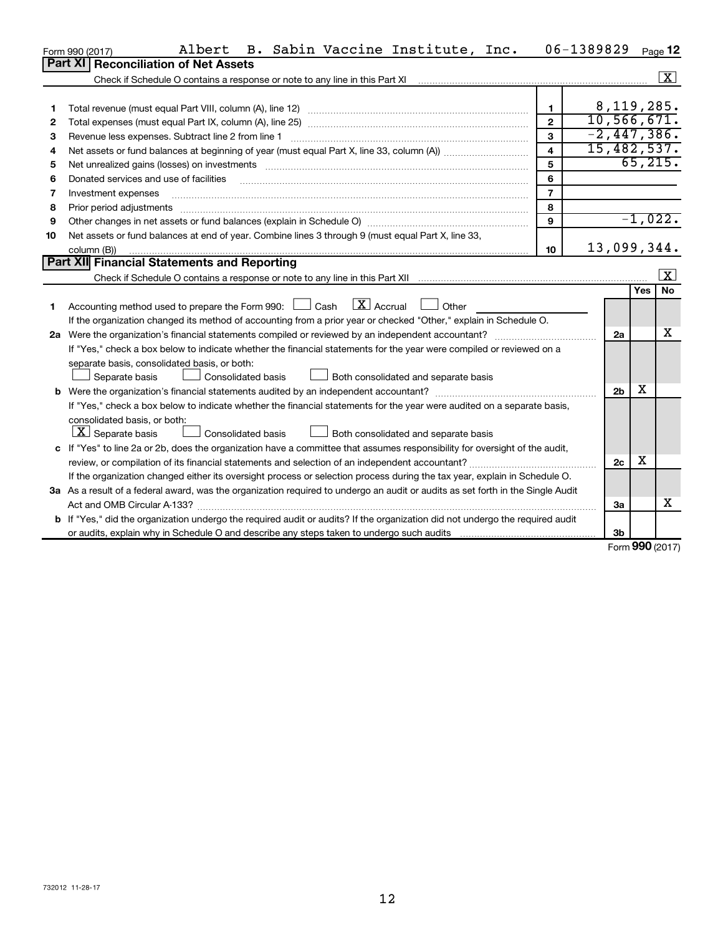|    | B. Sabin Vaccine Institute, Inc.<br>Albert<br>Form 990 (2017)                                                                   |                         | 06-1389829     |            | Page 12                 |
|----|---------------------------------------------------------------------------------------------------------------------------------|-------------------------|----------------|------------|-------------------------|
|    | Part XI   Reconciliation of Net Assets                                                                                          |                         |                |            |                         |
|    | Check if Schedule O contains a response or note to any line in this Part XI                                                     |                         |                |            | X                       |
|    |                                                                                                                                 |                         |                |            |                         |
| 1  |                                                                                                                                 | $\mathbf{1}$            | 8, 119, 285.   |            |                         |
| 2  |                                                                                                                                 | $\mathbf{2}$            | 10, 566, 671.  |            |                         |
| з  | Revenue less expenses. Subtract line 2 from line 1                                                                              | 3                       | $-2,447,386$ . |            |                         |
| 4  |                                                                                                                                 | $\overline{\mathbf{A}}$ | 15,482,537.    |            |                         |
| 5  |                                                                                                                                 | 5                       |                | 65, 215.   |                         |
| 6  | Donated services and use of facilities                                                                                          | 6                       |                |            |                         |
| 7  | Investment expenses                                                                                                             | $\overline{7}$          |                |            |                         |
| 8  | Prior period adjustments                                                                                                        | 8                       |                |            |                         |
| 9  |                                                                                                                                 | $\mathbf{Q}$            |                | $-1,022.$  |                         |
| 10 | Net assets or fund balances at end of year. Combine lines 3 through 9 (must equal Part X, line 33,                              |                         |                |            |                         |
|    | column (B))                                                                                                                     | 10                      | 13,099,344.    |            |                         |
|    | Part XII Financial Statements and Reporting                                                                                     |                         |                |            |                         |
|    |                                                                                                                                 |                         |                |            | $\overline{\mathbf{X}}$ |
|    |                                                                                                                                 |                         |                | Yes        | <b>No</b>               |
| 1  | $\overline{X}$ Accrual<br>Accounting method used to prepare the Form 990: $\Box$ Cash<br>Other                                  |                         |                |            |                         |
|    | If the organization changed its method of accounting from a prior year or checked "Other," explain in Schedule O.               |                         |                |            |                         |
|    | 2a Were the organization's financial statements compiled or reviewed by an independent accountant?                              |                         | 2a             |            | X                       |
|    | If "Yes," check a box below to indicate whether the financial statements for the year were compiled or reviewed on a            |                         |                |            |                         |
|    | separate basis, consolidated basis, or both:                                                                                    |                         |                |            |                         |
|    | Consolidated basis<br>$\Box$ Both consolidated and separate basis<br>Separate basis                                             |                         |                |            |                         |
|    |                                                                                                                                 |                         | 2 <sub>b</sub> | х          |                         |
|    | If "Yes," check a box below to indicate whether the financial statements for the year were audited on a separate basis,         |                         |                |            |                         |
|    | consolidated basis, or both:                                                                                                    |                         |                |            |                         |
|    | $\lfloor \underline{X} \rfloor$ Separate basis<br>Consolidated basis<br>Both consolidated and separate basis                    |                         |                |            |                         |
|    | c If "Yes" to line 2a or 2b, does the organization have a committee that assumes responsibility for oversight of the audit,     |                         |                |            |                         |
|    | review, or compilation of its financial statements and selection of an independent accountant?                                  |                         | 2c             | х          |                         |
|    | If the organization changed either its oversight process or selection process during the tax year, explain in Schedule O.       |                         |                |            |                         |
|    | 3a As a result of a federal award, was the organization required to undergo an audit or audits as set forth in the Single Audit |                         |                |            |                         |
|    |                                                                                                                                 |                         | За             |            | x                       |
|    | b If "Yes," did the organization undergo the required audit or audits? If the organization did not undergo the required audit   |                         |                |            |                         |
|    |                                                                                                                                 |                         | 3b             | <b>000</b> |                         |

Form (2017) **990**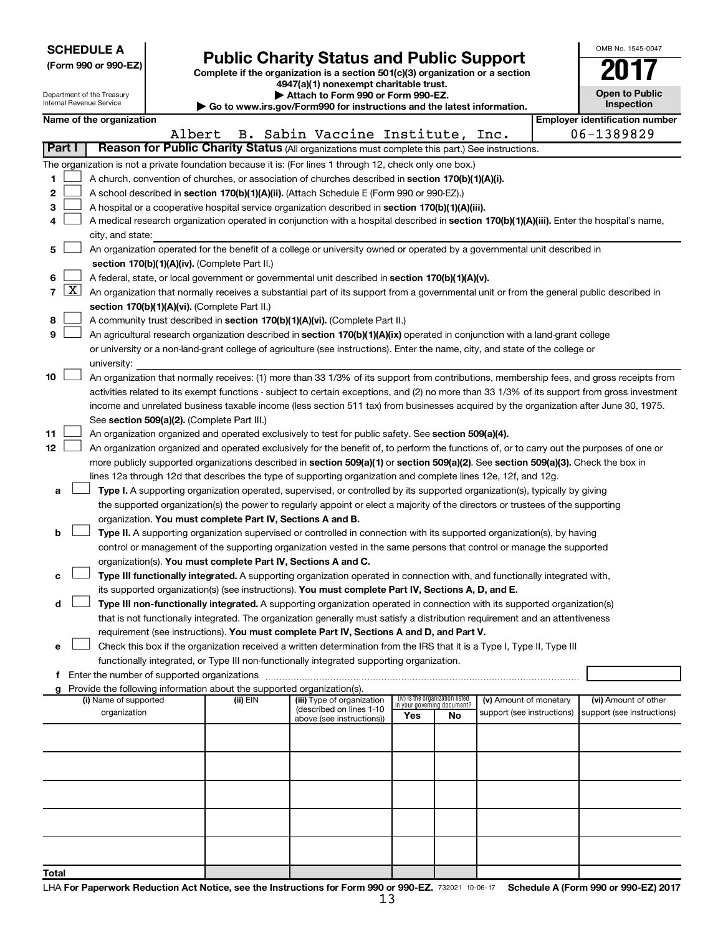| <b>SCHEDULE A</b> |
|-------------------|
|-------------------|

Department of the Treasury Internal Revenue Service

| (Form 990 or 990-EZ) |  |  |
|----------------------|--|--|
|                      |  |  |

# Form 990 or 990-EZ)<br>
Complete if the organization is a section 501(c)(3) organization or a section<br> **Public Charity Status and Public Support**

**4947(a)(1) nonexempt charitable trust. | Attach to Form 990 or Form 990-EZ.** 

**| Go to www.irs.gov/Form990 for instructions and the latest information.**

| OMB No 1545-0047                    |
|-------------------------------------|
|                                     |
| <b>Open to Public</b><br>Inspection |

|        |            | Name of the organization                                                                                                                                                   |          |                                                        |                                                                |    |                            | <b>Employer identification number</b> |
|--------|------------|----------------------------------------------------------------------------------------------------------------------------------------------------------------------------|----------|--------------------------------------------------------|----------------------------------------------------------------|----|----------------------------|---------------------------------------|
|        |            | Albert                                                                                                                                                                     |          | B. Sabin Vaccine Institute, Inc.                       |                                                                |    |                            | 06-1389829                            |
| Part I |            | Reason for Public Charity Status (All organizations must complete this part.) See instructions.                                                                            |          |                                                        |                                                                |    |                            |                                       |
|        |            | The organization is not a private foundation because it is: (For lines 1 through 12, check only one box.)                                                                  |          |                                                        |                                                                |    |                            |                                       |
| 1      |            | A church, convention of churches, or association of churches described in section 170(b)(1)(A)(i).                                                                         |          |                                                        |                                                                |    |                            |                                       |
| 2      |            | A school described in section 170(b)(1)(A)(ii). (Attach Schedule E (Form 990 or 990-EZ).)                                                                                  |          |                                                        |                                                                |    |                            |                                       |
| з      |            | A hospital or a cooperative hospital service organization described in section 170(b)(1)(A)(iii).                                                                          |          |                                                        |                                                                |    |                            |                                       |
| 4      |            | A medical research organization operated in conjunction with a hospital described in section 170(b)(1)(A)(iii). Enter the hospital's name,                                 |          |                                                        |                                                                |    |                            |                                       |
|        |            | city, and state:                                                                                                                                                           |          |                                                        |                                                                |    |                            |                                       |
| 5      |            | An organization operated for the benefit of a college or university owned or operated by a governmental unit described in<br>section 170(b)(1)(A)(iv). (Complete Part II.) |          |                                                        |                                                                |    |                            |                                       |
| 6      |            | A federal, state, or local government or governmental unit described in section 170(b)(1)(A)(v).                                                                           |          |                                                        |                                                                |    |                            |                                       |
| 7      | <u>x  </u> | An organization that normally receives a substantial part of its support from a governmental unit or from the general public described in                                  |          |                                                        |                                                                |    |                            |                                       |
|        |            | section 170(b)(1)(A)(vi). (Complete Part II.)                                                                                                                              |          |                                                        |                                                                |    |                            |                                       |
| 8      |            | A community trust described in section 170(b)(1)(A)(vi). (Complete Part II.)                                                                                               |          |                                                        |                                                                |    |                            |                                       |
| 9      |            | An agricultural research organization described in section 170(b)(1)(A)(ix) operated in conjunction with a land-grant college                                              |          |                                                        |                                                                |    |                            |                                       |
|        |            | or university or a non-land-grant college of agriculture (see instructions). Enter the name, city, and state of the college or                                             |          |                                                        |                                                                |    |                            |                                       |
|        |            | university:                                                                                                                                                                |          |                                                        |                                                                |    |                            |                                       |
| 10     |            | An organization that normally receives: (1) more than 33 1/3% of its support from contributions, membership fees, and gross receipts from                                  |          |                                                        |                                                                |    |                            |                                       |
|        |            | activities related to its exempt functions - subject to certain exceptions, and (2) no more than 33 1/3% of its support from gross investment                              |          |                                                        |                                                                |    |                            |                                       |
|        |            | income and unrelated business taxable income (less section 511 tax) from businesses acquired by the organization after June 30, 1975.                                      |          |                                                        |                                                                |    |                            |                                       |
|        |            | See section 509(a)(2). (Complete Part III.)                                                                                                                                |          |                                                        |                                                                |    |                            |                                       |
| 11     |            | An organization organized and operated exclusively to test for public safety. See section 509(a)(4).                                                                       |          |                                                        |                                                                |    |                            |                                       |
| 12     |            | An organization organized and operated exclusively for the benefit of, to perform the functions of, or to carry out the purposes of one or                                 |          |                                                        |                                                                |    |                            |                                       |
|        |            | more publicly supported organizations described in section 509(a)(1) or section 509(a)(2). See section 509(a)(3). Check the box in                                         |          |                                                        |                                                                |    |                            |                                       |
|        |            | lines 12a through 12d that describes the type of supporting organization and complete lines 12e, 12f, and 12g.                                                             |          |                                                        |                                                                |    |                            |                                       |
| a      |            | Type I. A supporting organization operated, supervised, or controlled by its supported organization(s), typically by giving                                                |          |                                                        |                                                                |    |                            |                                       |
|        |            | the supported organization(s) the power to regularly appoint or elect a majority of the directors or trustees of the supporting                                            |          |                                                        |                                                                |    |                            |                                       |
|        |            | organization. You must complete Part IV, Sections A and B.                                                                                                                 |          |                                                        |                                                                |    |                            |                                       |
| b      |            | Type II. A supporting organization supervised or controlled in connection with its supported organization(s), by having                                                    |          |                                                        |                                                                |    |                            |                                       |
|        |            | control or management of the supporting organization vested in the same persons that control or manage the supported                                                       |          |                                                        |                                                                |    |                            |                                       |
|        |            | organization(s). You must complete Part IV, Sections A and C.                                                                                                              |          |                                                        |                                                                |    |                            |                                       |
| c      |            | Type III functionally integrated. A supporting organization operated in connection with, and functionally integrated with,                                                 |          |                                                        |                                                                |    |                            |                                       |
|        |            | its supported organization(s) (see instructions). You must complete Part IV, Sections A, D, and E.                                                                         |          |                                                        |                                                                |    |                            |                                       |
| d      |            | Type III non-functionally integrated. A supporting organization operated in connection with its supported organization(s)                                                  |          |                                                        |                                                                |    |                            |                                       |
|        |            | that is not functionally integrated. The organization generally must satisfy a distribution requirement and an attentiveness                                               |          |                                                        |                                                                |    |                            |                                       |
|        |            | requirement (see instructions). You must complete Part IV, Sections A and D, and Part V.                                                                                   |          |                                                        |                                                                |    |                            |                                       |
| е      |            | Check this box if the organization received a written determination from the IRS that it is a Type I, Type II, Type III                                                    |          |                                                        |                                                                |    |                            |                                       |
|        |            | functionally integrated, or Type III non-functionally integrated supporting organization.                                                                                  |          |                                                        |                                                                |    |                            |                                       |
|        |            |                                                                                                                                                                            |          |                                                        |                                                                |    |                            |                                       |
| g      |            | Provide the following information about the supported organization(s).                                                                                                     |          |                                                        |                                                                |    |                            |                                       |
|        |            | (i) Name of supported                                                                                                                                                      | (ii) EIN | (iii) Type of organization<br>(described on lines 1-10 | (iv) Is the organization listed<br>in your governing document? |    | (v) Amount of monetary     | (vi) Amount of other                  |
|        |            | organization                                                                                                                                                               |          | above (see instructions))                              | Yes                                                            | No | support (see instructions) | support (see instructions)            |
|        |            |                                                                                                                                                                            |          |                                                        |                                                                |    |                            |                                       |
|        |            |                                                                                                                                                                            |          |                                                        |                                                                |    |                            |                                       |
|        |            |                                                                                                                                                                            |          |                                                        |                                                                |    |                            |                                       |
|        |            |                                                                                                                                                                            |          |                                                        |                                                                |    |                            |                                       |
|        |            |                                                                                                                                                                            |          |                                                        |                                                                |    |                            |                                       |
|        |            |                                                                                                                                                                            |          |                                                        |                                                                |    |                            |                                       |
|        |            |                                                                                                                                                                            |          |                                                        |                                                                |    |                            |                                       |
| Total  |            |                                                                                                                                                                            |          |                                                        |                                                                |    |                            |                                       |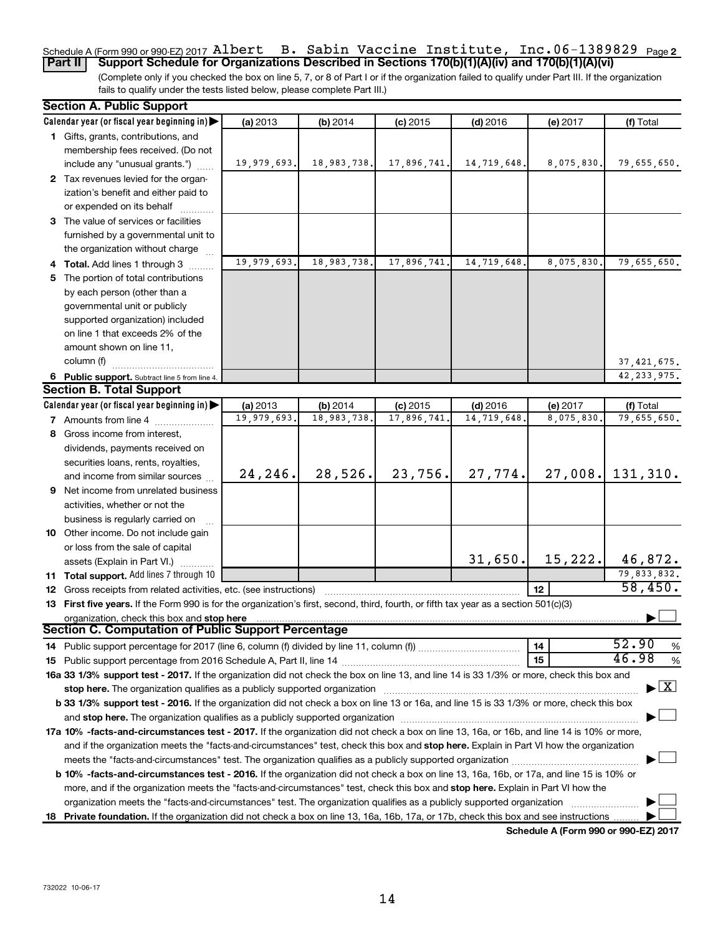#### Schedule A (Form 990 or 990-EZ) 2017 AL**Dert B. Sabin Vaccine Institute, Inc.**06-1389829 <sub>Page</sub> 2 **Part II Support Schedule for Organizations Described in Sections 170(b)(1)(A)(iv) and 170(b)(1)(A)(vi)** Albert B. Sabin Vaccine Institute, Inc.06-1389829

(Complete only if you checked the box on line 5, 7, or 8 of Part I or if the organization failed to qualify under Part III. If the organization fails to qualify under the tests listed below, please complete Part III.)

| <b>Section A. Public Support</b>                                                                                                           |             |             |             |             |            |                                    |
|--------------------------------------------------------------------------------------------------------------------------------------------|-------------|-------------|-------------|-------------|------------|------------------------------------|
| Calendar year (or fiscal year beginning in)                                                                                                | (a) 2013    | (b) 2014    | $(c)$ 2015  | $(d)$ 2016  | (e) 2017   | (f) Total                          |
| 1 Gifts, grants, contributions, and                                                                                                        |             |             |             |             |            |                                    |
| membership fees received. (Do not                                                                                                          |             |             |             |             |            |                                    |
| include any "unusual grants.")                                                                                                             | 19,979,693. | 18,983,738. | 17,896,741. | 14,719,648. | 8,075,830. | 79,655,650.                        |
| 2 Tax revenues levied for the organ-                                                                                                       |             |             |             |             |            |                                    |
| ization's benefit and either paid to                                                                                                       |             |             |             |             |            |                                    |
| or expended on its behalf                                                                                                                  |             |             |             |             |            |                                    |
| 3 The value of services or facilities                                                                                                      |             |             |             |             |            |                                    |
| furnished by a governmental unit to                                                                                                        |             |             |             |             |            |                                    |
| the organization without charge                                                                                                            |             |             |             |             |            |                                    |
| 4 Total. Add lines 1 through 3                                                                                                             | 19,979,693. | 18,983,738. | 17,896,741. | 14,719,648  | 8,075,830  | 79,655,650.                        |
| 5 The portion of total contributions                                                                                                       |             |             |             |             |            |                                    |
| by each person (other than a                                                                                                               |             |             |             |             |            |                                    |
| governmental unit or publicly                                                                                                              |             |             |             |             |            |                                    |
| supported organization) included                                                                                                           |             |             |             |             |            |                                    |
| on line 1 that exceeds 2% of the                                                                                                           |             |             |             |             |            |                                    |
| amount shown on line 11,                                                                                                                   |             |             |             |             |            |                                    |
| column (f)                                                                                                                                 |             |             |             |             |            | 37, 421, 675.                      |
| 6 Public support. Subtract line 5 from line 4.                                                                                             |             |             |             |             |            | 42, 233, 975.                      |
| <b>Section B. Total Support</b>                                                                                                            |             |             |             |             |            |                                    |
| Calendar year (or fiscal year beginning in)                                                                                                | (a) 2013    | (b) 2014    | $(c)$ 2015  | $(d)$ 2016  | (e) 2017   | (f) Total                          |
| <b>7</b> Amounts from line 4                                                                                                               | 19,979,693. | 18,983,738  | 17,896,741  | 14,719,648  | 8,075,830  | 79,655,650.                        |
| 8 Gross income from interest,                                                                                                              |             |             |             |             |            |                                    |
|                                                                                                                                            |             |             |             |             |            |                                    |
| dividends, payments received on                                                                                                            |             |             |             |             |            |                                    |
| securities loans, rents, royalties,                                                                                                        | 24,246.     | 28,526.     | 23,756.     | 27,774.     | 27,008.    | 131,310.                           |
| and income from similar sources                                                                                                            |             |             |             |             |            |                                    |
| 9 Net income from unrelated business                                                                                                       |             |             |             |             |            |                                    |
| activities, whether or not the                                                                                                             |             |             |             |             |            |                                    |
| business is regularly carried on                                                                                                           |             |             |             |             |            |                                    |
| 10 Other income. Do not include gain                                                                                                       |             |             |             |             |            |                                    |
| or loss from the sale of capital                                                                                                           |             |             |             | 31,650.     | 15,222.    | 46,872.                            |
| assets (Explain in Part VI.)                                                                                                               |             |             |             |             |            |                                    |
| <b>11 Total support.</b> Add lines 7 through 10                                                                                            |             |             |             |             |            | 79,833,832.<br>58,450.             |
| <b>12</b> Gross receipts from related activities, etc. (see instructions)                                                                  |             |             |             |             | 12         |                                    |
| 13 First five years. If the Form 990 is for the organization's first, second, third, fourth, or fifth tax year as a section 501(c)(3)      |             |             |             |             |            |                                    |
| organization, check this box and stop here<br><b>Section C. Computation of Public Support Percentage</b>                                   |             |             |             |             |            |                                    |
|                                                                                                                                            |             |             |             |             |            | 52.90                              |
|                                                                                                                                            |             |             |             |             | 14         | %<br>46.98                         |
|                                                                                                                                            |             |             |             |             | 15         | %                                  |
| 16a 33 1/3% support test - 2017. If the organization did not check the box on line 13, and line 14 is 33 1/3% or more, check this box and  |             |             |             |             |            | $\blacktriangleright$ $\mathbf{X}$ |
| stop here. The organization qualifies as a publicly supported organization                                                                 |             |             |             |             |            |                                    |
| b 33 1/3% support test - 2016. If the organization did not check a box on line 13 or 16a, and line 15 is 33 1/3% or more, check this box   |             |             |             |             |            |                                    |
| and stop here. The organization qualifies as a publicly supported organization manufaction and stop here. The organization                 |             |             |             |             |            |                                    |
| 17a 10% -facts-and-circumstances test - 2017. If the organization did not check a box on line 13, 16a, or 16b, and line 14 is 10% or more, |             |             |             |             |            |                                    |
| and if the organization meets the "facts-and-circumstances" test, check this box and stop here. Explain in Part VI how the organization    |             |             |             |             |            |                                    |
|                                                                                                                                            |             |             |             |             |            |                                    |
| b 10% -facts-and-circumstances test - 2016. If the organization did not check a box on line 13, 16a, 16b, or 17a, and line 15 is 10% or    |             |             |             |             |            |                                    |
| more, and if the organization meets the "facts-and-circumstances" test, check this box and stop here. Explain in Part VI how the           |             |             |             |             |            |                                    |
| organization meets the "facts-and-circumstances" test. The organization qualifies as a publicly supported organization                     |             |             |             |             |            |                                    |
| 18 Private foundation. If the organization did not check a box on line 13, 16a, 16b, 17a, or 17b, check this box and see instructions      |             |             |             |             |            |                                    |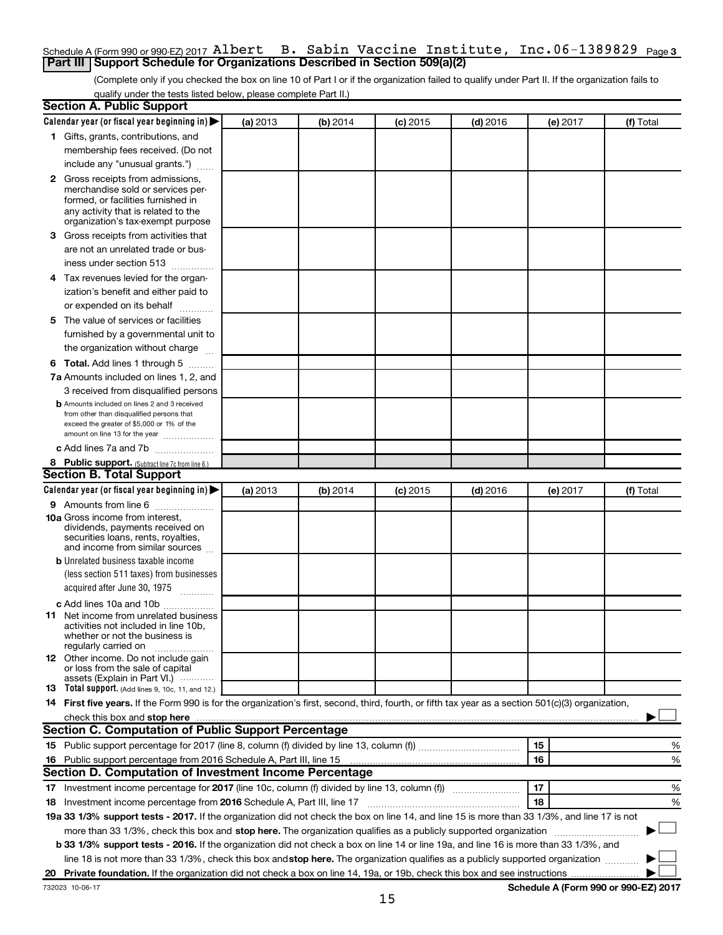## Schedule A (Form 990 or 990-EZ) 2017  ${\tt Albert-B.~Sabin~Vaccine~Institute,~Inc.06-1389829~Page 3}$ **Part III Support Schedule for Organizations Described in Section 509(a)(2)**

(Complete only if you checked the box on line 10 of Part I or if the organization failed to qualify under Part II. If the organization fails to qualify under the tests listed below, please complete Part II.)

|    | <b>Section A. Public Support</b>                                                                                                                    |          |          |            |            |          |           |
|----|-----------------------------------------------------------------------------------------------------------------------------------------------------|----------|----------|------------|------------|----------|-----------|
|    | Calendar year (or fiscal year beginning in)                                                                                                         | (a) 2013 | (b) 2014 | $(c)$ 2015 | $(d)$ 2016 | (e) 2017 | (f) Total |
|    | 1 Gifts, grants, contributions, and                                                                                                                 |          |          |            |            |          |           |
|    | membership fees received. (Do not                                                                                                                   |          |          |            |            |          |           |
|    | include any "unusual grants.")                                                                                                                      |          |          |            |            |          |           |
|    | 2 Gross receipts from admissions,                                                                                                                   |          |          |            |            |          |           |
|    | merchandise sold or services per-                                                                                                                   |          |          |            |            |          |           |
|    | formed, or facilities furnished in                                                                                                                  |          |          |            |            |          |           |
|    | any activity that is related to the<br>organization's tax-exempt purpose                                                                            |          |          |            |            |          |           |
|    | 3 Gross receipts from activities that                                                                                                               |          |          |            |            |          |           |
|    | are not an unrelated trade or bus-                                                                                                                  |          |          |            |            |          |           |
|    | iness under section 513                                                                                                                             |          |          |            |            |          |           |
|    |                                                                                                                                                     |          |          |            |            |          |           |
|    | 4 Tax revenues levied for the organ-                                                                                                                |          |          |            |            |          |           |
|    | ization's benefit and either paid to                                                                                                                |          |          |            |            |          |           |
|    | or expended on its behalf                                                                                                                           |          |          |            |            |          |           |
|    | 5 The value of services or facilities                                                                                                               |          |          |            |            |          |           |
|    | furnished by a governmental unit to                                                                                                                 |          |          |            |            |          |           |
|    | the organization without charge                                                                                                                     |          |          |            |            |          |           |
|    | 6 Total. Add lines 1 through 5                                                                                                                      |          |          |            |            |          |           |
|    | 7a Amounts included on lines 1, 2, and                                                                                                              |          |          |            |            |          |           |
|    | 3 received from disqualified persons                                                                                                                |          |          |            |            |          |           |
|    | <b>b</b> Amounts included on lines 2 and 3 received                                                                                                 |          |          |            |            |          |           |
|    | from other than disqualified persons that<br>exceed the greater of \$5,000 or 1% of the                                                             |          |          |            |            |          |           |
|    | amount on line 13 for the year                                                                                                                      |          |          |            |            |          |           |
|    | c Add lines 7a and 7b                                                                                                                               |          |          |            |            |          |           |
|    | 8 Public support. (Subtract line 7c from line 6.)                                                                                                   |          |          |            |            |          |           |
|    | <b>Section B. Total Support</b>                                                                                                                     |          |          |            |            |          |           |
|    | Calendar year (or fiscal year beginning in)                                                                                                         | (a) 2013 | (b) 2014 | $(c)$ 2015 | $(d)$ 2016 | (e) 2017 | (f) Total |
|    | 9 Amounts from line 6                                                                                                                               |          |          |            |            |          |           |
|    | <b>10a</b> Gross income from interest,                                                                                                              |          |          |            |            |          |           |
|    | dividends, payments received on                                                                                                                     |          |          |            |            |          |           |
|    | securities loans, rents, royalties,<br>and income from similar sources                                                                              |          |          |            |            |          |           |
|    | <b>b</b> Unrelated business taxable income                                                                                                          |          |          |            |            |          |           |
|    | (less section 511 taxes) from businesses                                                                                                            |          |          |            |            |          |           |
|    | acquired after June 30, 1975                                                                                                                        |          |          |            |            |          |           |
|    | $\cdots$                                                                                                                                            |          |          |            |            |          |           |
|    | c Add lines 10a and 10b                                                                                                                             |          |          |            |            |          |           |
|    | <b>11</b> Net income from unrelated business<br>activities not included in line 10b.                                                                |          |          |            |            |          |           |
|    | whether or not the business is                                                                                                                      |          |          |            |            |          |           |
|    | regularly carried on                                                                                                                                |          |          |            |            |          |           |
|    | <b>12</b> Other income. Do not include gain<br>or loss from the sale of capital                                                                     |          |          |            |            |          |           |
|    | assets (Explain in Part VI.) …………                                                                                                                   |          |          |            |            |          |           |
|    | <b>13</b> Total support. (Add lines 9, 10c, 11, and 12.)                                                                                            |          |          |            |            |          |           |
|    | 14 First five years. If the Form 990 is for the organization's first, second, third, fourth, or fifth tax year as a section 501(c)(3) organization, |          |          |            |            |          |           |
|    | check this box and stop here                                                                                                                        |          |          |            |            |          |           |
|    | Section C. Computation of Public Support Percentage                                                                                                 |          |          |            |            |          |           |
|    |                                                                                                                                                     |          |          |            |            | 15       | %         |
|    | 16 Public support percentage from 2016 Schedule A, Part III, line 15                                                                                |          |          |            |            | 16       | %         |
|    | Section D. Computation of Investment Income Percentage                                                                                              |          |          |            |            |          |           |
|    |                                                                                                                                                     |          |          |            |            | 17       | ℅         |
|    | 18 Investment income percentage from 2016 Schedule A, Part III, line 17                                                                             |          |          |            |            | 18       | %         |
|    | 19a 33 1/3% support tests - 2017. If the organization did not check the box on line 14, and line 15 is more than 33 1/3%, and line 17 is not        |          |          |            |            |          |           |
|    | more than 33 1/3%, check this box and stop here. The organization qualifies as a publicly supported organization                                    |          |          |            |            |          |           |
|    | b 33 1/3% support tests - 2016. If the organization did not check a box on line 14 or line 19a, and line 16 is more than 33 1/3%, and               |          |          |            |            |          |           |
|    | line 18 is not more than 33 1/3%, check this box and stop here. The organization qualifies as a publicly supported organization                     |          |          |            |            |          |           |
| 20 |                                                                                                                                                     |          |          |            |            |          |           |
|    |                                                                                                                                                     |          |          |            |            |          |           |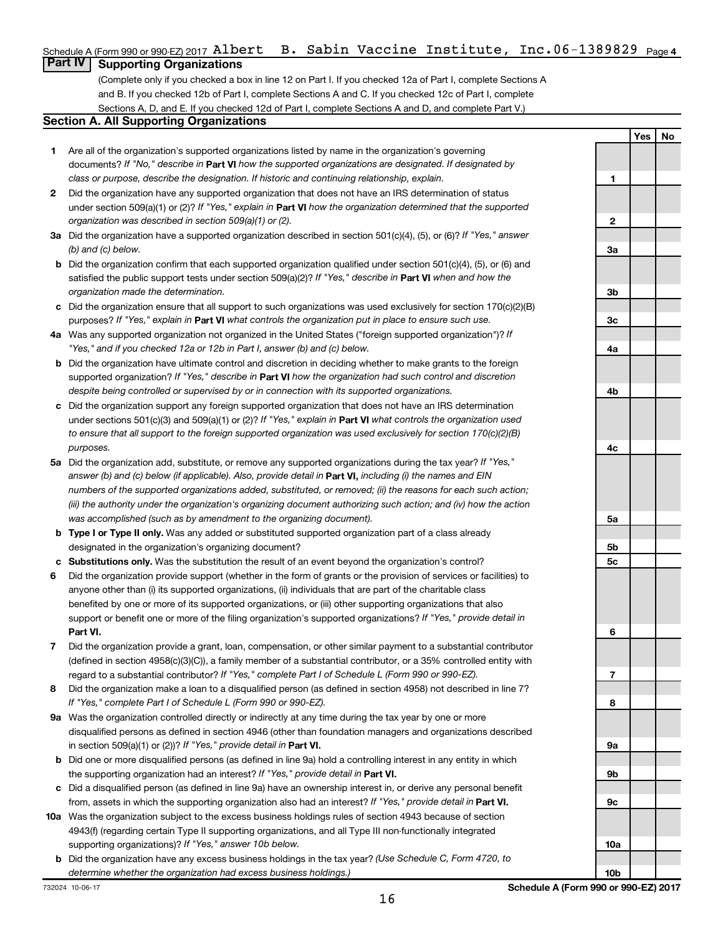## Schedule A (Form 990 or 990-EZ) 2017 <code>Albert B.</code> Sabin Vaccine Institute, Inc.06-1389829 <code>page4</code>

## **Part IV Supporting Organizations**

(Complete only if you checked a box in line 12 on Part I. If you checked 12a of Part I, complete Sections A and B. If you checked 12b of Part I, complete Sections A and C. If you checked 12c of Part I, complete Sections A, D, and E. If you checked 12d of Part I, complete Sections A and D, and complete Part V.)

## **Section A. All Supporting Organizations**

- **1** Are all of the organization's supported organizations listed by name in the organization's governing documents? If "No," describe in Part VI how the supported organizations are designated. If designated by *class or purpose, describe the designation. If historic and continuing relationship, explain.*
- **2** Did the organization have any supported organization that does not have an IRS determination of status under section 509(a)(1) or (2)? If "Yes," explain in Part **VI** how the organization determined that the supported *organization was described in section 509(a)(1) or (2).*
- **3a** Did the organization have a supported organization described in section 501(c)(4), (5), or (6)? If "Yes," answer *(b) and (c) below.*
- **b** Did the organization confirm that each supported organization qualified under section 501(c)(4), (5), or (6) and satisfied the public support tests under section 509(a)(2)? If "Yes," describe in Part VI when and how the *organization made the determination.*
- **c** Did the organization ensure that all support to such organizations was used exclusively for section 170(c)(2)(B) purposes? If "Yes," explain in Part VI what controls the organization put in place to ensure such use.
- **4 a** *If* Was any supported organization not organized in the United States ("foreign supported organization")? *"Yes," and if you checked 12a or 12b in Part I, answer (b) and (c) below.*
- **b** Did the organization have ultimate control and discretion in deciding whether to make grants to the foreign supported organization? If "Yes," describe in Part VI how the organization had such control and discretion *despite being controlled or supervised by or in connection with its supported organizations.*
- **c** Did the organization support any foreign supported organization that does not have an IRS determination under sections 501(c)(3) and 509(a)(1) or (2)? If "Yes," explain in Part VI what controls the organization used *to ensure that all support to the foreign supported organization was used exclusively for section 170(c)(2)(B) purposes.*
- **5a** Did the organization add, substitute, or remove any supported organizations during the tax year? If "Yes," answer (b) and (c) below (if applicable). Also, provide detail in **Part VI,** including (i) the names and EIN *numbers of the supported organizations added, substituted, or removed; (ii) the reasons for each such action; (iii) the authority under the organization's organizing document authorizing such action; and (iv) how the action was accomplished (such as by amendment to the organizing document).*
- **b** Type I or Type II only. Was any added or substituted supported organization part of a class already designated in the organization's organizing document?
- **c Substitutions only.**  Was the substitution the result of an event beyond the organization's control?
- **6** Did the organization provide support (whether in the form of grants or the provision of services or facilities) to **Part VI.** support or benefit one or more of the filing organization's supported organizations? If "Yes," provide detail in anyone other than (i) its supported organizations, (ii) individuals that are part of the charitable class benefited by one or more of its supported organizations, or (iii) other supporting organizations that also
- **7** Did the organization provide a grant, loan, compensation, or other similar payment to a substantial contributor regard to a substantial contributor? If "Yes," complete Part I of Schedule L (Form 990 or 990-EZ). (defined in section 4958(c)(3)(C)), a family member of a substantial contributor, or a 35% controlled entity with
- **8** Did the organization make a loan to a disqualified person (as defined in section 4958) not described in line 7? *If "Yes," complete Part I of Schedule L (Form 990 or 990-EZ).*
- **9 a** Was the organization controlled directly or indirectly at any time during the tax year by one or more in section 509(a)(1) or (2))? If "Yes," provide detail in **Part VI.** disqualified persons as defined in section 4946 (other than foundation managers and organizations described
- **b** Did one or more disqualified persons (as defined in line 9a) hold a controlling interest in any entity in which the supporting organization had an interest? If "Yes," provide detail in Part VI.
- **c** Did a disqualified person (as defined in line 9a) have an ownership interest in, or derive any personal benefit from, assets in which the supporting organization also had an interest? If "Yes," provide detail in Part VI.
- **10 a** Was the organization subject to the excess business holdings rules of section 4943 because of section supporting organizations)? If "Yes," answer 10b below. 4943(f) (regarding certain Type II supporting organizations, and all Type III non-functionally integrated
- **b** Did the organization have any excess business holdings in the tax year? (Use Schedule C, Form 4720, to *determine whether the organization had excess business holdings.)*

**1 2 3a 3b 3c 4a 4b 4c 5a 5b 5c 6 7 8 9a 9b 9c 10a**

**Yes No**

**10b**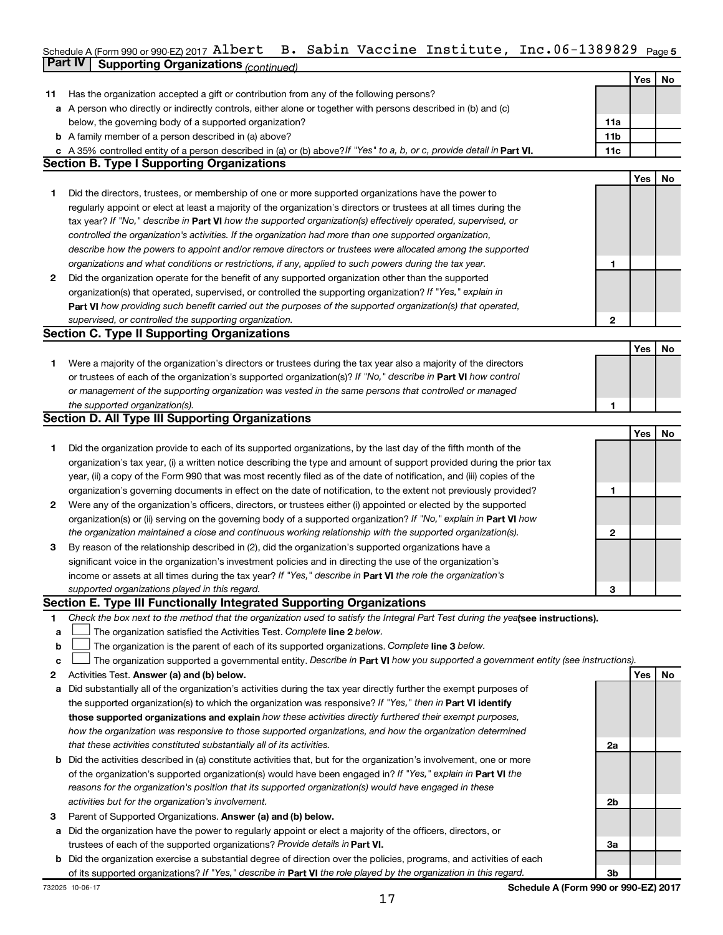## Schedule A (Form 990 or 990-EZ) 2017 <code>AlDert B.</code> Sabin Vaccine Institute, Inc.06-1389829  $_{\text{Page 5}}$ **Part IV Supporting Organizations** *(continued)* Albert B. Sabin Vaccine Institute, Inc.06-1389829

|    |                                                                                                                                                                              |              | Yes | No |
|----|------------------------------------------------------------------------------------------------------------------------------------------------------------------------------|--------------|-----|----|
| 11 | Has the organization accepted a gift or contribution from any of the following persons?                                                                                      |              |     |    |
|    | a A person who directly or indirectly controls, either alone or together with persons described in (b) and (c)                                                               |              |     |    |
|    | below, the governing body of a supported organization?<br><b>b</b> A family member of a person described in (a) above?                                                       | 11a<br>11b   |     |    |
|    |                                                                                                                                                                              | 11c          |     |    |
|    | c A 35% controlled entity of a person described in (a) or (b) above? If "Yes" to a, b, or c, provide detail in Part VI.<br><b>Section B. Type I Supporting Organizations</b> |              |     |    |
|    |                                                                                                                                                                              |              | Yes | No |
| 1. | Did the directors, trustees, or membership of one or more supported organizations have the power to                                                                          |              |     |    |
|    | regularly appoint or elect at least a majority of the organization's directors or trustees at all times during the                                                           |              |     |    |
|    | tax year? If "No," describe in Part VI how the supported organization(s) effectively operated, supervised, or                                                                |              |     |    |
|    | controlled the organization's activities. If the organization had more than one supported organization,                                                                      |              |     |    |
|    | describe how the powers to appoint and/or remove directors or trustees were allocated among the supported                                                                    |              |     |    |
|    | organizations and what conditions or restrictions, if any, applied to such powers during the tax year.                                                                       | 1            |     |    |
| 2  | Did the organization operate for the benefit of any supported organization other than the supported                                                                          |              |     |    |
|    | organization(s) that operated, supervised, or controlled the supporting organization? If "Yes," explain in                                                                   |              |     |    |
|    | Part VI how providing such benefit carried out the purposes of the supported organization(s) that operated,                                                                  |              |     |    |
|    | supervised, or controlled the supporting organization.                                                                                                                       | $\mathbf{2}$ |     |    |
|    | <b>Section C. Type II Supporting Organizations</b>                                                                                                                           |              |     |    |
|    |                                                                                                                                                                              |              | Yes | No |
| 1. | Were a majority of the organization's directors or trustees during the tax year also a majority of the directors                                                             |              |     |    |
|    | or trustees of each of the organization's supported organization(s)? If "No," describe in Part VI how control                                                                |              |     |    |
|    | or management of the supporting organization was vested in the same persons that controlled or managed                                                                       |              |     |    |
|    | the supported organization(s).                                                                                                                                               | 1            |     |    |
|    | <b>Section D. All Type III Supporting Organizations</b>                                                                                                                      |              |     |    |
|    |                                                                                                                                                                              |              | Yes | No |
| 1  | Did the organization provide to each of its supported organizations, by the last day of the fifth month of the                                                               |              |     |    |
|    | organization's tax year, (i) a written notice describing the type and amount of support provided during the prior tax                                                        |              |     |    |
|    | year, (ii) a copy of the Form 990 that was most recently filed as of the date of notification, and (iii) copies of the                                                       |              |     |    |
|    | organization's governing documents in effect on the date of notification, to the extent not previously provided?                                                             | 1            |     |    |
| 2  | Were any of the organization's officers, directors, or trustees either (i) appointed or elected by the supported                                                             |              |     |    |
|    | organization(s) or (ii) serving on the governing body of a supported organization? If "No," explain in <b>Part VI</b> how                                                    |              |     |    |
|    | the organization maintained a close and continuous working relationship with the supported organization(s).                                                                  | $\mathbf{2}$ |     |    |
| 3  | By reason of the relationship described in (2), did the organization's supported organizations have a                                                                        |              |     |    |
|    | significant voice in the organization's investment policies and in directing the use of the organization's                                                                   |              |     |    |
|    | income or assets at all times during the tax year? If "Yes," describe in Part VI the role the organization's                                                                 |              |     |    |
|    | supported organizations played in this regard.                                                                                                                               | 3            |     |    |
|    | Section E. Type III Functionally Integrated Supporting Organizations                                                                                                         |              |     |    |
| 1  | Check the box next to the method that the organization used to satisfy the Integral Part Test during the yealsee instructions).                                              |              |     |    |
| а  | The organization satisfied the Activities Test. Complete line 2 below.                                                                                                       |              |     |    |
| b  | The organization is the parent of each of its supported organizations. Complete line 3 below.                                                                                |              |     |    |
| c  | The organization supported a governmental entity. Describe in Part VI how you supported a government entity (see instructions).                                              |              |     |    |
| 2  | Activities Test. Answer (a) and (b) below.                                                                                                                                   |              | Yes | No |
| а  | Did substantially all of the organization's activities during the tax year directly further the exempt purposes of                                                           |              |     |    |
|    | the supported organization(s) to which the organization was responsive? If "Yes," then in Part VI identify                                                                   |              |     |    |
|    | those supported organizations and explain how these activities directly furthered their exempt purposes,                                                                     |              |     |    |
|    | how the organization was responsive to those supported organizations, and how the organization determined                                                                    |              |     |    |
|    | that these activities constituted substantially all of its activities.                                                                                                       | 2a           |     |    |
|    | <b>b</b> Did the activities described in (a) constitute activities that, but for the organization's involvement, one or more                                                 |              |     |    |
|    | of the organization's supported organization(s) would have been engaged in? If "Yes," explain in Part VI the                                                                 |              |     |    |
|    | reasons for the organization's position that its supported organization(s) would have engaged in these                                                                       |              |     |    |
|    | activities but for the organization's involvement.                                                                                                                           | 2b           |     |    |
| З  | Parent of Supported Organizations. Answer (a) and (b) below.                                                                                                                 |              |     |    |
| а  | Did the organization have the power to regularly appoint or elect a majority of the officers, directors, or                                                                  |              |     |    |
|    | trustees of each of the supported organizations? Provide details in Part VI.                                                                                                 | За           |     |    |
|    | <b>b</b> Did the organization exercise a substantial degree of direction over the policies, programs, and activities of each                                                 |              |     |    |
|    | of its supported organizations? If "Yes," describe in Part VI the role played by the organization in this regard.                                                            | 3b           |     |    |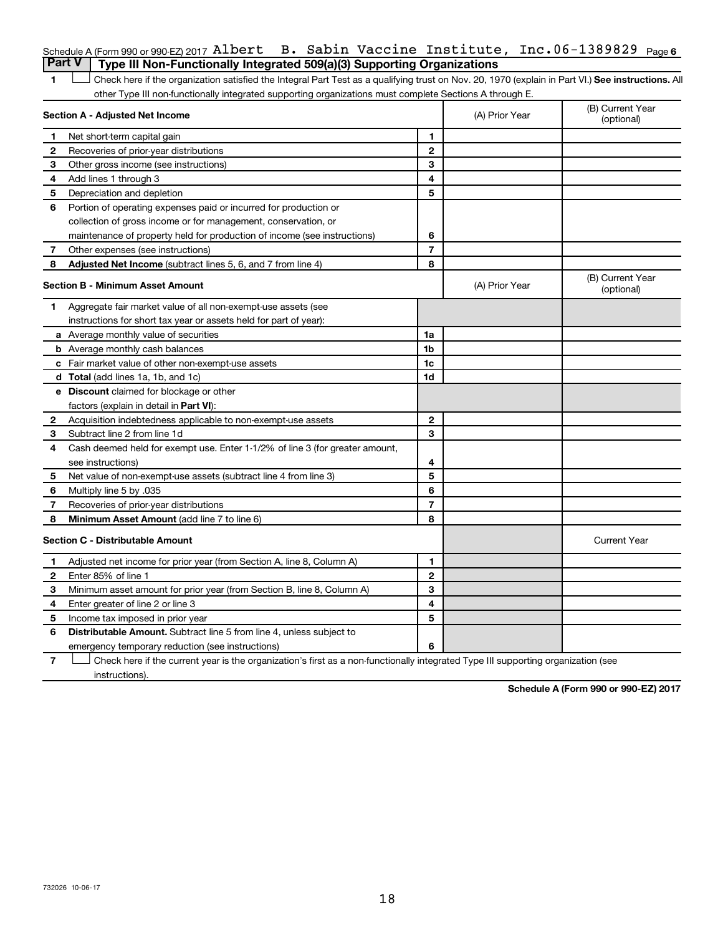|                                                                                         |  |  | Schedule A (Form 990 or 990-EZ) 2017 Albert B. Sabin Vaccine Institute, Inc. $06-1389829$ Page 6 |  |
|-----------------------------------------------------------------------------------------|--|--|--------------------------------------------------------------------------------------------------|--|
| <b>Part V</b>   Type III Non-Functionally Integrated 509(a)(3) Supporting Organizations |  |  |                                                                                                  |  |

1 **Letter See instructions.** All Check here if the organization satisfied the Integral Part Test as a qualifying trust on Nov. 20, 1970 (explain in Part VI.) See instructions. All other Type III non-functionally integrated supporting organizations must complete Sections A through E.

|    | Section A - Adjusted Net Income                                              | (A) Prior Year | (B) Current Year<br>(optional) |                                |
|----|------------------------------------------------------------------------------|----------------|--------------------------------|--------------------------------|
| 1  | Net short-term capital gain                                                  | 1              |                                |                                |
| 2  | Recoveries of prior-year distributions                                       | $\mathbf{2}$   |                                |                                |
| З  | Other gross income (see instructions)                                        | 3              |                                |                                |
| 4  | Add lines 1 through 3                                                        | 4              |                                |                                |
| 5  | Depreciation and depletion                                                   | 5              |                                |                                |
| 6  | Portion of operating expenses paid or incurred for production or             |                |                                |                                |
|    | collection of gross income or for management, conservation, or               |                |                                |                                |
|    | maintenance of property held for production of income (see instructions)     | 6              |                                |                                |
| 7  | Other expenses (see instructions)                                            | $\overline{7}$ |                                |                                |
| 8  | Adjusted Net Income (subtract lines 5, 6, and 7 from line 4)                 | 8              |                                |                                |
|    | <b>Section B - Minimum Asset Amount</b>                                      |                | (A) Prior Year                 | (B) Current Year<br>(optional) |
| 1. | Aggregate fair market value of all non-exempt-use assets (see                |                |                                |                                |
|    | instructions for short tax year or assets held for part of year):            |                |                                |                                |
|    | a Average monthly value of securities                                        | 1a             |                                |                                |
|    | <b>b</b> Average monthly cash balances                                       | 1b             |                                |                                |
|    | c Fair market value of other non-exempt-use assets                           | 1c             |                                |                                |
|    | d Total (add lines 1a, 1b, and 1c)                                           | 1 <sub>d</sub> |                                |                                |
|    | e Discount claimed for blockage or other                                     |                |                                |                                |
|    | factors (explain in detail in Part VI):                                      |                |                                |                                |
| 2  | Acquisition indebtedness applicable to non-exempt-use assets                 | $\mathbf{2}$   |                                |                                |
| 3  | Subtract line 2 from line 1d                                                 | 3              |                                |                                |
| 4  | Cash deemed held for exempt use. Enter 1-1/2% of line 3 (for greater amount, |                |                                |                                |
|    | see instructions)                                                            | 4              |                                |                                |
| 5  | Net value of non-exempt-use assets (subtract line 4 from line 3)             | 5              |                                |                                |
| 6  | Multiply line 5 by .035                                                      | 6              |                                |                                |
| 7  | Recoveries of prior-year distributions                                       | $\overline{7}$ |                                |                                |
| 8  | Minimum Asset Amount (add line 7 to line 6)                                  | 8              |                                |                                |
|    | <b>Section C - Distributable Amount</b>                                      |                |                                | <b>Current Year</b>            |
| 1  | Adjusted net income for prior year (from Section A, line 8, Column A)        | 1              |                                |                                |
| 2  | Enter 85% of line 1                                                          | $\mathbf{2}$   |                                |                                |
| 3  | Minimum asset amount for prior year (from Section B, line 8, Column A)       | 3              |                                |                                |
| 4  | Enter greater of line 2 or line 3                                            | 4              |                                |                                |
| 5  | Income tax imposed in prior year                                             | 5              |                                |                                |
| 6  | <b>Distributable Amount.</b> Subtract line 5 from line 4, unless subject to  |                |                                |                                |
|    | emergency temporary reduction (see instructions)                             | 6              |                                |                                |

**7** Let Check here if the current year is the organization's first as a non-functionally integrated Type III supporting organization (see instructions).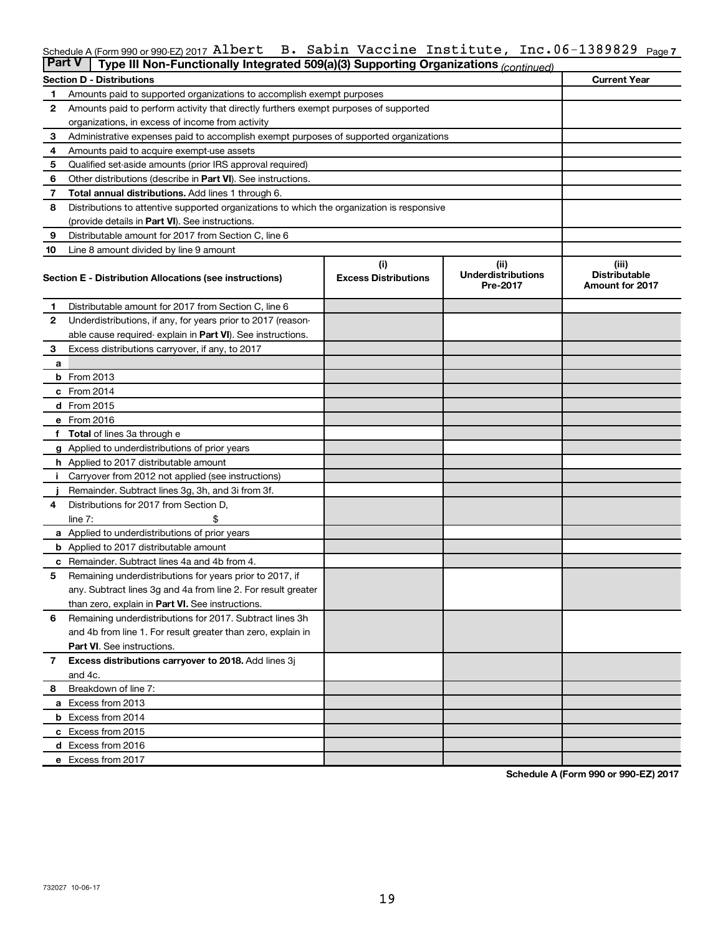## Schedule A (Form 990 or 990-EZ) 2017 <code>Albert B.</code> Sabin Vaccine Institute, Inc.06-1389829 <code>page</code>7 **Part V Type III Non-Functional Schedule A (Form 990 or 990-EZ) 2017 Albert**

| <b>Fail V</b> | <u>rype iii Non-Functionally integrated 509(a)(3) Supporting Organizations (continued)</u> |                             |                                       |                                                |
|---------------|--------------------------------------------------------------------------------------------|-----------------------------|---------------------------------------|------------------------------------------------|
|               | Section D - Distributions                                                                  |                             |                                       | <b>Current Year</b>                            |
| 1             | Amounts paid to supported organizations to accomplish exempt purposes                      |                             |                                       |                                                |
| 2             | Amounts paid to perform activity that directly furthers exempt purposes of supported       |                             |                                       |                                                |
|               | organizations, in excess of income from activity                                           |                             |                                       |                                                |
| 3             | Administrative expenses paid to accomplish exempt purposes of supported organizations      |                             |                                       |                                                |
| 4             | Amounts paid to acquire exempt-use assets                                                  |                             |                                       |                                                |
| 5             | Qualified set-aside amounts (prior IRS approval required)                                  |                             |                                       |                                                |
| 6             | Other distributions (describe in Part VI). See instructions.                               |                             |                                       |                                                |
| 7             | <b>Total annual distributions.</b> Add lines 1 through 6.                                  |                             |                                       |                                                |
| 8             | Distributions to attentive supported organizations to which the organization is responsive |                             |                                       |                                                |
|               | (provide details in Part VI). See instructions.                                            |                             |                                       |                                                |
| 9             | Distributable amount for 2017 from Section C. line 6                                       |                             |                                       |                                                |
| 10            | Line 8 amount divided by line 9 amount                                                     |                             |                                       |                                                |
|               |                                                                                            | (i)                         | (ii)                                  | (iii)                                          |
|               | Section E - Distribution Allocations (see instructions)                                    | <b>Excess Distributions</b> | <b>Underdistributions</b><br>Pre-2017 | <b>Distributable</b><br><b>Amount for 2017</b> |
| 1             | Distributable amount for 2017 from Section C. line 6                                       |                             |                                       |                                                |
| 2             | Underdistributions, if any, for years prior to 2017 (reason-                               |                             |                                       |                                                |
|               | able cause required-explain in Part VI). See instructions.                                 |                             |                                       |                                                |
| З             | Excess distributions carryover, if any, to 2017                                            |                             |                                       |                                                |
| a             |                                                                                            |                             |                                       |                                                |
|               | $b$ From 2013                                                                              |                             |                                       |                                                |
|               | $c$ From 2014                                                                              |                             |                                       |                                                |
|               | <b>d</b> From 2015                                                                         |                             |                                       |                                                |
|               | e From 2016                                                                                |                             |                                       |                                                |
|               | f Total of lines 3a through e                                                              |                             |                                       |                                                |
|               | g Applied to underdistributions of prior years                                             |                             |                                       |                                                |
|               | <b>h</b> Applied to 2017 distributable amount                                              |                             |                                       |                                                |
| i.            | Carryover from 2012 not applied (see instructions)                                         |                             |                                       |                                                |
|               | Remainder. Subtract lines 3g, 3h, and 3i from 3f.                                          |                             |                                       |                                                |
| 4             | Distributions for 2017 from Section D,                                                     |                             |                                       |                                                |
|               | \$<br>line $7:$                                                                            |                             |                                       |                                                |
|               | <b>a</b> Applied to underdistributions of prior years                                      |                             |                                       |                                                |
|               | <b>b</b> Applied to 2017 distributable amount                                              |                             |                                       |                                                |
|               | <b>c</b> Remainder. Subtract lines 4a and 4b from 4.                                       |                             |                                       |                                                |
| 5             | Remaining underdistributions for years prior to 2017, if                                   |                             |                                       |                                                |
|               | any. Subtract lines 3g and 4a from line 2. For result greater                              |                             |                                       |                                                |
|               | than zero, explain in Part VI. See instructions.                                           |                             |                                       |                                                |
| 6             | Remaining underdistributions for 2017. Subtract lines 3h                                   |                             |                                       |                                                |
|               | and 4b from line 1. For result greater than zero, explain in                               |                             |                                       |                                                |
|               |                                                                                            |                             |                                       |                                                |
|               | <b>Part VI.</b> See instructions.                                                          |                             |                                       |                                                |
| 7             | Excess distributions carryover to 2018. Add lines 3j                                       |                             |                                       |                                                |
|               | and 4c.                                                                                    |                             |                                       |                                                |
| 8             | Breakdown of line 7:                                                                       |                             |                                       |                                                |
|               | <b>a</b> Excess from 2013                                                                  |                             |                                       |                                                |
|               | <b>b</b> Excess from 2014                                                                  |                             |                                       |                                                |
|               | c Excess from 2015                                                                         |                             |                                       |                                                |
|               | d Excess from 2016                                                                         |                             |                                       |                                                |
|               | e Excess from 2017                                                                         |                             |                                       |                                                |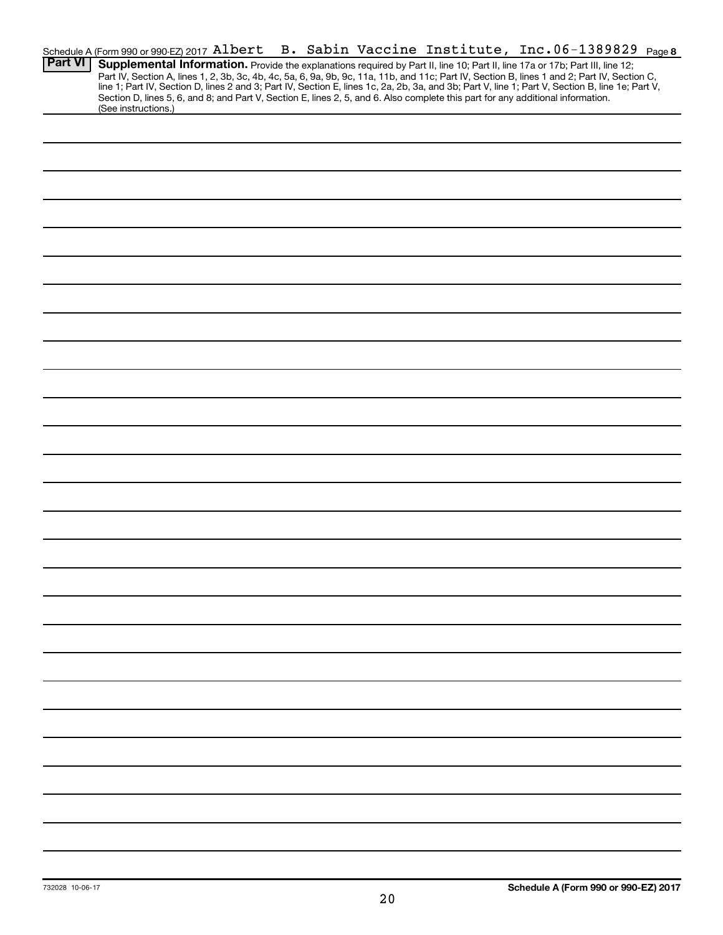|                | Schedule A (Form 990 or 990-EZ) 2017 Albert |  |  |  | B. Sabin Vaccine Institute, Inc.06-1389829 Page8                                                                                                                                                                                                                                                 |  |
|----------------|---------------------------------------------|--|--|--|--------------------------------------------------------------------------------------------------------------------------------------------------------------------------------------------------------------------------------------------------------------------------------------------------|--|
| <b>Part VI</b> |                                             |  |  |  | Supplemental Information. Provide the explanations required by Part II, line 10; Part II, line 17a or 17b; Part III, line 12;                                                                                                                                                                    |  |
|                |                                             |  |  |  | Part IV, Section A, lines 1, 2, 3b, 3c, 4b, 4c, 5a, 6, 9a, 9b, 9c, 11a, 11b, and 11c; Part IV, Section B, lines 1 and 2; Part IV, Section C,<br>line 1; Part IV, Section D, lines 2 and 3; Part IV, Section E, lines 1c, 2a, 2b, 3a, and 3b; Part V, line 1; Part V, Section B, line 1e; Part V, |  |
|                |                                             |  |  |  | Section D, lines 5, 6, and 8; and Part V, Section E, lines 2, 5, and 6. Also complete this part for any additional information.                                                                                                                                                                  |  |
|                | (See instructions.)                         |  |  |  |                                                                                                                                                                                                                                                                                                  |  |
|                |                                             |  |  |  |                                                                                                                                                                                                                                                                                                  |  |
|                |                                             |  |  |  |                                                                                                                                                                                                                                                                                                  |  |
|                |                                             |  |  |  |                                                                                                                                                                                                                                                                                                  |  |
|                |                                             |  |  |  |                                                                                                                                                                                                                                                                                                  |  |
|                |                                             |  |  |  |                                                                                                                                                                                                                                                                                                  |  |
|                |                                             |  |  |  |                                                                                                                                                                                                                                                                                                  |  |
|                |                                             |  |  |  |                                                                                                                                                                                                                                                                                                  |  |
|                |                                             |  |  |  |                                                                                                                                                                                                                                                                                                  |  |
|                |                                             |  |  |  |                                                                                                                                                                                                                                                                                                  |  |
|                |                                             |  |  |  |                                                                                                                                                                                                                                                                                                  |  |
|                |                                             |  |  |  |                                                                                                                                                                                                                                                                                                  |  |
|                |                                             |  |  |  |                                                                                                                                                                                                                                                                                                  |  |
|                |                                             |  |  |  |                                                                                                                                                                                                                                                                                                  |  |
|                |                                             |  |  |  |                                                                                                                                                                                                                                                                                                  |  |
|                |                                             |  |  |  |                                                                                                                                                                                                                                                                                                  |  |
|                |                                             |  |  |  |                                                                                                                                                                                                                                                                                                  |  |
|                |                                             |  |  |  |                                                                                                                                                                                                                                                                                                  |  |
|                |                                             |  |  |  |                                                                                                                                                                                                                                                                                                  |  |
|                |                                             |  |  |  |                                                                                                                                                                                                                                                                                                  |  |
|                |                                             |  |  |  |                                                                                                                                                                                                                                                                                                  |  |
|                |                                             |  |  |  |                                                                                                                                                                                                                                                                                                  |  |
|                |                                             |  |  |  |                                                                                                                                                                                                                                                                                                  |  |
|                |                                             |  |  |  |                                                                                                                                                                                                                                                                                                  |  |
|                |                                             |  |  |  |                                                                                                                                                                                                                                                                                                  |  |
|                |                                             |  |  |  |                                                                                                                                                                                                                                                                                                  |  |
|                |                                             |  |  |  |                                                                                                                                                                                                                                                                                                  |  |
|                |                                             |  |  |  |                                                                                                                                                                                                                                                                                                  |  |
|                |                                             |  |  |  |                                                                                                                                                                                                                                                                                                  |  |
|                |                                             |  |  |  |                                                                                                                                                                                                                                                                                                  |  |
|                |                                             |  |  |  |                                                                                                                                                                                                                                                                                                  |  |
|                |                                             |  |  |  |                                                                                                                                                                                                                                                                                                  |  |
|                |                                             |  |  |  |                                                                                                                                                                                                                                                                                                  |  |
|                |                                             |  |  |  |                                                                                                                                                                                                                                                                                                  |  |
|                |                                             |  |  |  |                                                                                                                                                                                                                                                                                                  |  |
|                |                                             |  |  |  |                                                                                                                                                                                                                                                                                                  |  |
|                |                                             |  |  |  |                                                                                                                                                                                                                                                                                                  |  |
|                |                                             |  |  |  |                                                                                                                                                                                                                                                                                                  |  |
|                |                                             |  |  |  |                                                                                                                                                                                                                                                                                                  |  |
|                |                                             |  |  |  |                                                                                                                                                                                                                                                                                                  |  |
|                |                                             |  |  |  |                                                                                                                                                                                                                                                                                                  |  |
|                |                                             |  |  |  |                                                                                                                                                                                                                                                                                                  |  |
|                |                                             |  |  |  |                                                                                                                                                                                                                                                                                                  |  |
|                |                                             |  |  |  |                                                                                                                                                                                                                                                                                                  |  |
|                |                                             |  |  |  |                                                                                                                                                                                                                                                                                                  |  |
|                |                                             |  |  |  |                                                                                                                                                                                                                                                                                                  |  |
|                |                                             |  |  |  |                                                                                                                                                                                                                                                                                                  |  |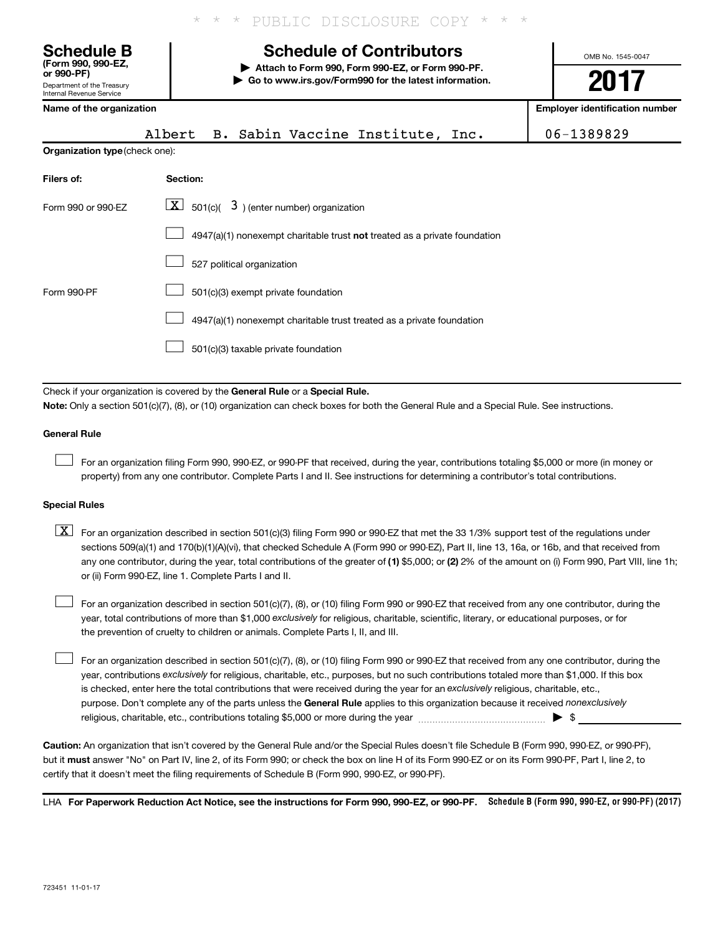\* PUBLIC DISCLOSURE COPY

**| Go to www.irs.gov/Form990 for the latest information.**

OMB No. 1545-0047

**2017**

## **(Form 990, 990-EZ, or 990-PF) | Attach to Form 990, Form 990-EZ, or Form 990-PF. Schedule B Schedule of Contributors**

Department of the Treasury Internal Revenue Service

| Name of the organization              |                                                                             | <b>Employer identification number</b> |
|---------------------------------------|-----------------------------------------------------------------------------|---------------------------------------|
|                                       | B. Sabin Vaccine Institute, Inc.<br>Albert                                  | 06-1389829                            |
| <b>Organization type (check one):</b> |                                                                             |                                       |
| Filers of:                            | Section:                                                                    |                                       |
| Form 990 or 990-EZ                    | $\lfloor \underline{X} \rfloor$ 501(c)( 3) (enter number) organization      |                                       |
|                                       | $4947(a)(1)$ nonexempt charitable trust not treated as a private foundation |                                       |
|                                       | 527 political organization                                                  |                                       |
| Form 990-PF                           | 501(c)(3) exempt private foundation                                         |                                       |
|                                       | 4947(a)(1) nonexempt charitable trust treated as a private foundation       |                                       |
|                                       | 501(c)(3) taxable private foundation                                        |                                       |

Check if your organization is covered by the General Rule or a Special Rule.

**Note:**  Only a section 501(c)(7), (8), or (10) organization can check boxes for both the General Rule and a Special Rule. See instructions.

## **General Rule**

 $\Box$ 

For an organization filing Form 990, 990-EZ, or 990-PF that received, during the year, contributions totaling \$5,000 or more (in money or property) from any one contributor. Complete Parts I and II. See instructions for determining a contributor's total contributions.

## **Special Rules**

any one contributor, during the year, total contributions of the greater of (1) \$5,000; or (2) 2% of the amount on (i) Form 990, Part VIII, line 1h;  $\boxed{\text{X}}$  For an organization described in section 501(c)(3) filing Form 990 or 990-EZ that met the 33 1/3% support test of the regulations under sections 509(a)(1) and 170(b)(1)(A)(vi), that checked Schedule A (Form 990 or 990-EZ), Part II, line 13, 16a, or 16b, and that received from or (ii) Form 990-EZ, line 1. Complete Parts I and II.

year, total contributions of more than \$1,000 *exclusively* for religious, charitable, scientific, literary, or educational purposes, or for For an organization described in section 501(c)(7), (8), or (10) filing Form 990 or 990-EZ that received from any one contributor, during the the prevention of cruelty to children or animals. Complete Parts I, II, and III.  $\Box$ 

purpose. Don't complete any of the parts unless the General Rule applies to this organization because it received nonexclusively year, contributions exclusively for religious, charitable, etc., purposes, but no such contributions totaled more than \$1,000. If this box is checked, enter here the total contributions that were received during the year for an exclusively religious, charitable, etc., For an organization described in section 501(c)(7), (8), or (10) filing Form 990 or 990-EZ that received from any one contributor, during the religious, charitable, etc., contributions totaling \$5,000 or more during the year  $\ldots$  $\ldots$  $\ldots$  $\ldots$  $\ldots$  $\ldots$  $\Box$ 

**Caution:**  An organization that isn't covered by the General Rule and/or the Special Rules doesn't file Schedule B (Form 990, 990-EZ, or 990-PF),  **must** but it answer "No" on Part IV, line 2, of its Form 990; or check the box on line H of its Form 990-EZ or on its Form 990-PF, Part I, line 2, to certify that it doesn't meet the filing requirements of Schedule B (Form 990, 990-EZ, or 990-PF).

LHA For Paperwork Reduction Act Notice, see the instructions for Form 990, 990-EZ, or 990-PF. Schedule B (Form 990, 990-EZ, or 990-PF) (2017)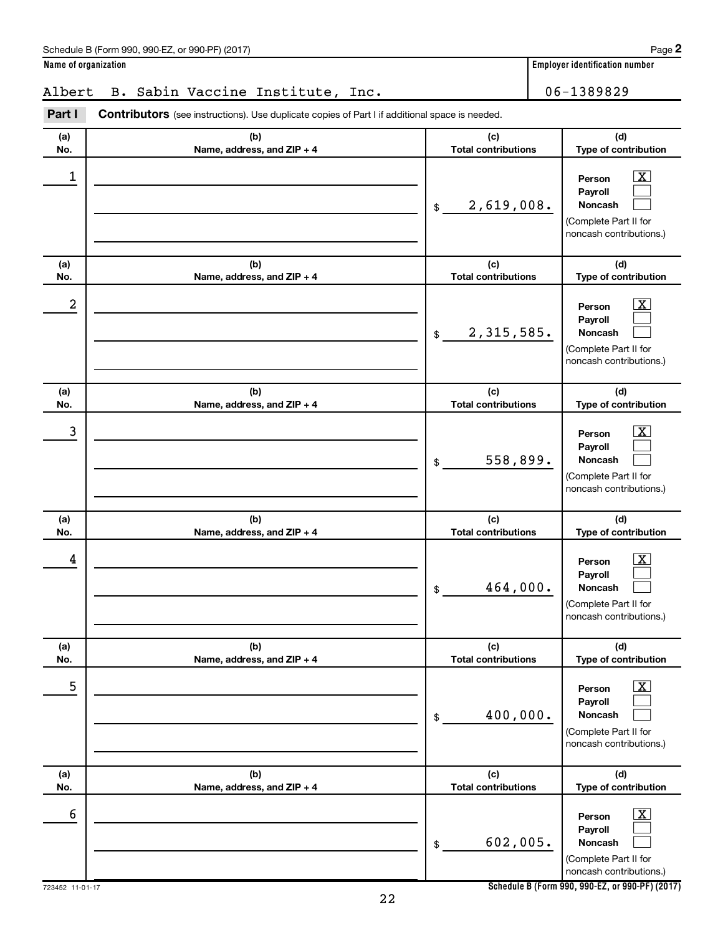| $(201^{-7})$<br>990-E7<br>Schedule<br>(Form 990.<br>. or 990-PF` | Paɑe |
|------------------------------------------------------------------|------|
|                                                                  |      |

**2**

**Name of organization Employer identification number**

## Albert B. Sabin Vaccine Institute, Inc. 1989829

| Part I     | <b>Contributors</b> (see instructions). Use duplicate copies of Part I if additional space is needed. |                                   |                                                                                                                    |
|------------|-------------------------------------------------------------------------------------------------------|-----------------------------------|--------------------------------------------------------------------------------------------------------------------|
| (a)<br>No. | (b)<br>Name, address, and ZIP + 4                                                                     | (c)<br><b>Total contributions</b> | (d)<br>Type of contribution                                                                                        |
| 1          |                                                                                                       | 2,619,008.<br>\$                  | $\overline{\mathbf{X}}$<br>Person<br>Payroll<br><b>Noncash</b><br>(Complete Part II for<br>noncash contributions.) |
| (a)<br>No. | (b)<br>Name, address, and ZIP + 4                                                                     | (c)<br><b>Total contributions</b> | (d)<br>Type of contribution                                                                                        |
| 2          |                                                                                                       | 2,315,585.<br>\$                  | $\overline{\mathbf{X}}$<br>Person<br>Payroll<br>Noncash<br>(Complete Part II for<br>noncash contributions.)        |
| (a)<br>No. | (b)<br>Name, address, and ZIP + 4                                                                     | (c)<br><b>Total contributions</b> | (d)<br>Type of contribution                                                                                        |
| 3          |                                                                                                       | 558,899.<br>\$                    | $\overline{\mathbf{X}}$<br>Person<br>Payroll<br>Noncash<br>(Complete Part II for<br>noncash contributions.)        |
| (a)<br>No. | (b)<br>Name, address, and ZIP + 4                                                                     | (c)<br><b>Total contributions</b> | (d)<br>Type of contribution                                                                                        |
| 4          |                                                                                                       | 464,000.<br>\$                    | $\overline{\mathbf{X}}$<br>Person<br>Payroll<br>Noncash<br>(Complete Part II for<br>noncash contributions.)        |
| (a)<br>No. | (b)<br>Name, address, and ZIP + 4                                                                     | (c)<br><b>Total contributions</b> | (d)<br>Type of contribution                                                                                        |
| 5          |                                                                                                       | 400,000.<br>\$                    | $\overline{\text{X}}$<br>Person<br>Payroll<br>Noncash<br>(Complete Part II for<br>noncash contributions.)          |
| (a)<br>No. | (b)<br>Name, address, and ZIP + 4                                                                     | (c)<br><b>Total contributions</b> | (d)<br>Type of contribution                                                                                        |
| 6          |                                                                                                       | 602,005.<br>\$                    | $\overline{\text{X}}$<br>Person<br>Payroll<br>Noncash<br>(Complete Part II for<br>noncash contributions.)          |

**Schedule B (Form 990, 990-EZ, or 990-PF) (2017)**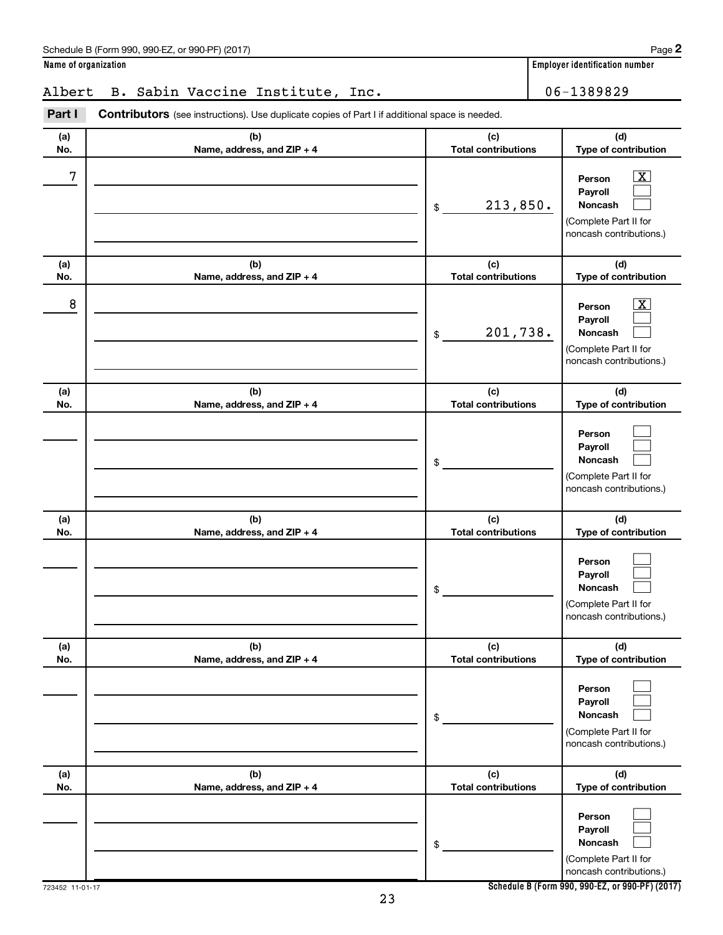| (c)<br>(d)<br>(a)<br>(b)<br><b>Total contributions</b><br>Type of contribution<br>No.<br>Name, address, and ZIP + 4<br>8<br>$\overline{\textbf{X}}$<br>Person<br>Payroll<br>201,738.<br>Noncash<br>\$<br>(Complete Part II for<br>noncash contributions.)<br>(c)<br>(d)<br>(a)<br>(b)<br><b>Total contributions</b><br>Type of contribution<br>No.<br>Name, address, and ZIP + 4<br>Person<br>Payroll<br>Noncash<br>\$<br>(Complete Part II for<br>noncash contributions.)<br>(c)<br>(d)<br>(a)<br>(b)<br><b>Total contributions</b><br>Type of contribution<br>No.<br>Name, address, and ZIP + 4<br>Person<br>Payroll<br>Noncash<br>\$<br>(Complete Part II for<br>noncash contributions.)<br>(b)<br>(c)<br>(d)<br>(a)<br><b>Total contributions</b><br>Name, address, and ZIP + 4<br>Type of contribution<br>No.<br>Person<br>Payroll<br>Noncash<br>\$<br>(Complete Part II for<br>noncash contributions.)<br>(b)<br>(c)<br>(d)<br>(a)<br>Name, address, and ZIP + 4<br><b>Total contributions</b><br>Type of contribution<br>No.<br>Person<br>Payroll<br>Noncash<br>\$<br>(Complete Part II for<br>noncash contributions.) | 7              | 213,850.<br>\$ | $\overline{\text{X}}$<br>Person<br>Payroll<br>Noncash<br>(Complete Part II for<br>noncash contributions.) |
|-------------------------------------------------------------------------------------------------------------------------------------------------------------------------------------------------------------------------------------------------------------------------------------------------------------------------------------------------------------------------------------------------------------------------------------------------------------------------------------------------------------------------------------------------------------------------------------------------------------------------------------------------------------------------------------------------------------------------------------------------------------------------------------------------------------------------------------------------------------------------------------------------------------------------------------------------------------------------------------------------------------------------------------------------------------------------------------------------------------------------------|----------------|----------------|-----------------------------------------------------------------------------------------------------------|
|                                                                                                                                                                                                                                                                                                                                                                                                                                                                                                                                                                                                                                                                                                                                                                                                                                                                                                                                                                                                                                                                                                                               |                |                |                                                                                                           |
|                                                                                                                                                                                                                                                                                                                                                                                                                                                                                                                                                                                                                                                                                                                                                                                                                                                                                                                                                                                                                                                                                                                               |                |                |                                                                                                           |
|                                                                                                                                                                                                                                                                                                                                                                                                                                                                                                                                                                                                                                                                                                                                                                                                                                                                                                                                                                                                                                                                                                                               |                |                |                                                                                                           |
|                                                                                                                                                                                                                                                                                                                                                                                                                                                                                                                                                                                                                                                                                                                                                                                                                                                                                                                                                                                                                                                                                                                               |                |                |                                                                                                           |
|                                                                                                                                                                                                                                                                                                                                                                                                                                                                                                                                                                                                                                                                                                                                                                                                                                                                                                                                                                                                                                                                                                                               |                |                |                                                                                                           |
|                                                                                                                                                                                                                                                                                                                                                                                                                                                                                                                                                                                                                                                                                                                                                                                                                                                                                                                                                                                                                                                                                                                               |                |                |                                                                                                           |
|                                                                                                                                                                                                                                                                                                                                                                                                                                                                                                                                                                                                                                                                                                                                                                                                                                                                                                                                                                                                                                                                                                                               |                |                |                                                                                                           |
|                                                                                                                                                                                                                                                                                                                                                                                                                                                                                                                                                                                                                                                                                                                                                                                                                                                                                                                                                                                                                                                                                                                               |                |                |                                                                                                           |
|                                                                                                                                                                                                                                                                                                                                                                                                                                                                                                                                                                                                                                                                                                                                                                                                                                                                                                                                                                                                                                                                                                                               |                |                |                                                                                                           |
| Schedule B (Form 990, 990-EZ, or 990-PF) (2017)<br>23                                                                                                                                                                                                                                                                                                                                                                                                                                                                                                                                                                                                                                                                                                                                                                                                                                                                                                                                                                                                                                                                         | 23452 11-01-17 |                |                                                                                                           |

06-1389829

**(d) Type of contribution**

**(a) No.**

**Name of organization Employer identification number**

**(c) Total contributions**

|  |  | Albert B. Sabin Vaccine Institute, Inc. |  |
|--|--|-----------------------------------------|--|
|  |  |                                         |  |

**(b) Name, address, and ZIP + 4**

Part I Contributors (see instructions). Use duplicate copies of Part I if additional space is needed.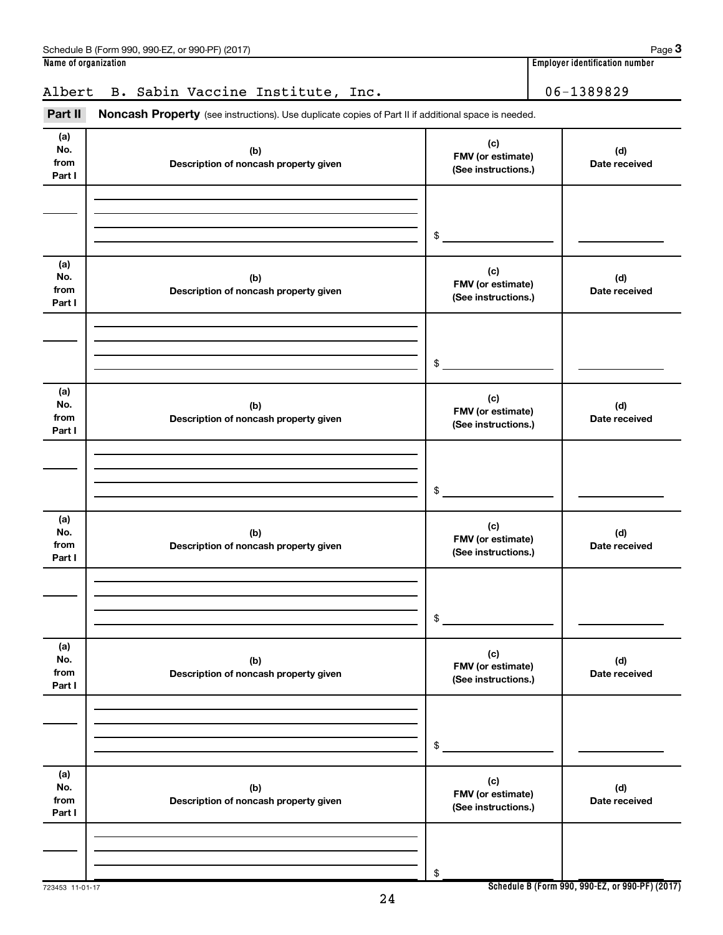| (a)<br>No.<br>from<br>Part I | (b)<br>Description of noncash property given | (c)<br>FMV (or estimate)<br>(See instructions.) | (d)<br>Date received                            |
|------------------------------|----------------------------------------------|-------------------------------------------------|-------------------------------------------------|
|                              |                                              | \$                                              |                                                 |
| (a)<br>No.<br>from<br>Part I | (b)<br>Description of noncash property given | (c)<br>FMV (or estimate)<br>(See instructions.) | (d)<br>Date received                            |
|                              |                                              | \$                                              |                                                 |
| (a)<br>No.<br>from<br>Part I | (b)<br>Description of noncash property given | (c)<br>FMV (or estimate)<br>(See instructions.) | (d)<br>Date received                            |
|                              |                                              | \$                                              |                                                 |
| (a)<br>No.<br>from<br>Part I | (b)<br>Description of noncash property given | (c)<br>FMV (or estimate)<br>(See instructions.) | (d)<br>Date received                            |
|                              |                                              | \$                                              |                                                 |
| (a)<br>No.<br>from<br>Part I | (b)<br>Description of noncash property given | (c)<br>FMV (or estimate)<br>(See instructions.) | (d)<br>Date received                            |
|                              |                                              | \$                                              |                                                 |
| (a)<br>No.<br>from<br>Part I | (b)<br>Description of noncash property given | (c)<br>FMV (or estimate)<br>(See instructions.) | (d)<br>Date received                            |
| 723453 11-01-17              |                                              | \$                                              | Schedule B (Form 990, 990-EZ, or 990-PF) (2017) |

Part II Noncash Property (see instructions). Use duplicate copies of Part II if additional space is needed.

Albert B. Sabin Vaccine Institute, Inc. 1989829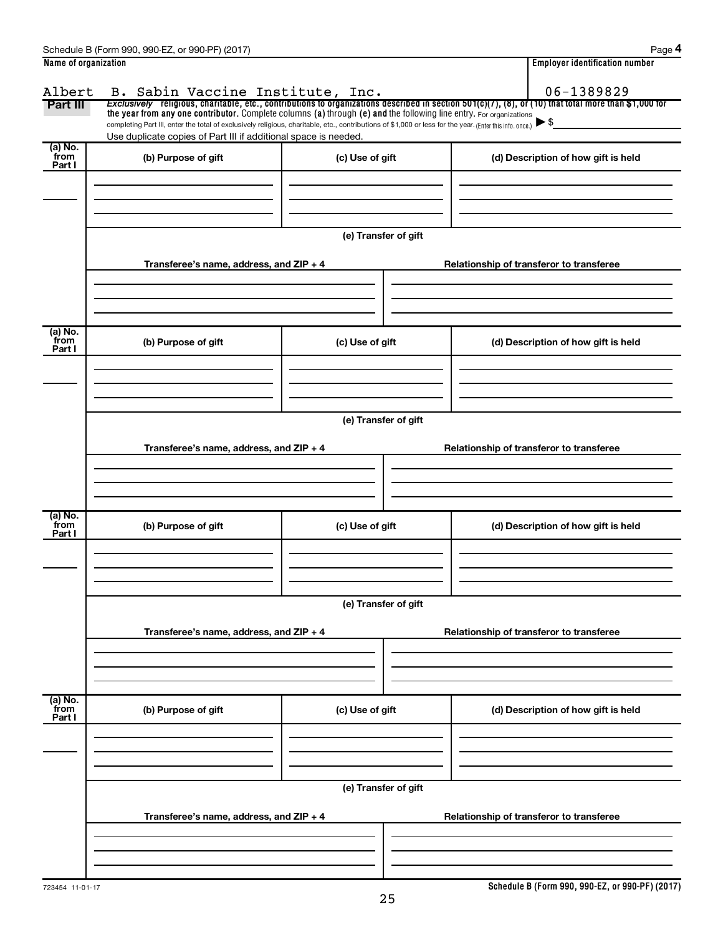| Name of organization |                                                                                                                                                          |                      | <b>Employer identification number</b>                                                                                                                    |
|----------------------|----------------------------------------------------------------------------------------------------------------------------------------------------------|----------------------|----------------------------------------------------------------------------------------------------------------------------------------------------------|
| Albert               | B. Sabin Vaccine Institute, Inc.                                                                                                                         |                      | 06-1389829                                                                                                                                               |
| Part III             | the year from any one contributor. Complete columns (a) through (e) and the following line entry. For organizations                                      |                      | Exclusively religious, charitable, etc., contributions to organizations described in section $501(c)(7)$ , (8), or (10) that total more than \$1,000 for |
|                      | completing Part III, enter the total of exclusively religious, charitable, etc., contributions of \$1,000 or less for the year. (Enter this info. once.) |                      |                                                                                                                                                          |
| (a) No.              | Use duplicate copies of Part III if additional space is needed.                                                                                          |                      |                                                                                                                                                          |
| from                 | (b) Purpose of gift                                                                                                                                      | (c) Use of gift      | (d) Description of how gift is held                                                                                                                      |
| Part I               |                                                                                                                                                          |                      |                                                                                                                                                          |
|                      |                                                                                                                                                          |                      |                                                                                                                                                          |
|                      |                                                                                                                                                          |                      |                                                                                                                                                          |
|                      |                                                                                                                                                          |                      |                                                                                                                                                          |
|                      |                                                                                                                                                          | (e) Transfer of gift |                                                                                                                                                          |
|                      |                                                                                                                                                          |                      |                                                                                                                                                          |
|                      | Transferee's name, address, and ZIP + 4                                                                                                                  |                      | Relationship of transferor to transferee                                                                                                                 |
|                      |                                                                                                                                                          |                      |                                                                                                                                                          |
|                      |                                                                                                                                                          |                      |                                                                                                                                                          |
|                      |                                                                                                                                                          |                      |                                                                                                                                                          |
| (a) No.<br>from      | (b) Purpose of gift                                                                                                                                      | (c) Use of gift      | (d) Description of how gift is held                                                                                                                      |
| Part I               |                                                                                                                                                          |                      |                                                                                                                                                          |
|                      |                                                                                                                                                          |                      |                                                                                                                                                          |
|                      |                                                                                                                                                          |                      |                                                                                                                                                          |
|                      |                                                                                                                                                          |                      |                                                                                                                                                          |
|                      |                                                                                                                                                          | (e) Transfer of gift |                                                                                                                                                          |
|                      |                                                                                                                                                          |                      |                                                                                                                                                          |
|                      | Transferee's name, address, and ZIP + 4                                                                                                                  |                      | Relationship of transferor to transferee                                                                                                                 |
|                      |                                                                                                                                                          |                      |                                                                                                                                                          |
|                      |                                                                                                                                                          |                      |                                                                                                                                                          |
| (a) No.              |                                                                                                                                                          |                      |                                                                                                                                                          |
| from<br>Part I       | (b) Purpose of gift                                                                                                                                      | (c) Use of gift      | (d) Description of how gift is held                                                                                                                      |
|                      |                                                                                                                                                          |                      |                                                                                                                                                          |
|                      |                                                                                                                                                          |                      |                                                                                                                                                          |
|                      |                                                                                                                                                          |                      |                                                                                                                                                          |
|                      |                                                                                                                                                          |                      |                                                                                                                                                          |
|                      |                                                                                                                                                          | (e) Transfer of gift |                                                                                                                                                          |
|                      | Transferee's name, address, and ZIP + 4                                                                                                                  |                      | Relationship of transferor to transferee                                                                                                                 |
|                      |                                                                                                                                                          |                      |                                                                                                                                                          |
|                      |                                                                                                                                                          |                      |                                                                                                                                                          |
|                      |                                                                                                                                                          |                      |                                                                                                                                                          |
| (a) No.<br>from      |                                                                                                                                                          |                      |                                                                                                                                                          |
| Part I               | (b) Purpose of gift                                                                                                                                      | (c) Use of gift      | (d) Description of how gift is held                                                                                                                      |
|                      |                                                                                                                                                          |                      |                                                                                                                                                          |
|                      |                                                                                                                                                          |                      |                                                                                                                                                          |
|                      |                                                                                                                                                          |                      |                                                                                                                                                          |
|                      |                                                                                                                                                          | (e) Transfer of gift |                                                                                                                                                          |
|                      | Transferee's name, address, and ZIP + 4                                                                                                                  |                      | Relationship of transferor to transferee                                                                                                                 |
|                      |                                                                                                                                                          |                      |                                                                                                                                                          |
|                      |                                                                                                                                                          |                      |                                                                                                                                                          |
|                      |                                                                                                                                                          |                      |                                                                                                                                                          |
|                      |                                                                                                                                                          |                      |                                                                                                                                                          |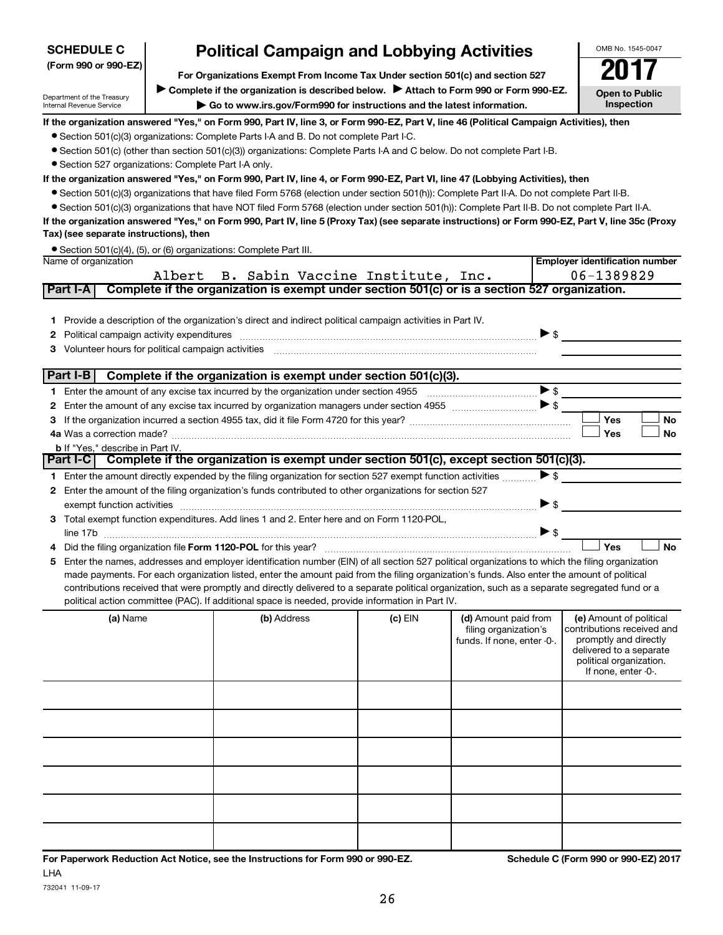| (Form 990 or 990-EZ)                                                                                                                                                                                                                                                                                                                                                                                                                                                                                                                                                                                                                                                                                                                                                                                                                                                                                                                                                                                                                                                                                                                                                                           |        | For Organizations Exempt From Income Tax Under section 501(c) and section 527                                                                                                                                                                      |           |                                                                             |                                                                                                                                                             |  |  |  |  |  |  |  |
|------------------------------------------------------------------------------------------------------------------------------------------------------------------------------------------------------------------------------------------------------------------------------------------------------------------------------------------------------------------------------------------------------------------------------------------------------------------------------------------------------------------------------------------------------------------------------------------------------------------------------------------------------------------------------------------------------------------------------------------------------------------------------------------------------------------------------------------------------------------------------------------------------------------------------------------------------------------------------------------------------------------------------------------------------------------------------------------------------------------------------------------------------------------------------------------------|--------|----------------------------------------------------------------------------------------------------------------------------------------------------------------------------------------------------------------------------------------------------|-----------|-----------------------------------------------------------------------------|-------------------------------------------------------------------------------------------------------------------------------------------------------------|--|--|--|--|--|--|--|
| Department of the Treasury<br>Internal Revenue Service                                                                                                                                                                                                                                                                                                                                                                                                                                                                                                                                                                                                                                                                                                                                                                                                                                                                                                                                                                                                                                                                                                                                         |        | Complete if the organization is described below.<br>Attach to Form 990 or Form 990-EZ.<br>Go to www.irs.gov/Form990 for instructions and the latest information.                                                                                   |           |                                                                             | <b>Open to Public</b><br>Inspection                                                                                                                         |  |  |  |  |  |  |  |
| If the organization answered "Yes," on Form 990, Part IV, line 3, or Form 990-EZ, Part V, line 46 (Political Campaign Activities), then<br>• Section 501(c)(3) organizations: Complete Parts I-A and B. Do not complete Part I-C.<br>• Section 501(c) (other than section 501(c)(3)) organizations: Complete Parts I-A and C below. Do not complete Part I-B.<br>• Section 527 organizations: Complete Part I-A only.<br>If the organization answered "Yes," on Form 990, Part IV, line 4, or Form 990-EZ, Part VI, line 47 (Lobbying Activities), then<br>• Section 501(c)(3) organizations that have filed Form 5768 (election under section 501(h)): Complete Part II-A. Do not complete Part II-B.<br>• Section 501(c)(3) organizations that have NOT filed Form 5768 (election under section 501(h)): Complete Part II-B. Do not complete Part II-A.<br>If the organization answered "Yes," on Form 990, Part IV, line 5 (Proxy Tax) (see separate instructions) or Form 990-EZ, Part V, line 35c (Proxy<br>Tax) (see separate instructions), then<br>• Section 501(c)(4), (5), or (6) organizations: Complete Part III.<br><b>Employer identification number</b><br>Name of organization |        |                                                                                                                                                                                                                                                    |           |                                                                             |                                                                                                                                                             |  |  |  |  |  |  |  |
| Part I-A                                                                                                                                                                                                                                                                                                                                                                                                                                                                                                                                                                                                                                                                                                                                                                                                                                                                                                                                                                                                                                                                                                                                                                                       | Albert | B. Sabin Vaccine Institute, Inc.<br>Complete if the organization is exempt under section 501(c) or is a section 527 organization.                                                                                                                  |           |                                                                             | 06-1389829                                                                                                                                                  |  |  |  |  |  |  |  |
| 1.<br>2<br>3                                                                                                                                                                                                                                                                                                                                                                                                                                                                                                                                                                                                                                                                                                                                                                                                                                                                                                                                                                                                                                                                                                                                                                                   |        | Provide a description of the organization's direct and indirect political campaign activities in Part IV.<br>Political campaign activity expenditures [11] matter contracts and contracts are political campaign activity expenditures             |           |                                                                             | $\triangleright$ \$                                                                                                                                         |  |  |  |  |  |  |  |
|                                                                                                                                                                                                                                                                                                                                                                                                                                                                                                                                                                                                                                                                                                                                                                                                                                                                                                                                                                                                                                                                                                                                                                                                |        | Part I-B $\vert$ Complete if the organization is exempt under section 501(c)(3).                                                                                                                                                                   |           |                                                                             |                                                                                                                                                             |  |  |  |  |  |  |  |
| 1.                                                                                                                                                                                                                                                                                                                                                                                                                                                                                                                                                                                                                                                                                                                                                                                                                                                                                                                                                                                                                                                                                                                                                                                             |        |                                                                                                                                                                                                                                                    |           |                                                                             | $\blacktriangleright$ \$                                                                                                                                    |  |  |  |  |  |  |  |
| 2                                                                                                                                                                                                                                                                                                                                                                                                                                                                                                                                                                                                                                                                                                                                                                                                                                                                                                                                                                                                                                                                                                                                                                                              |        |                                                                                                                                                                                                                                                    |           |                                                                             | Yes                                                                                                                                                         |  |  |  |  |  |  |  |
| З                                                                                                                                                                                                                                                                                                                                                                                                                                                                                                                                                                                                                                                                                                                                                                                                                                                                                                                                                                                                                                                                                                                                                                                              |        |                                                                                                                                                                                                                                                    |           |                                                                             | No<br><b>Yes</b><br><b>No</b>                                                                                                                               |  |  |  |  |  |  |  |
| <b>b</b> If "Yes," describe in Part IV.                                                                                                                                                                                                                                                                                                                                                                                                                                                                                                                                                                                                                                                                                                                                                                                                                                                                                                                                                                                                                                                                                                                                                        |        |                                                                                                                                                                                                                                                    |           |                                                                             |                                                                                                                                                             |  |  |  |  |  |  |  |
|                                                                                                                                                                                                                                                                                                                                                                                                                                                                                                                                                                                                                                                                                                                                                                                                                                                                                                                                                                                                                                                                                                                                                                                                |        | Part I-C   Complete if the organization is exempt under section 501(c), except section 501(c)(3).                                                                                                                                                  |           |                                                                             |                                                                                                                                                             |  |  |  |  |  |  |  |
| 1.                                                                                                                                                                                                                                                                                                                                                                                                                                                                                                                                                                                                                                                                                                                                                                                                                                                                                                                                                                                                                                                                                                                                                                                             |        | Enter the amount directly expended by the filing organization for section 527 exempt function activities                                                                                                                                           |           |                                                                             | $\blacktriangleright$ \$                                                                                                                                    |  |  |  |  |  |  |  |
| 2<br>exempt function activities                                                                                                                                                                                                                                                                                                                                                                                                                                                                                                                                                                                                                                                                                                                                                                                                                                                                                                                                                                                                                                                                                                                                                                |        | Enter the amount of the filing organization's funds contributed to other organizations for section 527                                                                                                                                             |           |                                                                             | $\blacktriangleright$ \$                                                                                                                                    |  |  |  |  |  |  |  |
| line 17b                                                                                                                                                                                                                                                                                                                                                                                                                                                                                                                                                                                                                                                                                                                                                                                                                                                                                                                                                                                                                                                                                                                                                                                       |        | 3 Total exempt function expenditures. Add lines 1 and 2. Enter here and on Form 1120-POL,                                                                                                                                                          |           |                                                                             | $\blacktriangleright$ \$                                                                                                                                    |  |  |  |  |  |  |  |
|                                                                                                                                                                                                                                                                                                                                                                                                                                                                                                                                                                                                                                                                                                                                                                                                                                                                                                                                                                                                                                                                                                                                                                                                |        |                                                                                                                                                                                                                                                    |           |                                                                             | Yes<br><b>No</b>                                                                                                                                            |  |  |  |  |  |  |  |
| 5                                                                                                                                                                                                                                                                                                                                                                                                                                                                                                                                                                                                                                                                                                                                                                                                                                                                                                                                                                                                                                                                                                                                                                                              |        | Enter the names, addresses and employer identification number (EIN) of all section 527 political organizations to which the filing organization                                                                                                    |           |                                                                             |                                                                                                                                                             |  |  |  |  |  |  |  |
|                                                                                                                                                                                                                                                                                                                                                                                                                                                                                                                                                                                                                                                                                                                                                                                                                                                                                                                                                                                                                                                                                                                                                                                                |        | made payments. For each organization listed, enter the amount paid from the filing organization's funds. Also enter the amount of political                                                                                                        |           |                                                                             |                                                                                                                                                             |  |  |  |  |  |  |  |
|                                                                                                                                                                                                                                                                                                                                                                                                                                                                                                                                                                                                                                                                                                                                                                                                                                                                                                                                                                                                                                                                                                                                                                                                |        | contributions received that were promptly and directly delivered to a separate political organization, such as a separate segregated fund or a<br>political action committee (PAC). If additional space is needed, provide information in Part IV. |           |                                                                             |                                                                                                                                                             |  |  |  |  |  |  |  |
| (a) Name                                                                                                                                                                                                                                                                                                                                                                                                                                                                                                                                                                                                                                                                                                                                                                                                                                                                                                                                                                                                                                                                                                                                                                                       |        | (b) Address                                                                                                                                                                                                                                        | $(c)$ EIN | (d) Amount paid from<br>filing organization's<br>funds. If none, enter -0-. | (e) Amount of political<br>contributions received and<br>promptly and directly<br>delivered to a separate<br>political organization.<br>If none, enter -0-. |  |  |  |  |  |  |  |
|                                                                                                                                                                                                                                                                                                                                                                                                                                                                                                                                                                                                                                                                                                                                                                                                                                                                                                                                                                                                                                                                                                                                                                                                |        |                                                                                                                                                                                                                                                    |           |                                                                             |                                                                                                                                                             |  |  |  |  |  |  |  |
|                                                                                                                                                                                                                                                                                                                                                                                                                                                                                                                                                                                                                                                                                                                                                                                                                                                                                                                                                                                                                                                                                                                                                                                                |        |                                                                                                                                                                                                                                                    |           |                                                                             |                                                                                                                                                             |  |  |  |  |  |  |  |
|                                                                                                                                                                                                                                                                                                                                                                                                                                                                                                                                                                                                                                                                                                                                                                                                                                                                                                                                                                                                                                                                                                                                                                                                |        |                                                                                                                                                                                                                                                    |           |                                                                             |                                                                                                                                                             |  |  |  |  |  |  |  |
|                                                                                                                                                                                                                                                                                                                                                                                                                                                                                                                                                                                                                                                                                                                                                                                                                                                                                                                                                                                                                                                                                                                                                                                                |        |                                                                                                                                                                                                                                                    |           |                                                                             |                                                                                                                                                             |  |  |  |  |  |  |  |
|                                                                                                                                                                                                                                                                                                                                                                                                                                                                                                                                                                                                                                                                                                                                                                                                                                                                                                                                                                                                                                                                                                                                                                                                |        |                                                                                                                                                                                                                                                    |           |                                                                             |                                                                                                                                                             |  |  |  |  |  |  |  |
|                                                                                                                                                                                                                                                                                                                                                                                                                                                                                                                                                                                                                                                                                                                                                                                                                                                                                                                                                                                                                                                                                                                                                                                                |        |                                                                                                                                                                                                                                                    |           |                                                                             |                                                                                                                                                             |  |  |  |  |  |  |  |

# **Political Campaign and Lobbying Activities**

**For Paperwork Reduction Act Notice, see the Instructions for Form 990 or 990-EZ. Schedule C (Form 990 or 990-EZ) 2017** LHA

**SCHEDULE C**

OMB No. 1545-0047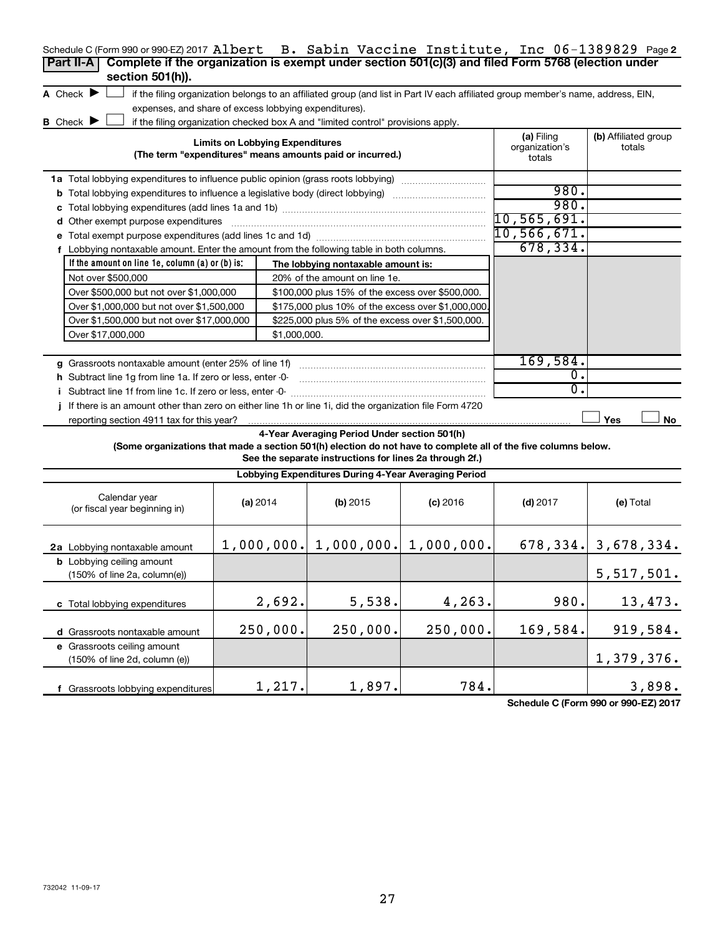| Schedule C (Form 990 or 990-EZ) 2017 Albert B. Sabin Vaccine Institute, Inc 06-1389829 Page2                    |            |                                        |                                                                                  |            |                                                                                                                                   |                                |
|-----------------------------------------------------------------------------------------------------------------|------------|----------------------------------------|----------------------------------------------------------------------------------|------------|-----------------------------------------------------------------------------------------------------------------------------------|--------------------------------|
| Complete if the organization is exempt under section 501(c)(3) and filed Form 5768 (election under<br>Part II-A |            |                                        |                                                                                  |            |                                                                                                                                   |                                |
| section 501(h)).                                                                                                |            |                                        |                                                                                  |            |                                                                                                                                   |                                |
| A Check $\blacktriangleright$                                                                                   |            |                                        |                                                                                  |            | if the filing organization belongs to an affiliated group (and list in Part IV each affiliated group member's name, address, EIN, |                                |
| expenses, and share of excess lobbying expenditures).                                                           |            |                                        |                                                                                  |            |                                                                                                                                   |                                |
| B Check $\blacktriangleright$                                                                                   |            |                                        | if the filing organization checked box A and "limited control" provisions apply. |            |                                                                                                                                   |                                |
|                                                                                                                 |            | <b>Limits on Lobbying Expenditures</b> | (The term "expenditures" means amounts paid or incurred.)                        |            | (a) Filing<br>organization's<br>totals                                                                                            | (b) Affiliated group<br>totals |
| <b>1a</b> Total lobbying expenditures to influence public opinion (grass roots lobbying) <i></i>                |            |                                        |                                                                                  |            |                                                                                                                                   |                                |
| <b>b</b> Total lobbying expenditures to influence a legislative body (direct lobbying)                          |            |                                        |                                                                                  |            | 980.                                                                                                                              |                                |
| c                                                                                                               | 980.       |                                        |                                                                                  |            |                                                                                                                                   |                                |
| d Other exempt purpose expenditures                                                                             |            | $10,565,691$ .                         |                                                                                  |            |                                                                                                                                   |                                |
|                                                                                                                 |            |                                        |                                                                                  |            | 10,566,671.                                                                                                                       |                                |
| f Lobbying nontaxable amount. Enter the amount from the following table in both columns.                        |            |                                        |                                                                                  |            | 678, 334.                                                                                                                         |                                |
| If the amount on line $1e$ , column (a) or (b) is:                                                              |            |                                        | The lobbying nontaxable amount is:                                               |            |                                                                                                                                   |                                |
| Not over \$500,000                                                                                              |            |                                        | 20% of the amount on line 1e.                                                    |            |                                                                                                                                   |                                |
| Over \$500,000 but not over \$1,000,000                                                                         |            |                                        | \$100,000 plus 15% of the excess over \$500,000.                                 |            |                                                                                                                                   |                                |
| Over \$1,000,000 but not over \$1,500,000                                                                       |            |                                        | \$175,000 plus 10% of the excess over \$1,000,000.                               |            |                                                                                                                                   |                                |
| Over \$1,500,000 but not over \$17,000,000                                                                      |            |                                        | \$225,000 plus 5% of the excess over \$1,500,000.                                |            |                                                                                                                                   |                                |
| Over \$17,000,000                                                                                               |            | \$1,000,000.                           |                                                                                  |            |                                                                                                                                   |                                |
|                                                                                                                 |            |                                        |                                                                                  |            |                                                                                                                                   |                                |
| g Grassroots nontaxable amount (enter 25% of line 1f)                                                           |            |                                        |                                                                                  |            | 169,584.                                                                                                                          |                                |
| h Subtract line 1g from line 1a. If zero or less, enter -0-                                                     |            |                                        |                                                                                  |            | 0.                                                                                                                                |                                |
| i Subtract line 1f from line 1c. If zero or less, enter 0-                                                      |            |                                        |                                                                                  |            | 0.                                                                                                                                |                                |
| If there is an amount other than zero on either line 1h or line 1i, did the organization file Form 4720         |            |                                        |                                                                                  |            |                                                                                                                                   |                                |
| reporting section 4911 tax for this year?                                                                       |            |                                        |                                                                                  |            |                                                                                                                                   | Yes<br>No                      |
|                                                                                                                 |            |                                        | 4-Year Averaging Period Under section 501(h)                                     |            |                                                                                                                                   |                                |
| (Some organizations that made a section 501(h) election do not have to complete all of the five columns below.  |            |                                        |                                                                                  |            |                                                                                                                                   |                                |
|                                                                                                                 |            |                                        | See the separate instructions for lines 2a through 2f.)                          |            |                                                                                                                                   |                                |
|                                                                                                                 |            |                                        | Lobbying Expenditures During 4-Year Averaging Period                             |            |                                                                                                                                   |                                |
| Calendar year<br>(or fiscal year beginning in)                                                                  | (a) $2014$ |                                        | $(b)$ 2015                                                                       | $(c)$ 2016 | $(d)$ 2017                                                                                                                        | (e) Total                      |
| 2a Lobbying nontaxable amount                                                                                   |            |                                        | $1,000,000.$ $1,000,000.$ $1,000,000.$                                           |            |                                                                                                                                   | $678, 334.$ 3, $678, 334.$     |
| <b>b</b> Lobbying ceiling amount<br>(150% of line 2a, column(e))                                                |            |                                        |                                                                                  |            |                                                                                                                                   | 5,517,501.                     |
| c Total lobbying expenditures                                                                                   |            | 2,692.                                 | 5,538.                                                                           | 4,263.     | 980.                                                                                                                              | 13,473.                        |
| d Grassroots nontaxable amount                                                                                  |            | 250,000.                               | 250,000.                                                                         | 250,000.   | 169,584.                                                                                                                          | 919,584.                       |
| e Grassroots ceiling amount                                                                                     |            |                                        |                                                                                  |            |                                                                                                                                   |                                |
| (150% of line 2d, column (e))                                                                                   |            |                                        |                                                                                  |            |                                                                                                                                   | 1,379,376.                     |
|                                                                                                                 |            |                                        |                                                                                  |            |                                                                                                                                   |                                |
| f Grassroots lobbying expenditures                                                                              |            | 1,217.                                 | 1,897.                                                                           | 784.       |                                                                                                                                   | 3,898.                         |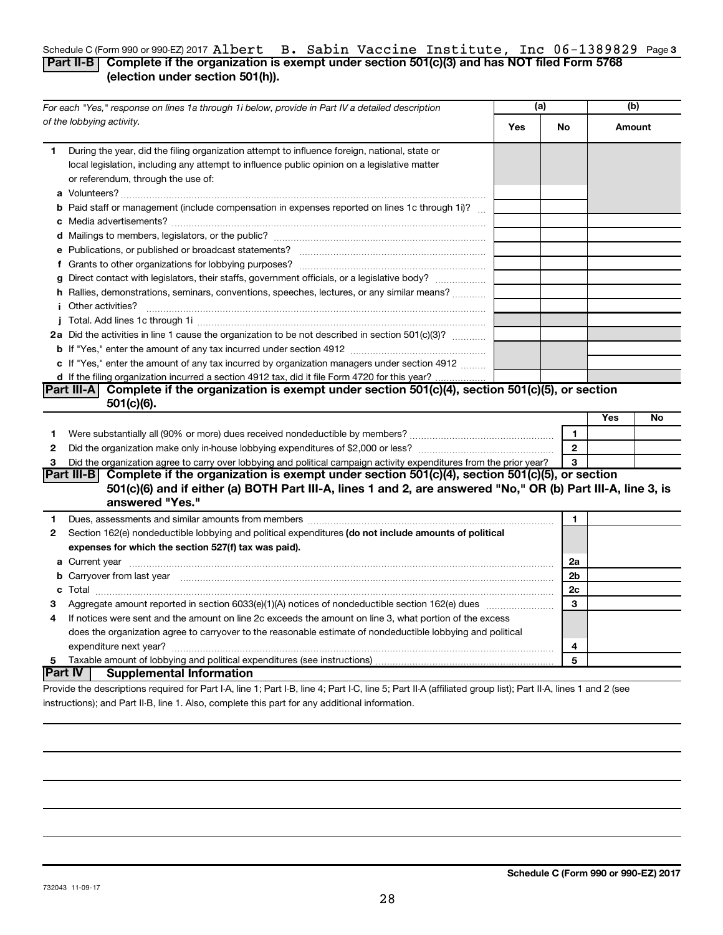## Schedule C (Form 990 or 990-EZ) 2017  ${\bf Al}$   ${\bf Bet}$   ${\bf B}$  .  ${\bf Sabin}$   ${\bf Vaccine}$   ${\bf Int}{\bf Lustute}$  ,  ${\bf Int}{\bf O}$   ${\bf O}-1389829$  Page 3 **Part II-B Complete if the organization is exempt under section 501(c)(3) and has NOT filed Form 5768 (election under section 501(h)).** Albert B. Sabin Vaccine Institute, Inc 06-1389829

|              | For each "Yes," response on lines 1a through 1i below, provide in Part IV a detailed description                                                                                                                                                                                                                                                                                                                                                                          | (a) |                | (b)    |    |
|--------------|---------------------------------------------------------------------------------------------------------------------------------------------------------------------------------------------------------------------------------------------------------------------------------------------------------------------------------------------------------------------------------------------------------------------------------------------------------------------------|-----|----------------|--------|----|
|              | of the lobbying activity.                                                                                                                                                                                                                                                                                                                                                                                                                                                 | Yes | No             | Amount |    |
| 1.           | During the year, did the filing organization attempt to influence foreign, national, state or<br>local legislation, including any attempt to influence public opinion on a legislative matter<br>or referendum, through the use of:                                                                                                                                                                                                                                       |     |                |        |    |
|              | <b>b</b> Paid staff or management (include compensation in expenses reported on lines 1c through 1i)?                                                                                                                                                                                                                                                                                                                                                                     |     |                |        |    |
|              |                                                                                                                                                                                                                                                                                                                                                                                                                                                                           |     |                |        |    |
|              |                                                                                                                                                                                                                                                                                                                                                                                                                                                                           |     |                |        |    |
|              |                                                                                                                                                                                                                                                                                                                                                                                                                                                                           |     |                |        |    |
|              |                                                                                                                                                                                                                                                                                                                                                                                                                                                                           |     |                |        |    |
|              | g Direct contact with legislators, their staffs, government officials, or a legislative body?                                                                                                                                                                                                                                                                                                                                                                             |     |                |        |    |
|              | h Rallies, demonstrations, seminars, conventions, speeches, lectures, or any similar means?                                                                                                                                                                                                                                                                                                                                                                               |     |                |        |    |
|              | <i>i</i> Other activities?<br>$\begin{minipage}{0.5\textwidth} \begin{tabular}{ l l l } \hline \multicolumn{1}{ l l l } \hline \multicolumn{1}{ l l } \multicolumn{1}{ l } \multicolumn{1}{ l } \multicolumn{1}{ l } \multicolumn{1}{ l } \multicolumn{1}{ l } \multicolumn{1}{ l } \multicolumn{1}{ l } \multicolumn{1}{ l } \multicolumn{1}{ l } \multicolumn{1}{ l } \multicolumn{1}{ l } \multicolumn{1}{ l } \multicolumn{1}{ l } \multicolumn{1}{ l } \multicolumn$ |     |                |        |    |
|              |                                                                                                                                                                                                                                                                                                                                                                                                                                                                           |     |                |        |    |
|              | 2a Did the activities in line 1 cause the organization to be not described in section 501(c)(3)?                                                                                                                                                                                                                                                                                                                                                                          |     |                |        |    |
|              |                                                                                                                                                                                                                                                                                                                                                                                                                                                                           |     |                |        |    |
|              | c If "Yes," enter the amount of any tax incurred by organization managers under section 4912                                                                                                                                                                                                                                                                                                                                                                              |     |                |        |    |
|              | d If the filing organization incurred a section 4912 tax, did it file Form 4720 for this year?                                                                                                                                                                                                                                                                                                                                                                            |     |                |        |    |
|              | Part III-A Complete if the organization is exempt under section 501(c)(4), section 501(c)(5), or section                                                                                                                                                                                                                                                                                                                                                                  |     |                |        |    |
|              | 501(c)(6).                                                                                                                                                                                                                                                                                                                                                                                                                                                                |     |                |        |    |
|              |                                                                                                                                                                                                                                                                                                                                                                                                                                                                           |     |                | Yes    | No |
| 1            |                                                                                                                                                                                                                                                                                                                                                                                                                                                                           |     | 1              |        |    |
| $\mathbf{2}$ |                                                                                                                                                                                                                                                                                                                                                                                                                                                                           |     | $\mathbf{2}$   |        |    |
| З            | Did the organization agree to carry over lobbying and political campaign activity expenditures from the prior year?                                                                                                                                                                                                                                                                                                                                                       |     | 3              |        |    |
|              | Part III-B Complete if the organization is exempt under section $501(c)(4)$ , section $501(c)(5)$ , or section<br>501(c)(6) and if either (a) BOTH Part III-A, lines 1 and 2, are answered "No," OR (b) Part III-A, line 3, is                                                                                                                                                                                                                                            |     |                |        |    |
|              | answered "Yes."                                                                                                                                                                                                                                                                                                                                                                                                                                                           |     |                |        |    |
| 1.           | Dues, assessments and similar amounts from members [11] matter content and stream and similar amounts from members [11] matter and similar amounts from members [11] matter and stream and stream and stream and stream and st                                                                                                                                                                                                                                            |     | 1              |        |    |
| 2            | Section 162(e) nondeductible lobbying and political expenditures (do not include amounts of political                                                                                                                                                                                                                                                                                                                                                                     |     |                |        |    |
|              | expenses for which the section 527(f) tax was paid).                                                                                                                                                                                                                                                                                                                                                                                                                      |     |                |        |    |
|              |                                                                                                                                                                                                                                                                                                                                                                                                                                                                           |     | 2a             |        |    |
|              | <b>b</b> Carryover from last year manufactured and content to the content of the content of the content of the content of the content of the content of the content of the content of the content of the content of the content of                                                                                                                                                                                                                                        |     | 2 <sub>b</sub> |        |    |
|              |                                                                                                                                                                                                                                                                                                                                                                                                                                                                           |     | 2 <sub>c</sub> |        |    |
| 3            |                                                                                                                                                                                                                                                                                                                                                                                                                                                                           |     | 3              |        |    |
| 4            | If notices were sent and the amount on line 2c exceeds the amount on line 3, what portion of the excess                                                                                                                                                                                                                                                                                                                                                                   |     |                |        |    |
|              | does the organization agree to carryover to the reasonable estimate of nondeductible lobbying and political                                                                                                                                                                                                                                                                                                                                                               |     |                |        |    |
|              |                                                                                                                                                                                                                                                                                                                                                                                                                                                                           |     | 4              |        |    |
| 5            |                                                                                                                                                                                                                                                                                                                                                                                                                                                                           |     | 5              |        |    |
|              | lPart IV ⊺<br><b>Supplemental Information</b>                                                                                                                                                                                                                                                                                                                                                                                                                             |     |                |        |    |
|              | Provide the descriptions required for Part I-A, line 1; Part I-B, line 4; Part I-C, line 5; Part II-A (affiliated group list); Part II-A, lines 1 and 2 (see                                                                                                                                                                                                                                                                                                              |     |                |        |    |

instructions); and Part II-B, line 1. Also, complete this part for any additional information.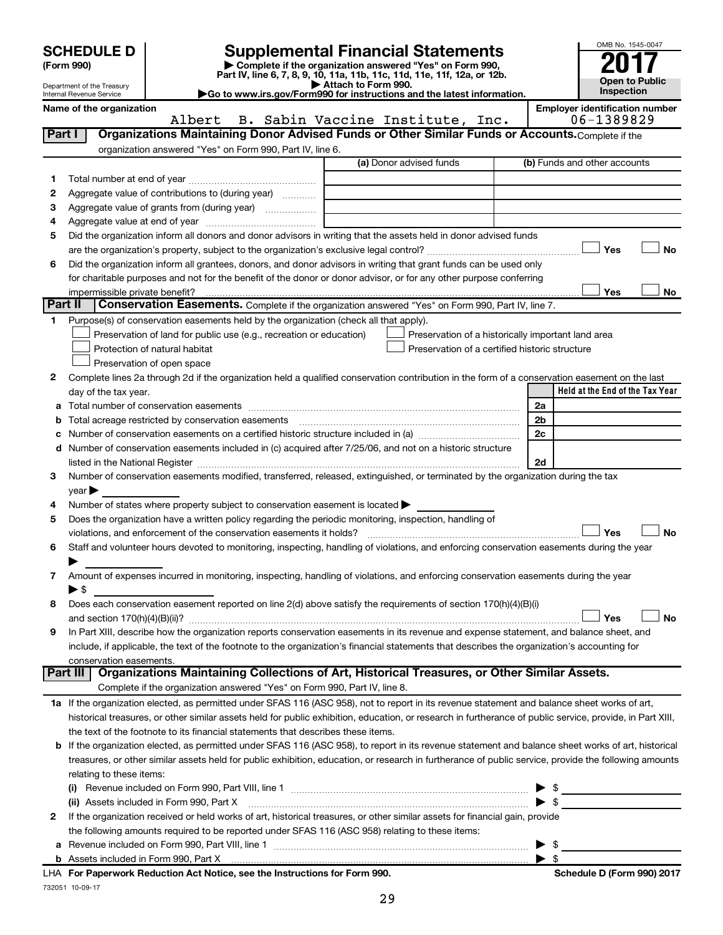|         | <b>SCHEDULE D</b>                                      |                                                                                                                                                                                                                                                | <b>Supplemental Financial Statements</b>                                                                                             |                          | OMB No. 1545-0047                     |
|---------|--------------------------------------------------------|------------------------------------------------------------------------------------------------------------------------------------------------------------------------------------------------------------------------------------------------|--------------------------------------------------------------------------------------------------------------------------------------|--------------------------|---------------------------------------|
|         | (Form 990)                                             |                                                                                                                                                                                                                                                | Complete if the organization answered "Yes" on Form 990,<br>Part IV, line 6, 7, 8, 9, 10, 11a, 11b, 11c, 11d, 11e, 11f, 12a, or 12b. |                          |                                       |
|         | Department of the Treasury<br>Internal Revenue Service |                                                                                                                                                                                                                                                | Attach to Form 990.<br>Go to www.irs.gov/Form990 for instructions and the latest information.                                        |                          | <b>Open to Public</b><br>Inspection   |
|         | Name of the organization                               |                                                                                                                                                                                                                                                |                                                                                                                                      |                          | <b>Employer identification number</b> |
|         |                                                        | Albert                                                                                                                                                                                                                                         | B. Sabin Vaccine Institute, Inc.                                                                                                     |                          | 06-1389829                            |
| Part I  |                                                        | Organizations Maintaining Donor Advised Funds or Other Similar Funds or Accounts. Complete if the                                                                                                                                              |                                                                                                                                      |                          |                                       |
|         |                                                        | organization answered "Yes" on Form 990, Part IV, line 6.                                                                                                                                                                                      | (a) Donor advised funds                                                                                                              |                          | (b) Funds and other accounts          |
|         |                                                        |                                                                                                                                                                                                                                                |                                                                                                                                      |                          |                                       |
| 1.<br>2 |                                                        |                                                                                                                                                                                                                                                |                                                                                                                                      |                          |                                       |
| з       |                                                        | Aggregate value of contributions to (during year)                                                                                                                                                                                              |                                                                                                                                      |                          |                                       |
| 4       |                                                        |                                                                                                                                                                                                                                                |                                                                                                                                      |                          |                                       |
| 5       |                                                        | Did the organization inform all donors and donor advisors in writing that the assets held in donor advised funds                                                                                                                               |                                                                                                                                      |                          |                                       |
|         |                                                        |                                                                                                                                                                                                                                                |                                                                                                                                      |                          | Yes<br><b>No</b>                      |
| 6       |                                                        | Did the organization inform all grantees, donors, and donor advisors in writing that grant funds can be used only                                                                                                                              |                                                                                                                                      |                          |                                       |
|         |                                                        | for charitable purposes and not for the benefit of the donor or donor advisor, or for any other purpose conferring                                                                                                                             |                                                                                                                                      |                          |                                       |
|         | impermissible private benefit?                         |                                                                                                                                                                                                                                                |                                                                                                                                      |                          | Yes<br>No                             |
|         | Part II                                                | Conservation Easements. Complete if the organization answered "Yes" on Form 990, Part IV, line 7.                                                                                                                                              |                                                                                                                                      |                          |                                       |
| 1       |                                                        | Purpose(s) of conservation easements held by the organization (check all that apply).                                                                                                                                                          |                                                                                                                                      |                          |                                       |
|         |                                                        | Preservation of land for public use (e.g., recreation or education)                                                                                                                                                                            | Preservation of a historically important land area                                                                                   |                          |                                       |
|         |                                                        | Protection of natural habitat                                                                                                                                                                                                                  | Preservation of a certified historic structure                                                                                       |                          |                                       |
|         |                                                        | Preservation of open space                                                                                                                                                                                                                     |                                                                                                                                      |                          |                                       |
| 2       |                                                        | Complete lines 2a through 2d if the organization held a qualified conservation contribution in the form of a conservation easement on the last                                                                                                 |                                                                                                                                      |                          |                                       |
|         | day of the tax year.                                   |                                                                                                                                                                                                                                                |                                                                                                                                      |                          | Held at the End of the Tax Year       |
| a       |                                                        |                                                                                                                                                                                                                                                |                                                                                                                                      | 2a                       |                                       |
| b       |                                                        |                                                                                                                                                                                                                                                |                                                                                                                                      | 2 <sub>b</sub>           |                                       |
| с       |                                                        | Number of conservation easements on a certified historic structure included in (a) manufacture included in (a)                                                                                                                                 |                                                                                                                                      | 2c                       |                                       |
|         |                                                        | d Number of conservation easements included in (c) acquired after 7/25/06, and not on a historic structure                                                                                                                                     |                                                                                                                                      |                          |                                       |
|         |                                                        |                                                                                                                                                                                                                                                |                                                                                                                                      | 2d                       |                                       |
| 3.      | $year \blacktriangleright$                             | Number of conservation easements modified, transferred, released, extinguished, or terminated by the organization during the tax                                                                                                               |                                                                                                                                      |                          |                                       |
| 4       |                                                        | Number of states where property subject to conservation easement is located $\blacktriangleright$                                                                                                                                              |                                                                                                                                      |                          |                                       |
| 5       |                                                        | Does the organization have a written policy regarding the periodic monitoring, inspection, handling of                                                                                                                                         |                                                                                                                                      |                          |                                       |
|         |                                                        |                                                                                                                                                                                                                                                |                                                                                                                                      |                          | Yes<br><b>No</b>                      |
| 6       |                                                        | Staff and volunteer hours devoted to monitoring, inspecting, handling of violations, and enforcing conservation easements during the year                                                                                                      |                                                                                                                                      |                          |                                       |
|         |                                                        |                                                                                                                                                                                                                                                |                                                                                                                                      |                          |                                       |
| 7       |                                                        | Amount of expenses incurred in monitoring, inspecting, handling of violations, and enforcing conservation easements during the year                                                                                                            |                                                                                                                                      |                          |                                       |
|         | ► \$                                                   |                                                                                                                                                                                                                                                |                                                                                                                                      |                          |                                       |
| 8       |                                                        | Does each conservation easement reported on line 2(d) above satisfy the requirements of section 170(h)(4)(B)(i)                                                                                                                                |                                                                                                                                      |                          |                                       |
|         |                                                        |                                                                                                                                                                                                                                                |                                                                                                                                      |                          | Yes<br>No                             |
| 9       |                                                        | In Part XIII, describe how the organization reports conservation easements in its revenue and expense statement, and balance sheet, and                                                                                                        |                                                                                                                                      |                          |                                       |
|         |                                                        | include, if applicable, the text of the footnote to the organization's financial statements that describes the organization's accounting for                                                                                                   |                                                                                                                                      |                          |                                       |
|         | conservation easements.                                |                                                                                                                                                                                                                                                |                                                                                                                                      |                          |                                       |
|         | Part III                                               | Organizations Maintaining Collections of Art, Historical Treasures, or Other Similar Assets.                                                                                                                                                   |                                                                                                                                      |                          |                                       |
|         |                                                        | Complete if the organization answered "Yes" on Form 990, Part IV, line 8.                                                                                                                                                                      |                                                                                                                                      |                          |                                       |
|         |                                                        | 1a If the organization elected, as permitted under SFAS 116 (ASC 958), not to report in its revenue statement and balance sheet works of art,                                                                                                  |                                                                                                                                      |                          |                                       |
|         |                                                        | historical treasures, or other similar assets held for public exhibition, education, or research in furtherance of public service, provide, in Part XIII,                                                                                      |                                                                                                                                      |                          |                                       |
|         |                                                        | the text of the footnote to its financial statements that describes these items.<br><b>b</b> If the organization elected, as permitted under SFAS 116 (ASC 958), to report in its revenue statement and balance sheet works of art, historical |                                                                                                                                      |                          |                                       |
|         |                                                        | treasures, or other similar assets held for public exhibition, education, or research in furtherance of public service, provide the following amounts                                                                                          |                                                                                                                                      |                          |                                       |
|         | relating to these items:                               |                                                                                                                                                                                                                                                |                                                                                                                                      |                          |                                       |
|         |                                                        |                                                                                                                                                                                                                                                |                                                                                                                                      |                          |                                       |
|         |                                                        | (ii) Assets included in Form 990, Part X                                                                                                                                                                                                       |                                                                                                                                      | - \$                     |                                       |
| 2       |                                                        | If the organization received or held works of art, historical treasures, or other similar assets for financial gain, provide                                                                                                                   |                                                                                                                                      |                          |                                       |
|         |                                                        | the following amounts required to be reported under SFAS 116 (ASC 958) relating to these items:                                                                                                                                                |                                                                                                                                      |                          |                                       |
|         |                                                        |                                                                                                                                                                                                                                                |                                                                                                                                      | $\blacktriangleright$ \$ |                                       |

732051 10-09-17 **For Paperwork Reduction Act Notice, see the Instructions for Form 990. Schedule D (Form 990) 2017** LHA

**b** Assets included in Form 990, Part X

| \$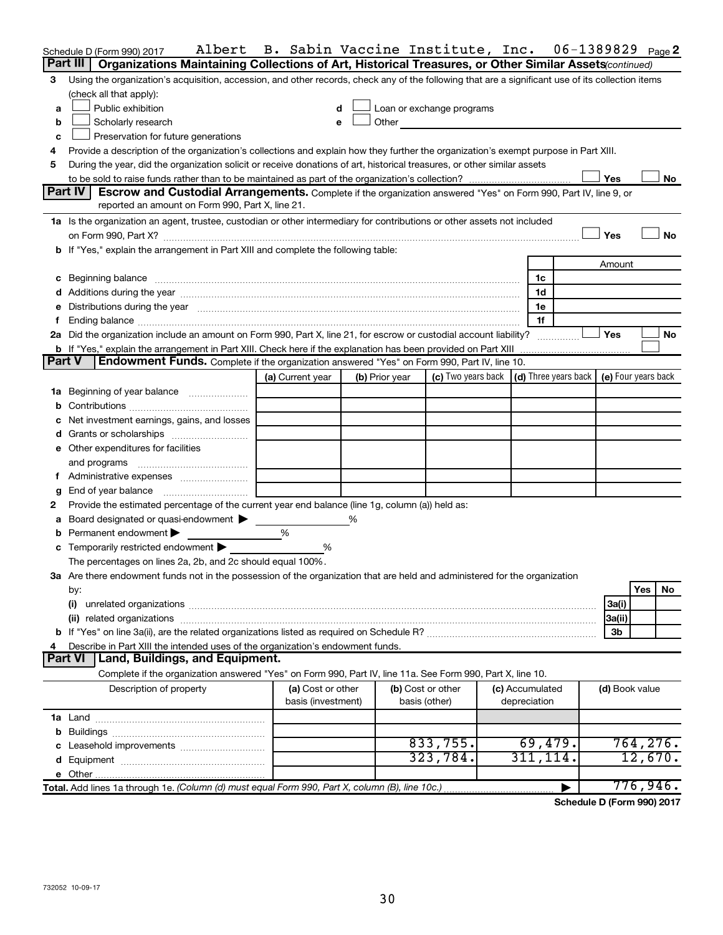|               | Albert<br>Schedule D (Form 990) 2017                                                                                                                                                                                           | B. Sabin Vaccine Institute, Inc. |   |                |                                                                                                                                                                                                                                |                 | 06-1389829     | Page 2              |
|---------------|--------------------------------------------------------------------------------------------------------------------------------------------------------------------------------------------------------------------------------|----------------------------------|---|----------------|--------------------------------------------------------------------------------------------------------------------------------------------------------------------------------------------------------------------------------|-----------------|----------------|---------------------|
|               | Part III<br>Organizations Maintaining Collections of Art, Historical Treasures, or Other Similar Assets (continued)                                                                                                            |                                  |   |                |                                                                                                                                                                                                                                |                 |                |                     |
| 3             | Using the organization's acquisition, accession, and other records, check any of the following that are a significant use of its collection items                                                                              |                                  |   |                |                                                                                                                                                                                                                                |                 |                |                     |
|               | (check all that apply):                                                                                                                                                                                                        |                                  |   |                |                                                                                                                                                                                                                                |                 |                |                     |
| a             | Public exhibition                                                                                                                                                                                                              | d                                |   |                | Loan or exchange programs                                                                                                                                                                                                      |                 |                |                     |
| b             | Scholarly research                                                                                                                                                                                                             | e                                |   |                | Other and the control of the control of the control of the control of the control of the control of the control of the control of the control of the control of the control of the control of the control of the control of th |                 |                |                     |
| c             | Preservation for future generations                                                                                                                                                                                            |                                  |   |                |                                                                                                                                                                                                                                |                 |                |                     |
| 4             | Provide a description of the organization's collections and explain how they further the organization's exempt purpose in Part XIII.                                                                                           |                                  |   |                |                                                                                                                                                                                                                                |                 |                |                     |
| 5             | During the year, did the organization solicit or receive donations of art, historical treasures, or other similar assets                                                                                                       |                                  |   |                |                                                                                                                                                                                                                                |                 |                |                     |
|               |                                                                                                                                                                                                                                |                                  |   |                |                                                                                                                                                                                                                                |                 | Yes            | No                  |
|               | <b>Part IV</b><br>Escrow and Custodial Arrangements. Complete if the organization answered "Yes" on Form 990, Part IV, line 9, or                                                                                              |                                  |   |                |                                                                                                                                                                                                                                |                 |                |                     |
|               | reported an amount on Form 990, Part X, line 21.                                                                                                                                                                               |                                  |   |                |                                                                                                                                                                                                                                |                 |                |                     |
|               | 1a Is the organization an agent, trustee, custodian or other intermediary for contributions or other assets not included                                                                                                       |                                  |   |                |                                                                                                                                                                                                                                |                 |                |                     |
|               |                                                                                                                                                                                                                                |                                  |   |                |                                                                                                                                                                                                                                |                 | Yes            | <b>No</b>           |
|               | b If "Yes," explain the arrangement in Part XIII and complete the following table:                                                                                                                                             |                                  |   |                |                                                                                                                                                                                                                                |                 |                |                     |
|               |                                                                                                                                                                                                                                |                                  |   |                |                                                                                                                                                                                                                                |                 | Amount         |                     |
|               | c Beginning balance measurements and the contract of the contract of the contract of the contract of the contract of the contract of the contract of the contract of the contract of the contract of the contract of the contr |                                  |   |                |                                                                                                                                                                                                                                | 1c              |                |                     |
|               |                                                                                                                                                                                                                                |                                  |   |                |                                                                                                                                                                                                                                | 1d              |                |                     |
|               | Distributions during the year manufactured and an account of the year manufactured and the year manufactured and the year manufactured and the year manufactured and the year manufactured and the year manufactured and the y |                                  |   |                |                                                                                                                                                                                                                                | 1e              |                |                     |
|               |                                                                                                                                                                                                                                |                                  |   |                |                                                                                                                                                                                                                                | 1f              |                |                     |
|               | 2a Did the organization include an amount on Form 990, Part X, line 21, for escrow or custodial account liability?                                                                                                             |                                  |   |                |                                                                                                                                                                                                                                |                 | Yes            | No                  |
| <b>Part V</b> | <b>b</b> If "Yes," explain the arrangement in Part XIII. Check here if the explanation has been provided on Part XIII<br>Endowment Funds. Complete if the organization answered "Yes" on Form 990, Part IV, line 10.           |                                  |   |                |                                                                                                                                                                                                                                |                 |                |                     |
|               |                                                                                                                                                                                                                                |                                  |   |                |                                                                                                                                                                                                                                |                 |                |                     |
|               |                                                                                                                                                                                                                                | (a) Current year                 |   | (b) Prior year | (c) Two years back $ $ (d) Three years back $ $                                                                                                                                                                                |                 |                | (e) Four years back |
| ٦а            | Beginning of year balance                                                                                                                                                                                                      |                                  |   |                |                                                                                                                                                                                                                                |                 |                |                     |
| b             |                                                                                                                                                                                                                                |                                  |   |                |                                                                                                                                                                                                                                |                 |                |                     |
|               | Net investment earnings, gains, and losses                                                                                                                                                                                     |                                  |   |                |                                                                                                                                                                                                                                |                 |                |                     |
|               |                                                                                                                                                                                                                                |                                  |   |                |                                                                                                                                                                                                                                |                 |                |                     |
|               | e Other expenditures for facilities                                                                                                                                                                                            |                                  |   |                |                                                                                                                                                                                                                                |                 |                |                     |
|               | and programs                                                                                                                                                                                                                   |                                  |   |                |                                                                                                                                                                                                                                |                 |                |                     |
|               | End of year balance                                                                                                                                                                                                            |                                  |   |                |                                                                                                                                                                                                                                |                 |                |                     |
| g<br>2        | Provide the estimated percentage of the current year end balance (line 1g, column (a)) held as:                                                                                                                                |                                  |   |                |                                                                                                                                                                                                                                |                 |                |                     |
| а             | Board designated or quasi-endowment                                                                                                                                                                                            |                                  | ℅ |                |                                                                                                                                                                                                                                |                 |                |                     |
|               | Permanent endowment                                                                                                                                                                                                            | %                                |   |                |                                                                                                                                                                                                                                |                 |                |                     |
|               | <b>c</b> Temporarily restricted endowment $\blacktriangleright$                                                                                                                                                                | %                                |   |                |                                                                                                                                                                                                                                |                 |                |                     |
|               | The percentages on lines 2a, 2b, and 2c should equal 100%.                                                                                                                                                                     |                                  |   |                |                                                                                                                                                                                                                                |                 |                |                     |
|               | 3a Are there endowment funds not in the possession of the organization that are held and administered for the organization                                                                                                     |                                  |   |                |                                                                                                                                                                                                                                |                 |                |                     |
|               | by:                                                                                                                                                                                                                            |                                  |   |                |                                                                                                                                                                                                                                |                 |                | Yes<br>No           |
|               | (i)                                                                                                                                                                                                                            |                                  |   |                |                                                                                                                                                                                                                                |                 | 3a(i)          |                     |
|               | (ii) related organizations                                                                                                                                                                                                     |                                  |   |                |                                                                                                                                                                                                                                |                 | 3a(ii)         |                     |
|               |                                                                                                                                                                                                                                |                                  |   |                |                                                                                                                                                                                                                                |                 | 3b             |                     |
|               | Describe in Part XIII the intended uses of the organization's endowment funds.                                                                                                                                                 |                                  |   |                |                                                                                                                                                                                                                                |                 |                |                     |
|               | Land, Buildings, and Equipment.<br>Part VI                                                                                                                                                                                     |                                  |   |                |                                                                                                                                                                                                                                |                 |                |                     |
|               | Complete if the organization answered "Yes" on Form 990, Part IV, line 11a. See Form 990, Part X, line 10.                                                                                                                     |                                  |   |                |                                                                                                                                                                                                                                |                 |                |                     |
|               | Description of property                                                                                                                                                                                                        | (a) Cost or other                |   |                | (b) Cost or other                                                                                                                                                                                                              | (c) Accumulated | (d) Book value |                     |
|               |                                                                                                                                                                                                                                | basis (investment)               |   |                | basis (other)                                                                                                                                                                                                                  | depreciation    |                |                     |
|               |                                                                                                                                                                                                                                |                                  |   |                |                                                                                                                                                                                                                                |                 |                |                     |
|               |                                                                                                                                                                                                                                |                                  |   |                |                                                                                                                                                                                                                                |                 |                |                     |
|               |                                                                                                                                                                                                                                |                                  |   |                | 833,755.                                                                                                                                                                                                                       | 69,479.         |                | 764, 276.           |
|               |                                                                                                                                                                                                                                |                                  |   |                | 323,784.                                                                                                                                                                                                                       | 311,114.        |                | 12,670.             |
|               |                                                                                                                                                                                                                                |                                  |   |                |                                                                                                                                                                                                                                |                 |                |                     |
|               | Total. Add lines 1a through 1e. (Column (d) must equal Form 990, Part X, column (B), line 10c.)                                                                                                                                |                                  |   |                |                                                                                                                                                                                                                                |                 |                | 776,946.            |

**Schedule D (Form 990) 2017**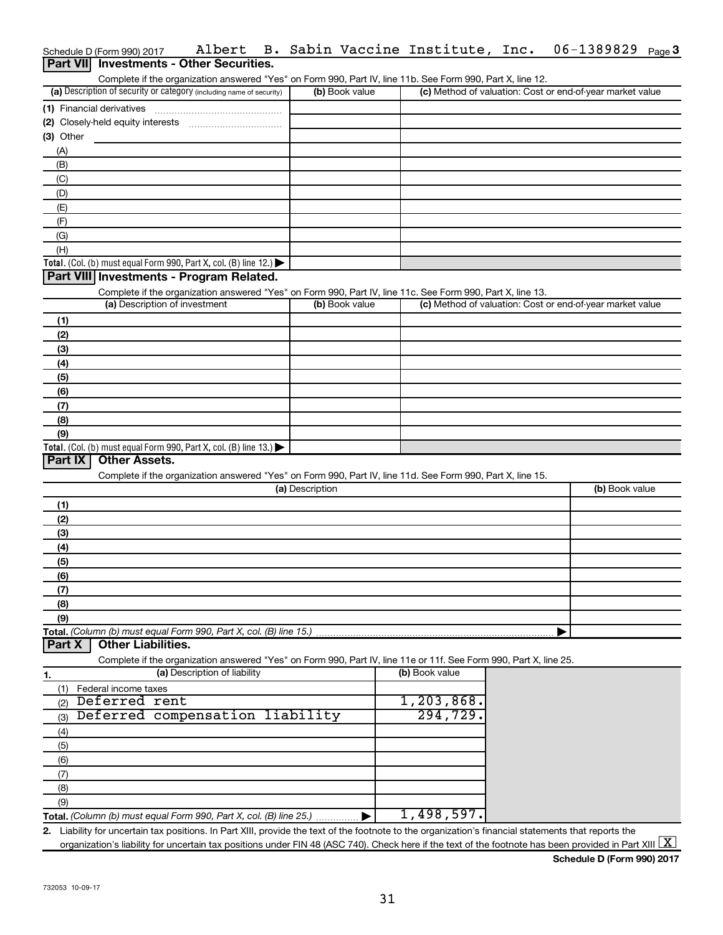|                  | Schedule D (Form 990) 2017                                                             | Albert                       |                 |                | B. Sabin Vaccine Institute, Inc.                                                                                  | 06-1389829                                                                                                                                                         | Page 3 |
|------------------|----------------------------------------------------------------------------------------|------------------------------|-----------------|----------------|-------------------------------------------------------------------------------------------------------------------|--------------------------------------------------------------------------------------------------------------------------------------------------------------------|--------|
| <b>Part VIII</b> | <b>Investments - Other Securities.</b>                                                 |                              |                 |                |                                                                                                                   |                                                                                                                                                                    |        |
|                  |                                                                                        |                              |                 |                | Complete if the organization answered "Yes" on Form 990, Part IV, line 11b. See Form 990, Part X, line 12.        |                                                                                                                                                                    |        |
|                  | (a) Description of security or category (including name of security)                   |                              |                 | (b) Book value |                                                                                                                   | (c) Method of valuation: Cost or end-of-year market value                                                                                                          |        |
|                  | (1) Financial derivatives                                                              |                              |                 |                |                                                                                                                   |                                                                                                                                                                    |        |
|                  |                                                                                        |                              |                 |                |                                                                                                                   |                                                                                                                                                                    |        |
| $(3)$ Other      |                                                                                        |                              |                 |                |                                                                                                                   |                                                                                                                                                                    |        |
| (A)              |                                                                                        |                              |                 |                |                                                                                                                   |                                                                                                                                                                    |        |
| (B)              |                                                                                        |                              |                 |                |                                                                                                                   |                                                                                                                                                                    |        |
| (C)              |                                                                                        |                              |                 |                |                                                                                                                   |                                                                                                                                                                    |        |
| (D)              |                                                                                        |                              |                 |                |                                                                                                                   |                                                                                                                                                                    |        |
| (E)              |                                                                                        |                              |                 |                |                                                                                                                   |                                                                                                                                                                    |        |
| (F)              |                                                                                        |                              |                 |                |                                                                                                                   |                                                                                                                                                                    |        |
| (G)              |                                                                                        |                              |                 |                |                                                                                                                   |                                                                                                                                                                    |        |
| (H)              |                                                                                        |                              |                 |                |                                                                                                                   |                                                                                                                                                                    |        |
|                  | Total. (Col. (b) must equal Form 990, Part X, col. (B) line 12.) $\blacktriangleright$ |                              |                 |                |                                                                                                                   |                                                                                                                                                                    |        |
|                  | Part VIII Investments - Program Related.                                               |                              |                 |                |                                                                                                                   |                                                                                                                                                                    |        |
|                  |                                                                                        |                              |                 |                | Complete if the organization answered "Yes" on Form 990, Part IV, line 11c. See Form 990, Part X, line 13.        |                                                                                                                                                                    |        |
|                  | (a) Description of investment                                                          |                              |                 | (b) Book value |                                                                                                                   | (c) Method of valuation: Cost or end-of-year market value                                                                                                          |        |
| (1)              |                                                                                        |                              |                 |                |                                                                                                                   |                                                                                                                                                                    |        |
| (2)              |                                                                                        |                              |                 |                |                                                                                                                   |                                                                                                                                                                    |        |
| (3)              |                                                                                        |                              |                 |                |                                                                                                                   |                                                                                                                                                                    |        |
| (4)              |                                                                                        |                              |                 |                |                                                                                                                   |                                                                                                                                                                    |        |
| (5)              |                                                                                        |                              |                 |                |                                                                                                                   |                                                                                                                                                                    |        |
| (6)              |                                                                                        |                              |                 |                |                                                                                                                   |                                                                                                                                                                    |        |
| (7)              |                                                                                        |                              |                 |                |                                                                                                                   |                                                                                                                                                                    |        |
| (8)              |                                                                                        |                              |                 |                |                                                                                                                   |                                                                                                                                                                    |        |
| (9)              |                                                                                        |                              |                 |                |                                                                                                                   |                                                                                                                                                                    |        |
|                  | Total. (Col. (b) must equal Form 990, Part X, col. (B) line 13.) $\blacktriangleright$ |                              |                 |                |                                                                                                                   |                                                                                                                                                                    |        |
| Part IX          | <b>Other Assets.</b>                                                                   |                              |                 |                |                                                                                                                   |                                                                                                                                                                    |        |
|                  |                                                                                        |                              |                 |                | Complete if the organization answered "Yes" on Form 990, Part IV, line 11d. See Form 990, Part X, line 15.        |                                                                                                                                                                    |        |
|                  |                                                                                        |                              | (a) Description |                |                                                                                                                   | (b) Book value                                                                                                                                                     |        |
| (1)              |                                                                                        |                              |                 |                |                                                                                                                   |                                                                                                                                                                    |        |
| (2)              |                                                                                        |                              |                 |                |                                                                                                                   |                                                                                                                                                                    |        |
| (3)              |                                                                                        |                              |                 |                |                                                                                                                   |                                                                                                                                                                    |        |
| (4)              |                                                                                        |                              |                 |                |                                                                                                                   |                                                                                                                                                                    |        |
| (5)              |                                                                                        |                              |                 |                |                                                                                                                   |                                                                                                                                                                    |        |
| (6)              |                                                                                        |                              |                 |                |                                                                                                                   |                                                                                                                                                                    |        |
| (7)              |                                                                                        |                              |                 |                |                                                                                                                   |                                                                                                                                                                    |        |
| (8)              |                                                                                        |                              |                 |                |                                                                                                                   |                                                                                                                                                                    |        |
| (9)              | Total. (Column (b) must equal Form 990, Part X, col. (B) line 15.)                     |                              |                 |                |                                                                                                                   |                                                                                                                                                                    |        |
| Part X           | <b>Other Liabilities.</b>                                                              |                              |                 |                |                                                                                                                   |                                                                                                                                                                    |        |
|                  |                                                                                        |                              |                 |                | Complete if the organization answered "Yes" on Form 990, Part IV, line 11e or 11f. See Form 990, Part X, line 25. |                                                                                                                                                                    |        |
| 1.               |                                                                                        | (a) Description of liability |                 |                | (b) Book value                                                                                                    |                                                                                                                                                                    |        |
| (1)              | Federal income taxes                                                                   |                              |                 |                |                                                                                                                   |                                                                                                                                                                    |        |
| (2)              | Deferred rent                                                                          |                              |                 |                | 1, 203, 868.                                                                                                      |                                                                                                                                                                    |        |
| (3)              | Deferred compensation liability                                                        |                              |                 |                | 294,729.                                                                                                          |                                                                                                                                                                    |        |
| (4)              |                                                                                        |                              |                 |                |                                                                                                                   |                                                                                                                                                                    |        |
| (5)              |                                                                                        |                              |                 |                |                                                                                                                   |                                                                                                                                                                    |        |
| (6)              |                                                                                        |                              |                 |                |                                                                                                                   |                                                                                                                                                                    |        |
| (7)              |                                                                                        |                              |                 |                |                                                                                                                   |                                                                                                                                                                    |        |
| (8)              |                                                                                        |                              |                 |                |                                                                                                                   |                                                                                                                                                                    |        |
| (9)              |                                                                                        |                              |                 |                |                                                                                                                   |                                                                                                                                                                    |        |
|                  | Total. (Column (b) must equal Form 990, Part X, col. (B) line 25.)                     |                              |                 |                | 1,498,597.                                                                                                        |                                                                                                                                                                    |        |
|                  |                                                                                        |                              |                 |                |                                                                                                                   | 2. Liability for uncertain tax positions. In Part XIII, provide the text of the footnote to the organization's financial statements that reports the               |        |
|                  |                                                                                        |                              |                 |                |                                                                                                                   | organization's liability for uncertain tax positions under FIN 48 (ASC 740). Check here if the text of the footnote has been provided in Part XIII $\vert X \vert$ |        |

**Schedule D (Form 990) 2017**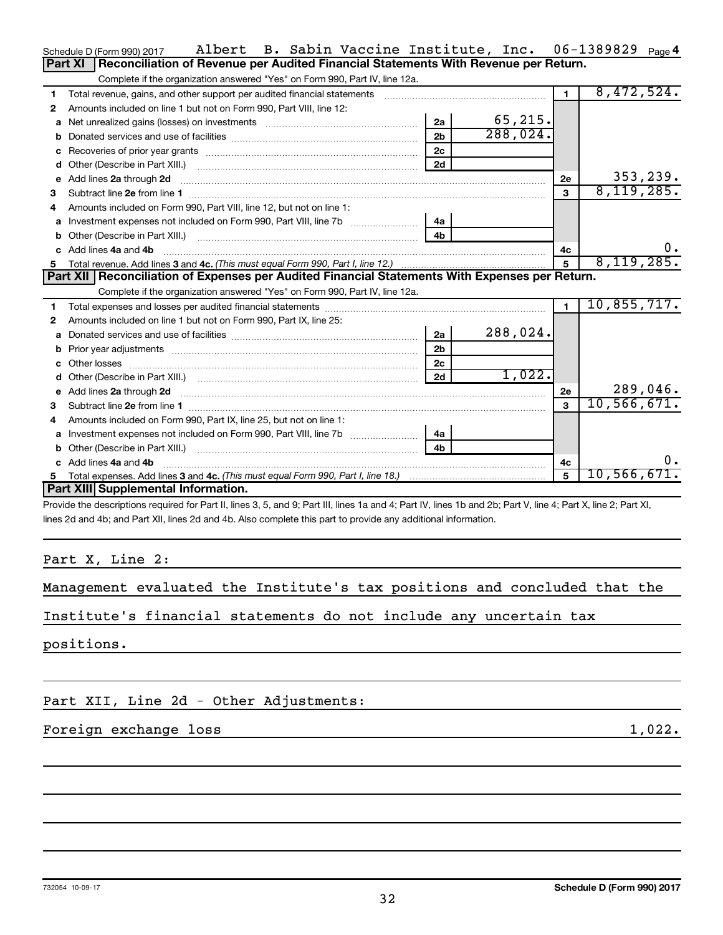|    | Albert B. Sabin Vaccine Institute, Inc. 06-1389829 Page4<br>Schedule D (Form 990) 2017                                                                                                                                              |                |          |              |               |
|----|-------------------------------------------------------------------------------------------------------------------------------------------------------------------------------------------------------------------------------------|----------------|----------|--------------|---------------|
|    | Reconciliation of Revenue per Audited Financial Statements With Revenue per Return.<br><b>Part XI</b>                                                                                                                               |                |          |              |               |
|    | Complete if the organization answered "Yes" on Form 990, Part IV, line 12a.                                                                                                                                                         |                |          |              |               |
| 1  | Total revenue, gains, and other support per audited financial statements                                                                                                                                                            |                |          | $\mathbf{1}$ | 8,472,524.    |
| 2  | Amounts included on line 1 but not on Form 990, Part VIII, line 12:                                                                                                                                                                 |                |          |              |               |
| a  |                                                                                                                                                                                                                                     | 2a             | 65, 215. |              |               |
| b  |                                                                                                                                                                                                                                     | 2 <sub>b</sub> | 288,024. |              |               |
| с  |                                                                                                                                                                                                                                     | 2c             |          |              |               |
| d  |                                                                                                                                                                                                                                     | 2d             |          |              |               |
| е  | Add lines 2a through 2d                                                                                                                                                                                                             |                |          | 2e           | 353,239.      |
| з  |                                                                                                                                                                                                                                     |                |          | $\mathbf{a}$ | 8,119,285.    |
|    | Amounts included on Form 990, Part VIII, line 12, but not on line 1:                                                                                                                                                                |                |          |              |               |
| a  |                                                                                                                                                                                                                                     | 4a             |          |              |               |
| b  |                                                                                                                                                                                                                                     | 4b             |          |              |               |
|    | Add lines 4a and 4b                                                                                                                                                                                                                 |                |          | 4с           |               |
| 5. |                                                                                                                                                                                                                                     |                |          | 5            | 8,119,285.    |
|    | Part XII   Reconciliation of Expenses per Audited Financial Statements With Expenses per Return.                                                                                                                                    |                |          |              |               |
|    |                                                                                                                                                                                                                                     |                |          |              |               |
| 1  | Complete if the organization answered "Yes" on Form 990, Part IV, line 12a.                                                                                                                                                         |                |          | $\mathbf{1}$ | 10,855,717.   |
| 2  | Amounts included on line 1 but not on Form 990, Part IX, line 25:                                                                                                                                                                   |                |          |              |               |
| a  |                                                                                                                                                                                                                                     | 2a             | 288,024. |              |               |
| b  |                                                                                                                                                                                                                                     | 2 <sub>b</sub> |          |              |               |
| c  |                                                                                                                                                                                                                                     | 2 <sub>c</sub> |          |              |               |
| d  |                                                                                                                                                                                                                                     | 2d             | 1,022.   |              |               |
| е  |                                                                                                                                                                                                                                     |                |          | 2e           | 289,046.      |
| 3  | Add lines 2a through 2d <b>contained a contained a contained a contained a</b> contained a contact the set of the set of the set of the set of the set of the set of the set of the set of the set of the set of the set of the set |                |          | $\mathbf{3}$ | 10, 566, 671. |
| 4  | Amounts included on Form 990, Part IX, line 25, but not on line 1:                                                                                                                                                                  |                |          |              |               |
| a  |                                                                                                                                                                                                                                     | 4a             |          |              |               |
|    | Other (Describe in Part XIII.)                                                                                                                                                                                                      | 4b             |          |              |               |
|    | Add lines 4a and 4b                                                                                                                                                                                                                 |                |          | 4c           | υ.            |
| 5  |                                                                                                                                                                                                                                     |                |          |              | 10,566,671.   |
|    | Part XIII Supplemental Information.                                                                                                                                                                                                 |                |          |              |               |

Provide the descriptions required for Part II, lines 3, 5, and 9; Part III, lines 1a and 4; Part IV, lines 1b and 2b; Part V, line 4; Part X, line 2; Part XI, lines 2d and 4b; and Part XII, lines 2d and 4b. Also complete this part to provide any additional information.

## Part X, Line 2:

|  | Management evaluated the Institute's tax positions and concluded that the |  |  |  |
|--|---------------------------------------------------------------------------|--|--|--|
|  |                                                                           |  |  |  |

Institute's financial statements do not include any uncertain tax

positions.

Part XII, Line 2d - Other Adjustments:

## Foreign exchange loss 1,022.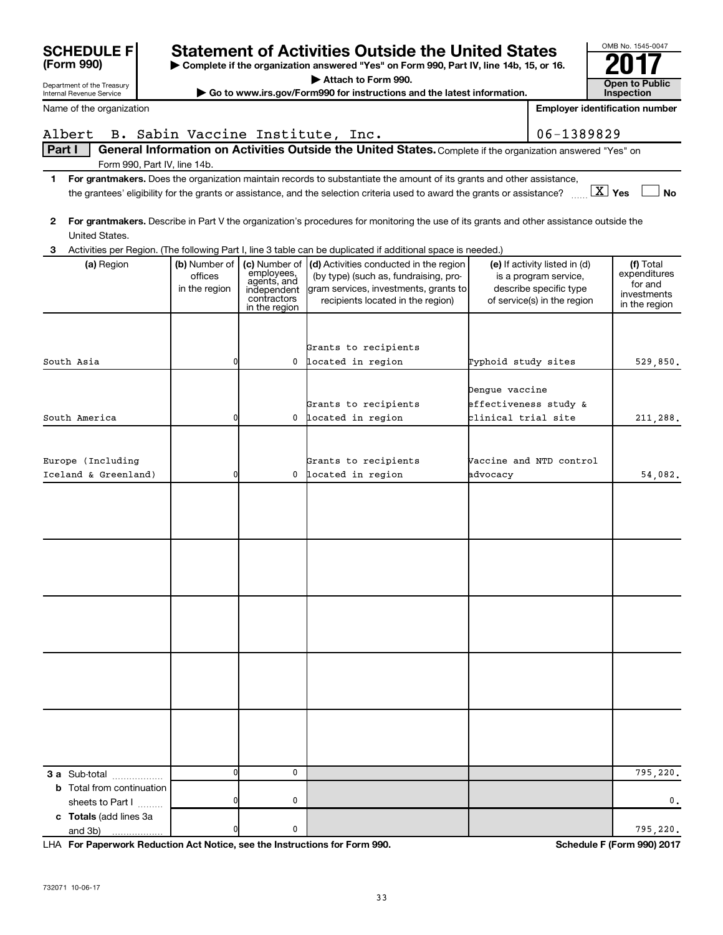| <b>SCHEDULE F</b>                                      |                                           |                                                                                           | <b>Statement of Activities Outside the United States</b>                                                                                                                                                                                             |                     |                                                                                                                 | OMB No. 1545-0047                                                    |
|--------------------------------------------------------|-------------------------------------------|-------------------------------------------------------------------------------------------|------------------------------------------------------------------------------------------------------------------------------------------------------------------------------------------------------------------------------------------------------|---------------------|-----------------------------------------------------------------------------------------------------------------|----------------------------------------------------------------------|
| (Form 990)                                             |                                           |                                                                                           | Complete if the organization answered "Yes" on Form 990, Part IV, line 14b, 15, or 16.                                                                                                                                                               |                     |                                                                                                                 |                                                                      |
| Department of the Treasury<br>Internal Revenue Service |                                           |                                                                                           | Attach to Form 990.<br>Go to www.irs.gov/Form990 for instructions and the latest information.                                                                                                                                                        |                     |                                                                                                                 | Open to Public<br><b>Inspection</b>                                  |
| Name of the organization                               |                                           |                                                                                           |                                                                                                                                                                                                                                                      |                     |                                                                                                                 | <b>Employer identification number</b>                                |
| Albert                                                 |                                           |                                                                                           | B. Sabin Vaccine Institute, Inc.                                                                                                                                                                                                                     |                     | 06-1389829                                                                                                      |                                                                      |
| Part I                                                 |                                           |                                                                                           | General Information on Activities Outside the United States. Complete if the organization answered "Yes" on                                                                                                                                          |                     |                                                                                                                 |                                                                      |
| Form 990, Part IV, line 14b.                           |                                           |                                                                                           |                                                                                                                                                                                                                                                      |                     |                                                                                                                 |                                                                      |
| $\mathbf{1}$                                           |                                           |                                                                                           | For grantmakers. Does the organization maintain records to substantiate the amount of its grants and other assistance,<br>the grantees' eligibility for the grants or assistance, and the selection criteria used to award the grants or assistance? |                     |                                                                                                                 | $\boxed{\text{X}}$ Yes<br><b>No</b>                                  |
| $\mathbf{2}$<br>United States.                         |                                           |                                                                                           | For grantmakers. Describe in Part V the organization's procedures for monitoring the use of its grants and other assistance outside the                                                                                                              |                     |                                                                                                                 |                                                                      |
| 3                                                      |                                           |                                                                                           | Activities per Region. (The following Part I, line 3 table can be duplicated if additional space is needed.)                                                                                                                                         |                     |                                                                                                                 |                                                                      |
| (a) Region                                             | (b) Number of<br>offices<br>in the region | (c) Number of<br>employees,<br>agents, and<br>independent<br>contractors<br>in the region | (d) Activities conducted in the region<br>(by type) (such as, fundraising, pro-<br>gram services, investments, grants to<br>recipients located in the region)                                                                                        |                     | (e) If activity listed in (d)<br>is a program service,<br>describe specific type<br>of service(s) in the region | (f) Total<br>expenditures<br>for and<br>investments<br>in the region |
|                                                        |                                           |                                                                                           | Grants to recipients                                                                                                                                                                                                                                 |                     |                                                                                                                 |                                                                      |
| South Asia                                             | 0                                         |                                                                                           | 0 located in region                                                                                                                                                                                                                                  | Typhoid study sites |                                                                                                                 | 529,850.                                                             |
|                                                        |                                           |                                                                                           | Grants to recipients                                                                                                                                                                                                                                 | Dengue vaccine      | effectiveness study &                                                                                           |                                                                      |
| South America                                          | 0                                         |                                                                                           | 0 located in region                                                                                                                                                                                                                                  | clinical trial site |                                                                                                                 | 211,288.                                                             |
| Europe (Including<br>Iceland & Greenland)              | 0                                         |                                                                                           | Grants to recipients<br>0 located in region                                                                                                                                                                                                          | advocacy            | Vaccine and NTD control                                                                                         | 54,082.                                                              |
|                                                        |                                           |                                                                                           |                                                                                                                                                                                                                                                      |                     |                                                                                                                 |                                                                      |
|                                                        |                                           |                                                                                           |                                                                                                                                                                                                                                                      |                     |                                                                                                                 |                                                                      |
| 3 a Sub-total                                          | ŋ                                         | 0                                                                                         |                                                                                                                                                                                                                                                      |                     |                                                                                                                 | 795,220.                                                             |
| <b>b</b> Total from continuation<br>sheets to Part I   |                                           | 0                                                                                         |                                                                                                                                                                                                                                                      |                     |                                                                                                                 | 0.                                                                   |
| c Totals (add lines 3a<br>and 3b)                      | 0                                         | 0                                                                                         |                                                                                                                                                                                                                                                      |                     |                                                                                                                 | 795,220.                                                             |

**For Paperwork Reduction Act Notice, see the Instructions for Form 990. Schedule F (Form 990) 2017** LHA

OMB No. 1545-0047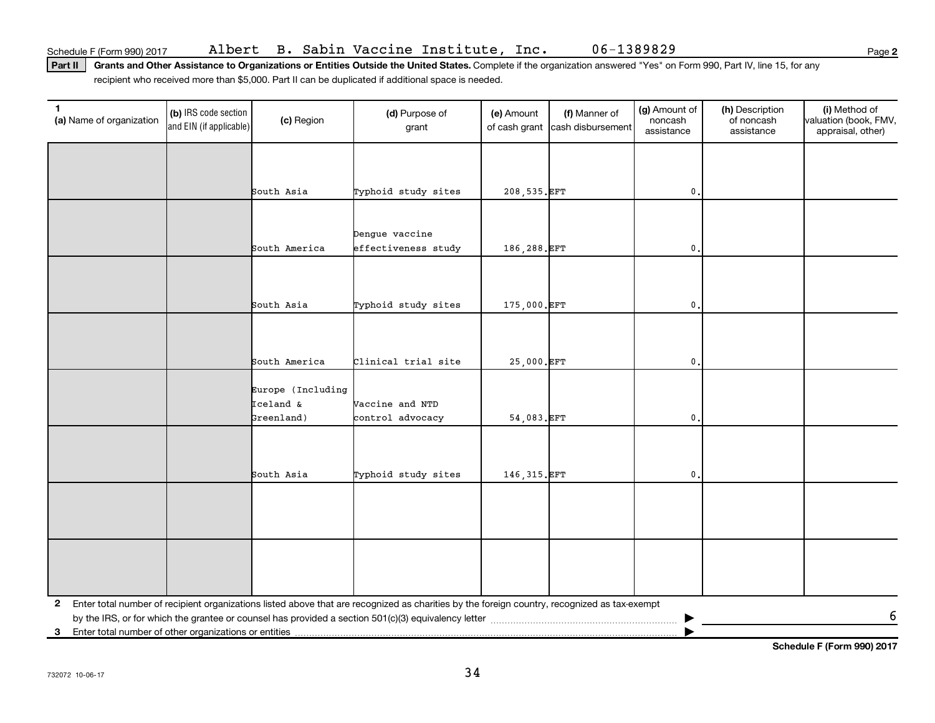Part II | Grants and Other Assistance to Organizations or Entities Outside the United States. Complete if the organization answered "Yes" on Form 990, Part IV, line 15, for any recipient who received more than \$5,000. Part II can be duplicated if additional space is needed.

| 1<br>(a) Name of organization                                         | (b) IRS code section<br>and EIN (if applicable) | (c) Region                     | (d) Purpose of<br>grant                                                                                                                      | (e) Amount<br>of cash grant | (f) Manner of<br>cash disbursement | (g) Amount of<br>noncash<br>assistance | (h) Description<br>of noncash<br>assistance | (i) Method of<br>valuation (book, FMV,<br>appraisal, other) |
|-----------------------------------------------------------------------|-------------------------------------------------|--------------------------------|----------------------------------------------------------------------------------------------------------------------------------------------|-----------------------------|------------------------------------|----------------------------------------|---------------------------------------------|-------------------------------------------------------------|
|                                                                       |                                                 |                                |                                                                                                                                              |                             |                                    |                                        |                                             |                                                             |
|                                                                       |                                                 | South Asia                     | Typhoid study sites                                                                                                                          | 208, 535. EFT               |                                    | $\mathbf{0}$ .                         |                                             |                                                             |
|                                                                       |                                                 |                                |                                                                                                                                              |                             |                                    |                                        |                                             |                                                             |
|                                                                       |                                                 |                                | Dengue vaccine                                                                                                                               |                             |                                    |                                        |                                             |                                                             |
|                                                                       |                                                 | South America                  | effectiveness study                                                                                                                          | 186,288. EFT                |                                    | $\mathbf{0}$ .                         |                                             |                                                             |
|                                                                       |                                                 |                                |                                                                                                                                              |                             |                                    |                                        |                                             |                                                             |
|                                                                       |                                                 |                                |                                                                                                                                              |                             |                                    |                                        |                                             |                                                             |
|                                                                       |                                                 | South Asia                     | Typhoid study sites                                                                                                                          | 175,000.EFT                 |                                    | $\mathbf{0}$ .                         |                                             |                                                             |
|                                                                       |                                                 |                                |                                                                                                                                              |                             |                                    |                                        |                                             |                                                             |
|                                                                       |                                                 | South America                  | Clinical trial site                                                                                                                          | 25,000.EFT                  |                                    | $\mathbf{0}$                           |                                             |                                                             |
|                                                                       |                                                 |                                |                                                                                                                                              |                             |                                    |                                        |                                             |                                                             |
|                                                                       |                                                 | Europe (Including<br>Iceland & | Vaccine and NTD                                                                                                                              |                             |                                    |                                        |                                             |                                                             |
|                                                                       |                                                 | Greenland)                     | control advocacy                                                                                                                             | 54,083.EFT                  |                                    | $\mathfrak o$ .                        |                                             |                                                             |
|                                                                       |                                                 |                                |                                                                                                                                              |                             |                                    |                                        |                                             |                                                             |
|                                                                       |                                                 |                                |                                                                                                                                              |                             |                                    |                                        |                                             |                                                             |
|                                                                       |                                                 | South Asia                     | Typhoid study sites                                                                                                                          | 146, 315. EFT               |                                    | $\mathbf{0}$ .                         |                                             |                                                             |
|                                                                       |                                                 |                                |                                                                                                                                              |                             |                                    |                                        |                                             |                                                             |
|                                                                       |                                                 |                                |                                                                                                                                              |                             |                                    |                                        |                                             |                                                             |
|                                                                       |                                                 |                                |                                                                                                                                              |                             |                                    |                                        |                                             |                                                             |
|                                                                       |                                                 |                                |                                                                                                                                              |                             |                                    |                                        |                                             |                                                             |
|                                                                       |                                                 |                                |                                                                                                                                              |                             |                                    |                                        |                                             |                                                             |
| $\mathbf{2}$                                                          |                                                 |                                | Enter total number of recipient organizations listed above that are recognized as charities by the foreign country, recognized as tax-exempt |                             |                                    |                                        |                                             | 6                                                           |
| Enter total number of other organizations or entities<br>$\mathbf{3}$ |                                                 |                                |                                                                                                                                              |                             |                                    |                                        |                                             |                                                             |

**Schedule F (Form 990) 2017**

**2**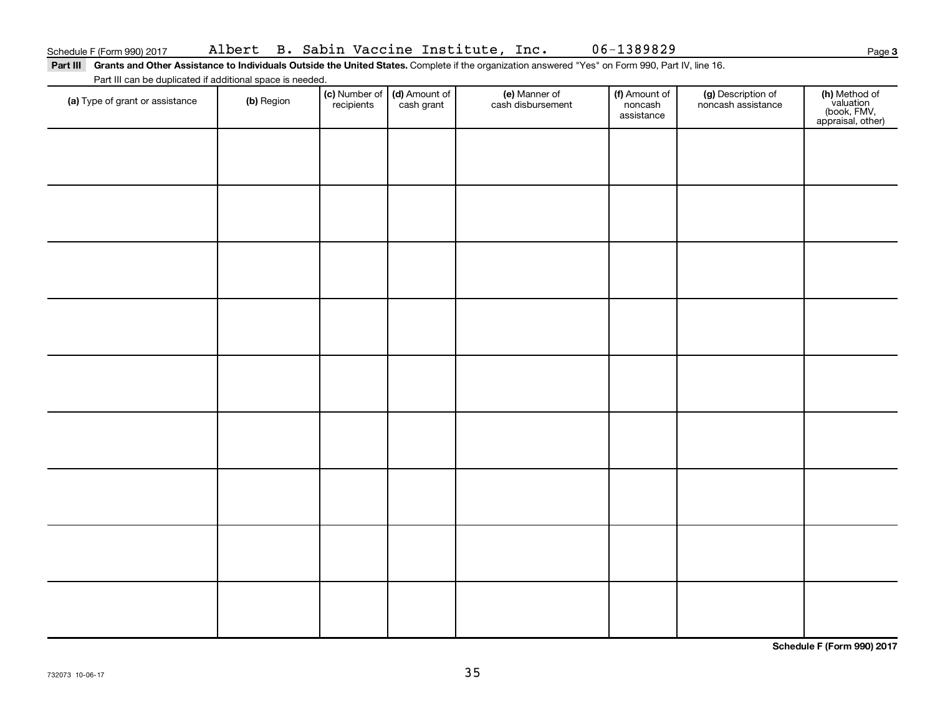**3**

Part III Grants and Other Assistance to Individuals Outside the United States. Complete if the organization answered "Yes" on Form 990, Part IV, line 16. Part III can be duplicated if additional space is needed.

| r art in car be depiled to a define it space to necessary.<br>(a) Type of grant or assistance | (b) Region | (c) Number of (d) Amount of<br>recipients cash grant | (e) Manner of<br>cash disbursement | (f) Amount of<br>noncash<br>assistance | (g) Description of<br>noncash assistance | (h) Method of<br>valuation<br>(book, FMV,<br>appraisal, other) |
|-----------------------------------------------------------------------------------------------|------------|------------------------------------------------------|------------------------------------|----------------------------------------|------------------------------------------|----------------------------------------------------------------|
|                                                                                               |            |                                                      |                                    |                                        |                                          |                                                                |
|                                                                                               |            |                                                      |                                    |                                        |                                          |                                                                |
|                                                                                               |            |                                                      |                                    |                                        |                                          |                                                                |
|                                                                                               |            |                                                      |                                    |                                        |                                          |                                                                |
|                                                                                               |            |                                                      |                                    |                                        |                                          |                                                                |
|                                                                                               |            |                                                      |                                    |                                        |                                          |                                                                |
|                                                                                               |            |                                                      |                                    |                                        |                                          |                                                                |
|                                                                                               |            |                                                      |                                    |                                        |                                          |                                                                |
|                                                                                               |            |                                                      |                                    |                                        |                                          |                                                                |
|                                                                                               |            |                                                      |                                    |                                        |                                          |                                                                |

**Schedule F (Form 990) 2017**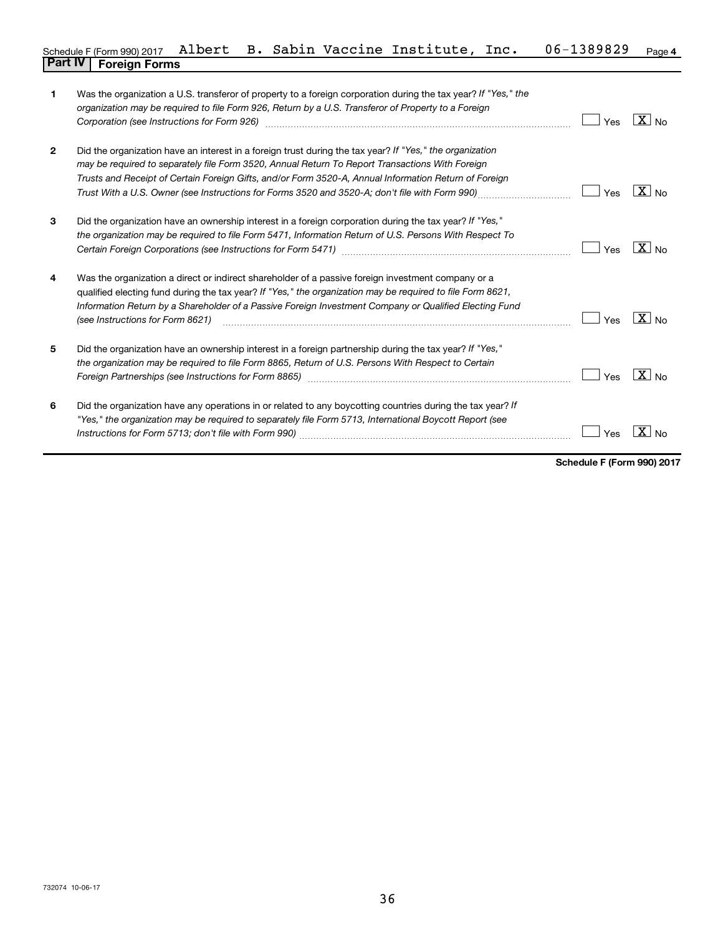### **4** Schedule F (Form 990) 2017 Albert B. Sabin Vaccine Institute, Inc. 06-1389829 <sub>Page</sub> **Part IV F** (Form 990) 2017 *i*<br>**Part IV Foreign Forms**

| 1              | Was the organization a U.S. transferor of property to a foreign corporation during the tax year? If "Yes," the<br>organization may be required to file Form 926, Return by a U.S. Transferor of Property to a Foreign<br>Corporation (see Instructions for Form 926) manufactured controller controller to the control of the control of                                                                               | Yes | $\overline{X}$ No |
|----------------|------------------------------------------------------------------------------------------------------------------------------------------------------------------------------------------------------------------------------------------------------------------------------------------------------------------------------------------------------------------------------------------------------------------------|-----|-------------------|
| $\overline{2}$ | Did the organization have an interest in a foreign trust during the tax year? If "Yes," the organization<br>may be required to separately file Form 3520, Annual Return To Report Transactions With Foreign<br>Trusts and Receipt of Certain Foreign Gifts, and/or Form 3520-A, Annual Information Return of Foreign<br>Trust With a U.S. Owner (see Instructions for Forms 3520 and 3520-A; don't file with Form 990) | Yes | $X _{\text{No}}$  |
| 3              | Did the organization have an ownership interest in a foreign corporation during the tax year? If "Yes,"<br>the organization may be required to file Form 5471, Information Return of U.S. Persons With Respect To                                                                                                                                                                                                      | Yes | $X _{\text{No}}$  |
| 4              | Was the organization a direct or indirect shareholder of a passive foreign investment company or a<br>qualified electing fund during the tax year? If "Yes," the organization may be required to file Form 8621,<br>Information Return by a Shareholder of a Passive Foreign Investment Company or Qualified Electing Fund<br>(see Instructions for Form 8621)                                                         | Yes | $X _{N_Q}$        |
| 5              | Did the organization have an ownership interest in a foreign partnership during the tax year? If "Yes,"<br>the organization may be required to file Form 8865, Return of U.S. Persons With Respect to Certain<br>Foreign Partnerships (see Instructions for Form 8865)                                                                                                                                                 | Yes | $X _{No}$         |
| 6              | Did the organization have any operations in or related to any boycotting countries during the tax year? If<br>"Yes," the organization may be required to separately file Form 5713, International Boycott Report (see                                                                                                                                                                                                  | Yes |                   |

**Schedule F (Form 990) 2017**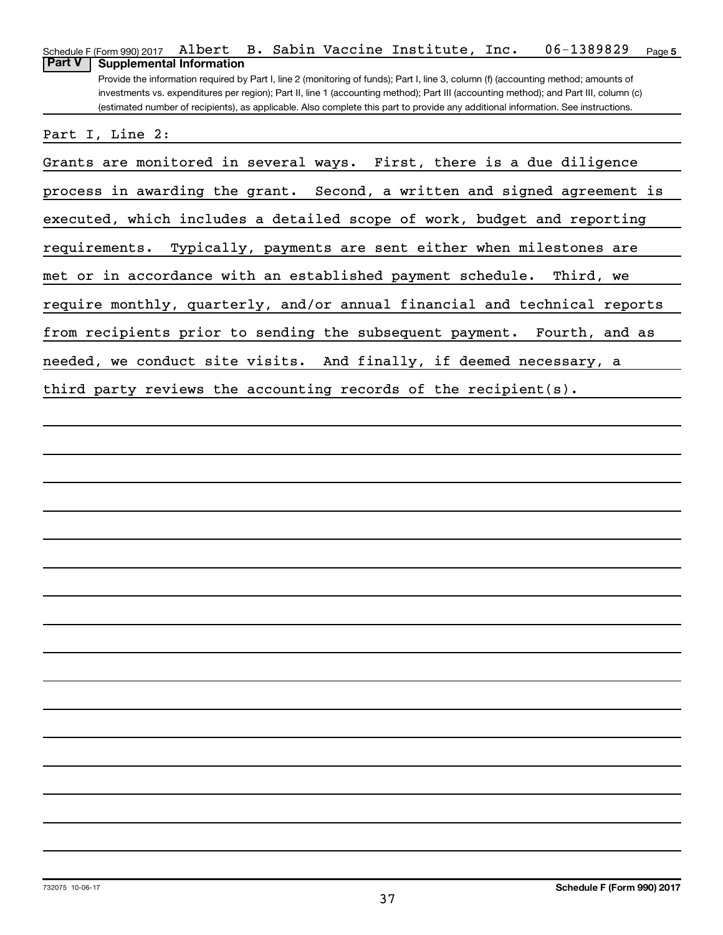| 06-1389829<br>Schedule F (Form 990) 2017 Albert B. Sabin Vaccine Institute, Inc.<br>Page 5                                            |
|---------------------------------------------------------------------------------------------------------------------------------------|
| <b>Supplemental Information</b><br><b>Part V</b>                                                                                      |
| Provide the information required by Part I, line 2 (monitoring of funds); Part I, line 3, column (f) (accounting method; amounts of   |
| investments vs. expenditures per region); Part II, line 1 (accounting method); Part III (accounting method); and Part III, column (c) |
| (estimated number of recipients), as applicable. Also complete this part to provide any additional information. See instructions.     |
|                                                                                                                                       |
| Part I, Line 2:                                                                                                                       |
|                                                                                                                                       |
| Grants are monitored in several ways. First, there is a due diligence                                                                 |
|                                                                                                                                       |
| process in awarding the grant. Second, a written and signed agreement is                                                              |
|                                                                                                                                       |
| executed, which includes a detailed scope of work, budget and reporting                                                               |
|                                                                                                                                       |
| requirements. Typically, payments are sent either when milestones are                                                                 |
|                                                                                                                                       |
| met or in accordance with an established payment schedule. Third, we                                                                  |
|                                                                                                                                       |
| require monthly, quarterly, and/or annual financial and technical reports                                                             |
|                                                                                                                                       |
| from recipients prior to sending the subsequent payment. Fourth, and as                                                               |
|                                                                                                                                       |
| needed, we conduct site visits. And finally, if deemed necessary, a                                                                   |
|                                                                                                                                       |
| third party reviews the accounting records of the recipient(s).                                                                       |
|                                                                                                                                       |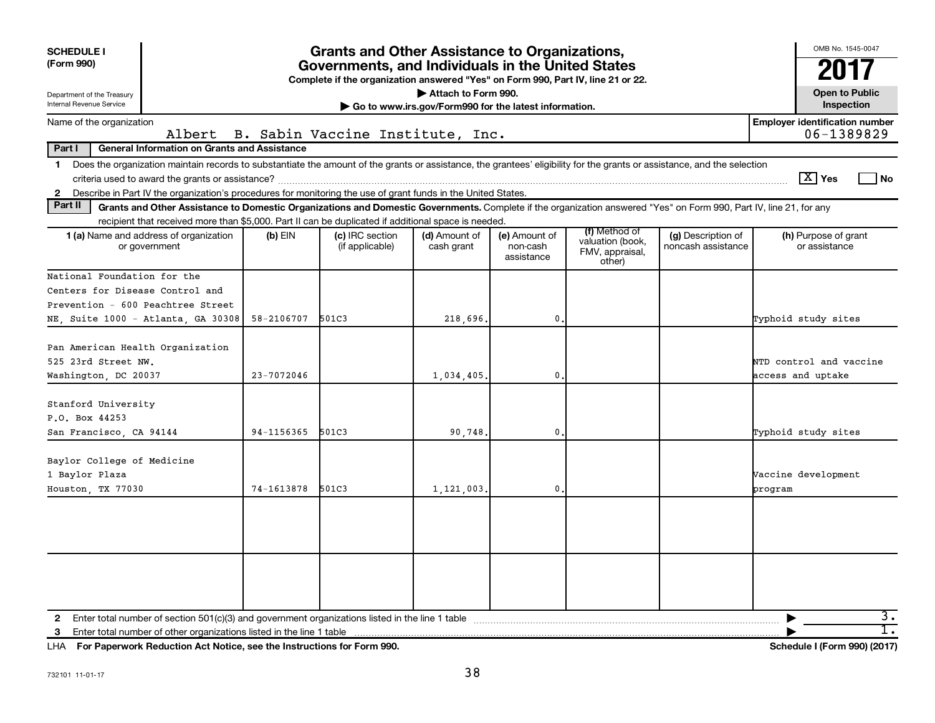| <b>SCHEDULE I</b><br>(Form 990)<br>Department of the Treasury<br>Internal Revenue Service                                                                                                                                                                                                                  | <b>Grants and Other Assistance to Organizations,</b><br>Governments, and Individuals in the United States<br>Complete if the organization answered "Yes" on Form 990, Part IV, line 21 or 22.<br>Attach to Form 990.<br>Go to www.irs.gov/Form990 for the latest information. |                                    |                             |                                         |                                                                |                                          |                                              |  |  |  |  |  |  |
|------------------------------------------------------------------------------------------------------------------------------------------------------------------------------------------------------------------------------------------------------------------------------------------------------------|-------------------------------------------------------------------------------------------------------------------------------------------------------------------------------------------------------------------------------------------------------------------------------|------------------------------------|-----------------------------|-----------------------------------------|----------------------------------------------------------------|------------------------------------------|----------------------------------------------|--|--|--|--|--|--|
| Name of the organization                                                                                                                                                                                                                                                                                   |                                                                                                                                                                                                                                                                               |                                    |                             |                                         |                                                                |                                          | <b>Employer identification number</b>        |  |  |  |  |  |  |
| Albert<br>Part I<br><b>General Information on Grants and Assistance</b>                                                                                                                                                                                                                                    |                                                                                                                                                                                                                                                                               | B. Sabin Vaccine Institute, Inc.   |                             |                                         |                                                                |                                          | 06-1389829                                   |  |  |  |  |  |  |
| Does the organization maintain records to substantiate the amount of the grants or assistance, the grantees' eligibility for the grants or assistance, and the selection<br>$\mathbf 1$<br>2 Describe in Part IV the organization's procedures for monitoring the use of grant funds in the United States. |                                                                                                                                                                                                                                                                               |                                    |                             |                                         |                                                                |                                          | $\boxed{\text{X}}$ Yes<br>l No               |  |  |  |  |  |  |
| Part II<br>Grants and Other Assistance to Domestic Organizations and Domestic Governments. Complete if the organization answered "Yes" on Form 990, Part IV, line 21, for any                                                                                                                              |                                                                                                                                                                                                                                                                               |                                    |                             |                                         |                                                                |                                          |                                              |  |  |  |  |  |  |
| recipient that received more than \$5,000. Part II can be duplicated if additional space is needed.                                                                                                                                                                                                        |                                                                                                                                                                                                                                                                               |                                    |                             |                                         |                                                                |                                          |                                              |  |  |  |  |  |  |
| <b>1 (a)</b> Name and address of organization<br>or government                                                                                                                                                                                                                                             | (b) EIN                                                                                                                                                                                                                                                                       | (c) IRC section<br>(if applicable) | (d) Amount of<br>cash grant | (e) Amount of<br>non-cash<br>assistance | (f) Method of<br>valuation (book,<br>FMV, appraisal,<br>other) | (g) Description of<br>noncash assistance | (h) Purpose of grant<br>or assistance        |  |  |  |  |  |  |
| National Foundation for the                                                                                                                                                                                                                                                                                |                                                                                                                                                                                                                                                                               |                                    |                             |                                         |                                                                |                                          |                                              |  |  |  |  |  |  |
| Centers for Disease Control and                                                                                                                                                                                                                                                                            |                                                                                                                                                                                                                                                                               |                                    |                             |                                         |                                                                |                                          |                                              |  |  |  |  |  |  |
| Prevention - 600 Peachtree Street                                                                                                                                                                                                                                                                          |                                                                                                                                                                                                                                                                               |                                    |                             |                                         |                                                                |                                          |                                              |  |  |  |  |  |  |
| NE, Suite 1000 - Atlanta, GA 30308                                                                                                                                                                                                                                                                         | 58-2106707                                                                                                                                                                                                                                                                    | 501C3                              | 218,696.                    | $\mathbf{0}$                            |                                                                |                                          | Typhoid study sites                          |  |  |  |  |  |  |
| Pan American Health Organization<br>525 23rd Street NW.<br>Washington, DC 20037                                                                                                                                                                                                                            | $23 - 7072046$                                                                                                                                                                                                                                                                |                                    | 1,034,405.                  | $\mathbf{0}$                            |                                                                |                                          | NTD control and vaccine<br>access and uptake |  |  |  |  |  |  |
| Stanford University<br>P.O. Box 44253<br>San Francisco, CA 94144                                                                                                                                                                                                                                           | 94-1156365                                                                                                                                                                                                                                                                    | 501C3                              | 90.748.                     | $\mathbf 0$ .                           |                                                                |                                          | Typhoid study sites                          |  |  |  |  |  |  |
| Baylor College of Medicine<br>1 Baylor Plaza<br>Houston, TX 77030                                                                                                                                                                                                                                          | 74-1613878                                                                                                                                                                                                                                                                    | 501C3                              | 1,121,003.                  | $\mathbf{0}$                            |                                                                |                                          | Vaccine development<br>program               |  |  |  |  |  |  |
| 2 Enter total number of section $501(c)(3)$ and government organizations listed in the line 1 table                                                                                                                                                                                                        |                                                                                                                                                                                                                                                                               |                                    |                             |                                         |                                                                |                                          | з.                                           |  |  |  |  |  |  |
| Enter total number of other organizations listed in the line 1 table<br>3                                                                                                                                                                                                                                  |                                                                                                                                                                                                                                                                               |                                    |                             |                                         |                                                                |                                          | ī.                                           |  |  |  |  |  |  |

**For Paperwork Reduction Act Notice, see the Instructions for Form 990. Schedule I (Form 990) (2017)** LHA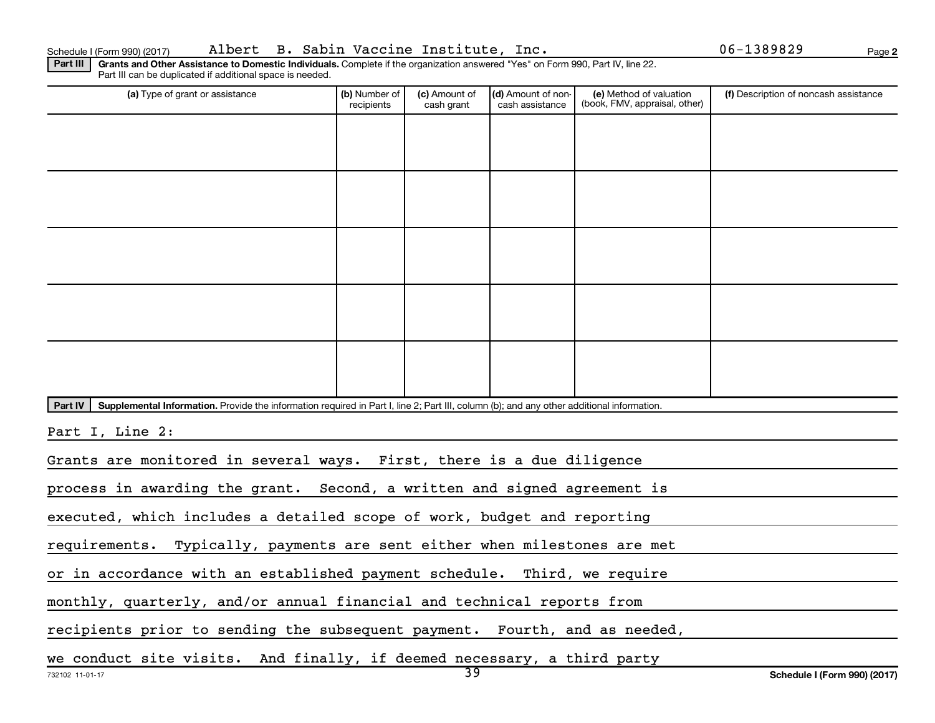**2**

Part III | Grants and Other Assistance to Domestic Individuals. Complete if the organization answered "Yes" on Form 990, Part IV, line 22. Part III can be duplicated if additional space is needed.

| (a) Type of grant or assistance                                                                                                                      | (b) Number of<br>recipients                                                | (c) Amount of<br>cash grant | (d) Amount of non-<br>cash assistance | (e) Method of valuation<br>(book, FMV, appraisal, other) | (f) Description of noncash assistance |  |  |  |  |  |  |  |  |  |
|------------------------------------------------------------------------------------------------------------------------------------------------------|----------------------------------------------------------------------------|-----------------------------|---------------------------------------|----------------------------------------------------------|---------------------------------------|--|--|--|--|--|--|--|--|--|
|                                                                                                                                                      |                                                                            |                             |                                       |                                                          |                                       |  |  |  |  |  |  |  |  |  |
|                                                                                                                                                      |                                                                            |                             |                                       |                                                          |                                       |  |  |  |  |  |  |  |  |  |
|                                                                                                                                                      |                                                                            |                             |                                       |                                                          |                                       |  |  |  |  |  |  |  |  |  |
|                                                                                                                                                      |                                                                            |                             |                                       |                                                          |                                       |  |  |  |  |  |  |  |  |  |
|                                                                                                                                                      |                                                                            |                             |                                       |                                                          |                                       |  |  |  |  |  |  |  |  |  |
|                                                                                                                                                      |                                                                            |                             |                                       |                                                          |                                       |  |  |  |  |  |  |  |  |  |
|                                                                                                                                                      |                                                                            |                             |                                       |                                                          |                                       |  |  |  |  |  |  |  |  |  |
|                                                                                                                                                      |                                                                            |                             |                                       |                                                          |                                       |  |  |  |  |  |  |  |  |  |
|                                                                                                                                                      |                                                                            |                             |                                       |                                                          |                                       |  |  |  |  |  |  |  |  |  |
|                                                                                                                                                      |                                                                            |                             |                                       |                                                          |                                       |  |  |  |  |  |  |  |  |  |
|                                                                                                                                                      |                                                                            |                             |                                       |                                                          |                                       |  |  |  |  |  |  |  |  |  |
| Part IV<br>Supplemental Information. Provide the information required in Part I, line 2; Part III, column (b); and any other additional information. |                                                                            |                             |                                       |                                                          |                                       |  |  |  |  |  |  |  |  |  |
| Part I, Line 2:                                                                                                                                      |                                                                            |                             |                                       |                                                          |                                       |  |  |  |  |  |  |  |  |  |
| Grants are monitored in several ways. First, there is a due diligence                                                                                |                                                                            |                             |                                       |                                                          |                                       |  |  |  |  |  |  |  |  |  |
| process in awarding the grant. Second, a written and signed agreement is                                                                             |                                                                            |                             |                                       |                                                          |                                       |  |  |  |  |  |  |  |  |  |
| executed, which includes a detailed scope of work, budget and reporting                                                                              |                                                                            |                             |                                       |                                                          |                                       |  |  |  |  |  |  |  |  |  |
| requirements. Typically, payments are sent either when milestones are met                                                                            |                                                                            |                             |                                       |                                                          |                                       |  |  |  |  |  |  |  |  |  |
| or in accordance with an established payment schedule. Third, we require                                                                             |                                                                            |                             |                                       |                                                          |                                       |  |  |  |  |  |  |  |  |  |
| monthly, quarterly, and/or annual financial and technical reports from                                                                               |                                                                            |                             |                                       |                                                          |                                       |  |  |  |  |  |  |  |  |  |
|                                                                                                                                                      | recipients prior to sending the subsequent payment. Fourth, and as needed, |                             |                                       |                                                          |                                       |  |  |  |  |  |  |  |  |  |
|                                                                                                                                                      |                                                                            |                             |                                       |                                                          |                                       |  |  |  |  |  |  |  |  |  |
| we conduct site visits. And finally, if deemed necessary, a third party                                                                              |                                                                            |                             |                                       |                                                          |                                       |  |  |  |  |  |  |  |  |  |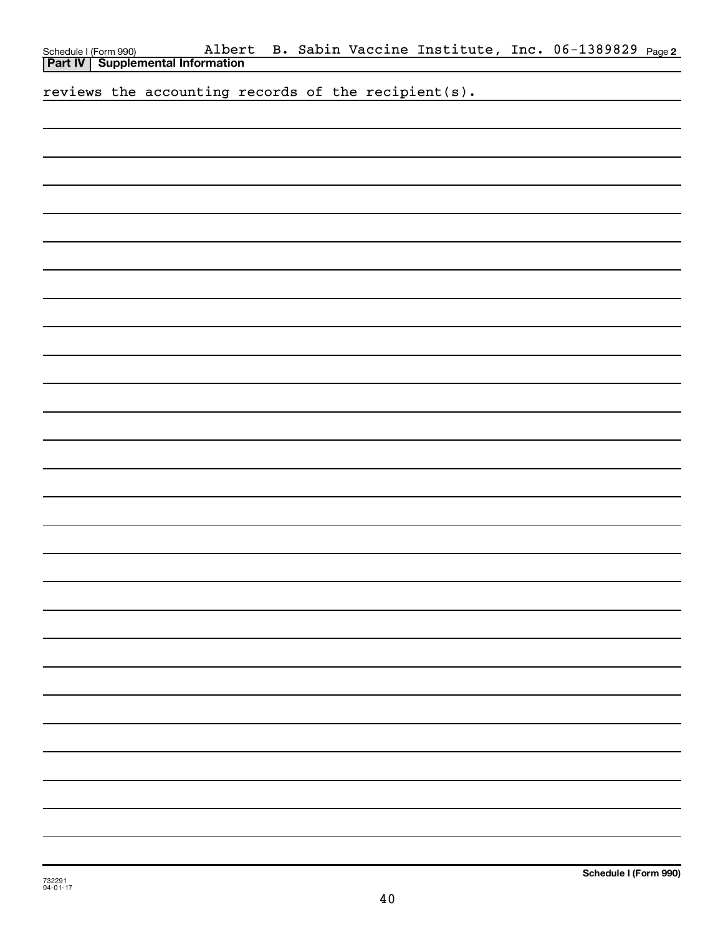|  | Schedule I (Form 990) Albert<br><b>Part IV</b> Supplemental Information |  |  |  |  |  | Albert B. Sabin Vaccine Institute, Inc. 06-1389829 Page2 |  |
|--|-------------------------------------------------------------------------|--|--|--|--|--|----------------------------------------------------------|--|
|  | reviews the accounting records of the recipient(s).                     |  |  |  |  |  |                                                          |  |
|  |                                                                         |  |  |  |  |  |                                                          |  |
|  |                                                                         |  |  |  |  |  |                                                          |  |
|  |                                                                         |  |  |  |  |  |                                                          |  |
|  |                                                                         |  |  |  |  |  |                                                          |  |
|  |                                                                         |  |  |  |  |  |                                                          |  |
|  |                                                                         |  |  |  |  |  |                                                          |  |
|  |                                                                         |  |  |  |  |  |                                                          |  |
|  |                                                                         |  |  |  |  |  |                                                          |  |
|  |                                                                         |  |  |  |  |  |                                                          |  |
|  |                                                                         |  |  |  |  |  |                                                          |  |
|  |                                                                         |  |  |  |  |  |                                                          |  |
|  |                                                                         |  |  |  |  |  |                                                          |  |
|  |                                                                         |  |  |  |  |  |                                                          |  |
|  |                                                                         |  |  |  |  |  |                                                          |  |
|  |                                                                         |  |  |  |  |  |                                                          |  |
|  |                                                                         |  |  |  |  |  |                                                          |  |
|  |                                                                         |  |  |  |  |  |                                                          |  |
|  |                                                                         |  |  |  |  |  |                                                          |  |
|  |                                                                         |  |  |  |  |  |                                                          |  |
|  |                                                                         |  |  |  |  |  |                                                          |  |
|  |                                                                         |  |  |  |  |  |                                                          |  |
|  |                                                                         |  |  |  |  |  |                                                          |  |
|  |                                                                         |  |  |  |  |  |                                                          |  |
|  |                                                                         |  |  |  |  |  |                                                          |  |
|  |                                                                         |  |  |  |  |  |                                                          |  |
|  |                                                                         |  |  |  |  |  |                                                          |  |
|  |                                                                         |  |  |  |  |  |                                                          |  |
|  |                                                                         |  |  |  |  |  |                                                          |  |
|  |                                                                         |  |  |  |  |  |                                                          |  |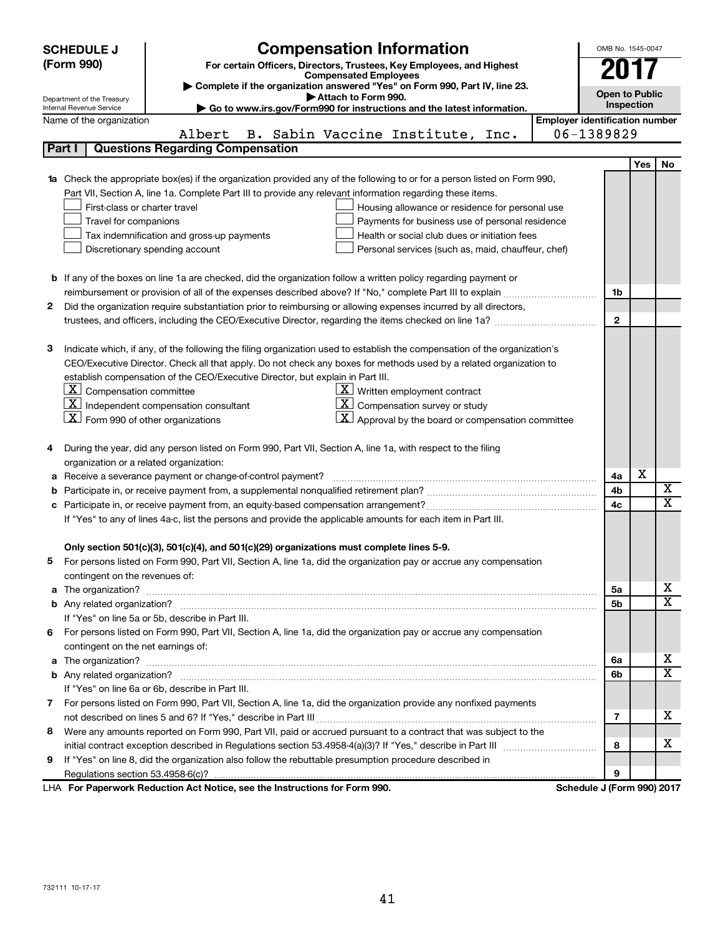|                                                                                | <b>SCHEDULE J</b>                                                                                                                              | <b>Compensation Information</b>                                                                                           |  | OMB No. 1545-0047          |     |                         |  |  |  |  |
|--------------------------------------------------------------------------------|------------------------------------------------------------------------------------------------------------------------------------------------|---------------------------------------------------------------------------------------------------------------------------|--|----------------------------|-----|-------------------------|--|--|--|--|
|                                                                                | (Form 990)                                                                                                                                     | For certain Officers, Directors, Trustees, Key Employees, and Highest                                                     |  | 2017                       |     |                         |  |  |  |  |
|                                                                                |                                                                                                                                                | <b>Compensated Employees</b>                                                                                              |  |                            |     |                         |  |  |  |  |
|                                                                                | Complete if the organization answered "Yes" on Form 990, Part IV, line 23.<br><b>Open to Public</b><br>Attach to Form 990.                     |                                                                                                                           |  |                            |     |                         |  |  |  |  |
|                                                                                | Department of the Treasury<br>Inspection<br>Go to www.irs.gov/Form990 for instructions and the latest information.<br>Internal Revenue Service |                                                                                                                           |  |                            |     |                         |  |  |  |  |
|                                                                                | <b>Employer identification number</b><br>Name of the organization                                                                              |                                                                                                                           |  |                            |     |                         |  |  |  |  |
|                                                                                |                                                                                                                                                | B. Sabin Vaccine Institute, Inc.<br>Albert                                                                                |  | 06-1389829                 |     |                         |  |  |  |  |
|                                                                                | Part I                                                                                                                                         | <b>Questions Regarding Compensation</b>                                                                                   |  |                            |     |                         |  |  |  |  |
|                                                                                |                                                                                                                                                |                                                                                                                           |  |                            | Yes | <b>No</b>               |  |  |  |  |
|                                                                                |                                                                                                                                                | Check the appropriate box(es) if the organization provided any of the following to or for a person listed on Form 990,    |  |                            |     |                         |  |  |  |  |
|                                                                                |                                                                                                                                                | Part VII, Section A, line 1a. Complete Part III to provide any relevant information regarding these items.                |  |                            |     |                         |  |  |  |  |
|                                                                                | First-class or charter travel                                                                                                                  | Housing allowance or residence for personal use                                                                           |  |                            |     |                         |  |  |  |  |
|                                                                                | Travel for companions                                                                                                                          | Payments for business use of personal residence                                                                           |  |                            |     |                         |  |  |  |  |
|                                                                                |                                                                                                                                                | Health or social club dues or initiation fees<br>Tax indemnification and gross-up payments                                |  |                            |     |                         |  |  |  |  |
|                                                                                |                                                                                                                                                | Discretionary spending account<br>Personal services (such as, maid, chauffeur, chef)                                      |  |                            |     |                         |  |  |  |  |
|                                                                                |                                                                                                                                                |                                                                                                                           |  |                            |     |                         |  |  |  |  |
|                                                                                |                                                                                                                                                | <b>b</b> If any of the boxes on line 1a are checked, did the organization follow a written policy regarding payment or    |  |                            |     |                         |  |  |  |  |
|                                                                                |                                                                                                                                                |                                                                                                                           |  | 1b                         |     |                         |  |  |  |  |
| 2                                                                              |                                                                                                                                                | Did the organization require substantiation prior to reimbursing or allowing expenses incurred by all directors,          |  |                            |     |                         |  |  |  |  |
|                                                                                |                                                                                                                                                |                                                                                                                           |  | $\mathbf{2}$               |     |                         |  |  |  |  |
|                                                                                |                                                                                                                                                |                                                                                                                           |  |                            |     |                         |  |  |  |  |
| З                                                                              |                                                                                                                                                | Indicate which, if any, of the following the filing organization used to establish the compensation of the organization's |  |                            |     |                         |  |  |  |  |
|                                                                                |                                                                                                                                                | CEO/Executive Director. Check all that apply. Do not check any boxes for methods used by a related organization to        |  |                            |     |                         |  |  |  |  |
| establish compensation of the CEO/Executive Director, but explain in Part III. |                                                                                                                                                |                                                                                                                           |  |                            |     |                         |  |  |  |  |
|                                                                                | $\lfloor x \rfloor$ Compensation committee<br>$\underline{\mathbf{X}}$ Written employment contract                                             |                                                                                                                           |  |                            |     |                         |  |  |  |  |
|                                                                                | $ \mathbf{X} $ Independent compensation consultant<br>$ \mathbf{X} $ Compensation survey or study                                              |                                                                                                                           |  |                            |     |                         |  |  |  |  |
|                                                                                | $ \mathbf{X} $ Form 990 of other organizations                                                                                                 | $\mathbf{X}$ Approval by the board or compensation committee                                                              |  |                            |     |                         |  |  |  |  |
|                                                                                |                                                                                                                                                |                                                                                                                           |  |                            |     |                         |  |  |  |  |
|                                                                                |                                                                                                                                                | During the year, did any person listed on Form 990, Part VII, Section A, line 1a, with respect to the filing              |  |                            |     |                         |  |  |  |  |
|                                                                                | organization or a related organization:                                                                                                        |                                                                                                                           |  |                            |     |                         |  |  |  |  |
| а                                                                              |                                                                                                                                                | Receive a severance payment or change-of-control payment?                                                                 |  | 4a                         | X   |                         |  |  |  |  |
| b                                                                              |                                                                                                                                                |                                                                                                                           |  | 4b                         |     | X                       |  |  |  |  |
|                                                                                |                                                                                                                                                |                                                                                                                           |  | 4c                         |     | X                       |  |  |  |  |
|                                                                                |                                                                                                                                                | If "Yes" to any of lines 4a-c, list the persons and provide the applicable amounts for each item in Part III.             |  |                            |     |                         |  |  |  |  |
|                                                                                |                                                                                                                                                |                                                                                                                           |  |                            |     |                         |  |  |  |  |
|                                                                                |                                                                                                                                                | Only section 501(c)(3), 501(c)(4), and 501(c)(29) organizations must complete lines 5-9.                                  |  |                            |     |                         |  |  |  |  |
|                                                                                |                                                                                                                                                | For persons listed on Form 990, Part VII, Section A, line 1a, did the organization pay or accrue any compensation         |  |                            |     |                         |  |  |  |  |
|                                                                                | contingent on the revenues of:                                                                                                                 |                                                                                                                           |  |                            |     |                         |  |  |  |  |
| a                                                                              |                                                                                                                                                |                                                                                                                           |  | 5а                         |     | x                       |  |  |  |  |
|                                                                                |                                                                                                                                                |                                                                                                                           |  | 5b                         |     | $\overline{\mathtt{x}}$ |  |  |  |  |
|                                                                                |                                                                                                                                                | If "Yes" on line 5a or 5b, describe in Part III.                                                                          |  |                            |     |                         |  |  |  |  |
|                                                                                |                                                                                                                                                | 6 For persons listed on Form 990, Part VII, Section A, line 1a, did the organization pay or accrue any compensation       |  |                            |     |                         |  |  |  |  |
|                                                                                | contingent on the net earnings of:                                                                                                             |                                                                                                                           |  |                            |     | x                       |  |  |  |  |
| a                                                                              |                                                                                                                                                |                                                                                                                           |  |                            |     |                         |  |  |  |  |
|                                                                                |                                                                                                                                                |                                                                                                                           |  | 6b                         |     | $\overline{\mathtt{x}}$ |  |  |  |  |
|                                                                                |                                                                                                                                                | If "Yes" on line 6a or 6b, describe in Part III.                                                                          |  |                            |     |                         |  |  |  |  |
|                                                                                |                                                                                                                                                | 7 For persons listed on Form 990, Part VII, Section A, line 1a, did the organization provide any nonfixed payments        |  |                            |     |                         |  |  |  |  |
|                                                                                |                                                                                                                                                |                                                                                                                           |  | 7                          |     | x                       |  |  |  |  |
| 8                                                                              |                                                                                                                                                | Were any amounts reported on Form 990, Part VII, paid or accrued pursuant to a contract that was subject to the           |  |                            |     |                         |  |  |  |  |
|                                                                                |                                                                                                                                                |                                                                                                                           |  | 8                          |     | x                       |  |  |  |  |
| 9                                                                              |                                                                                                                                                | If "Yes" on line 8, did the organization also follow the rebuttable presumption procedure described in                    |  |                            |     |                         |  |  |  |  |
|                                                                                |                                                                                                                                                |                                                                                                                           |  | 9                          |     |                         |  |  |  |  |
|                                                                                |                                                                                                                                                | LHA For Paperwork Reduction Act Notice, see the Instructions for Form 990.                                                |  | Schedule J (Form 990) 2017 |     |                         |  |  |  |  |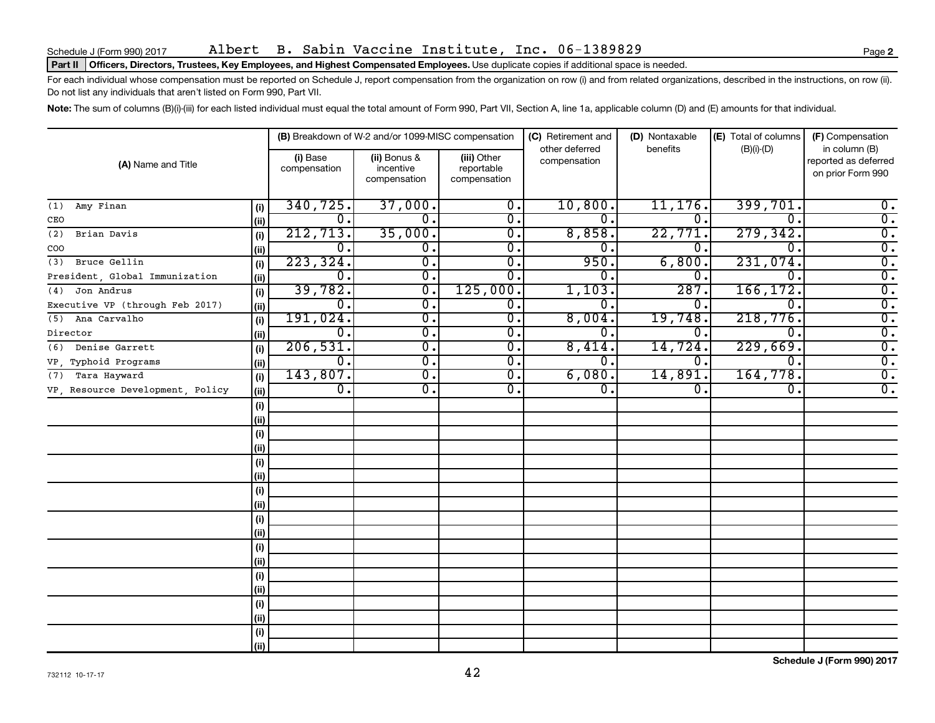## Part II | Officers, Directors, Trustees, Key Employees, and Highest Compensated Employees. Use duplicate copies if additional space is needed.

For each individual whose compensation must be reported on Schedule J, report compensation from the organization on row (i) and from related organizations, described in the instructions, on row (ii). Do not list any individuals that aren't listed on Form 990, Part VII.

Note: The sum of columns (B)(i)-(iii) for each listed individual must equal the total amount of Form 990, Part VII, Section A, line 1a, applicable column (D) and (E) amounts for that individual.

|                                  |      |                          | (B) Breakdown of W-2 and/or 1099-MISC compensation |                                           | (C) Retirement and<br>other deferred | (D) Nontaxable | (E) Total of columns | (F) Compensation                                           |
|----------------------------------|------|--------------------------|----------------------------------------------------|-------------------------------------------|--------------------------------------|----------------|----------------------|------------------------------------------------------------|
| (A) Name and Title               |      | (i) Base<br>compensation | (ii) Bonus &<br>incentive<br>compensation          | (iii) Other<br>reportable<br>compensation | compensation                         | benefits       | $(B)(i)-(D)$         | in column (B)<br>reported as deferred<br>on prior Form 990 |
| Amy Finan<br>(1)                 | (i)  | 340, 725.                | 37,000.                                            | 0.                                        | 10,800.                              | 11, 176.       | 399,701.             | 0.                                                         |
| CEO                              | (ii) | 0.                       | $\mathbf 0$ .                                      | 0.                                        | 0.                                   | 0              | 0.                   | $\overline{0}$ .                                           |
| (2)<br>Brian Davis               | (i)  | 212,713.                 | 35,000.                                            | 0.                                        | 8,858.                               | 22,771.        | 279, 342.            | $\overline{0}$ .                                           |
| COO                              | (ii) | Ο.                       | 0.                                                 | Ο.                                        | 0.                                   | 0              | Ω.                   | $\overline{0}$ .                                           |
| Bruce Gellin<br>(3)              | (i)  | 223, 324.                | $\overline{0}$ .                                   | о.                                        | 950.                                 | 6,800          | 231,074.             | $\overline{0}$ .                                           |
| President, Global Immunization   | (ii) | 0.                       | $\overline{0}$ .                                   | 0.                                        | 0.                                   | 0              | Ω.                   | $\overline{\mathbf{0}}$ .                                  |
| Jon Andrus<br>(4)                | (i)  | 39,782.                  | $\overline{0}$ .                                   | 125,000.                                  | 1,103.                               | 287            | 166, 172.            | $\overline{\mathbf{0}}$ .                                  |
| Executive VP (through Feb 2017)  | (ii) | 0.                       | 0.                                                 | Ο.                                        | $\overline{0}$ .                     | 0.             | Ω.                   | $\overline{0}$ .                                           |
| Ana Carvalho<br>(5)              | (i)  | 191,024.                 | $\overline{0}$                                     | $\overline{0}$ .                          | 8,004.                               | 19,748.        | 218,776.             | $\overline{0}$ .                                           |
| Director                         | (ii) | 0.                       | $\overline{0}$ .                                   | Ο.                                        | σ.                                   | 0.             | 0.                   | $\overline{0}$ .                                           |
| Denise Garrett<br>(6)            | (i)  | 206,531.                 | $\overline{0}$ .                                   | $\overline{0}$ .                          | 8,414.                               | 14,724.        | 229,669.             | $\overline{0}$ .                                           |
| VP, Typhoid Programs             | (ii) | $\overline{0}$ .         | $\overline{0}$ .                                   | 0.                                        | о.                                   | 0.             | 0.                   | $\overline{0}$ .                                           |
| Tara Hayward<br>(7)              | (i)  | 143,807.                 | $\overline{0}$ .                                   | $\overline{0}$ .                          | 6,080.                               | 14,891         | 164,778.             | $\overline{0}$ .                                           |
| VP, Resource Development, Policy | (ii) | $\overline{0}$ .         | 0.                                                 | 0.                                        | 0.                                   | 0.             | 0.                   | $\overline{\mathfrak{o}}$ .                                |
|                                  | (i)  |                          |                                                    |                                           |                                      |                |                      |                                                            |
|                                  | (ii) |                          |                                                    |                                           |                                      |                |                      |                                                            |
|                                  | (i)  |                          |                                                    |                                           |                                      |                |                      |                                                            |
|                                  | (ii) |                          |                                                    |                                           |                                      |                |                      |                                                            |
|                                  | (i)  |                          |                                                    |                                           |                                      |                |                      |                                                            |
|                                  | (ii) |                          |                                                    |                                           |                                      |                |                      |                                                            |
|                                  | (i)  |                          |                                                    |                                           |                                      |                |                      |                                                            |
|                                  | (ii) |                          |                                                    |                                           |                                      |                |                      |                                                            |
|                                  | (i)  |                          |                                                    |                                           |                                      |                |                      |                                                            |
|                                  | (ii) |                          |                                                    |                                           |                                      |                |                      |                                                            |
|                                  | (i)  |                          |                                                    |                                           |                                      |                |                      |                                                            |
|                                  | (ii) |                          |                                                    |                                           |                                      |                |                      |                                                            |
|                                  | (i)  |                          |                                                    |                                           |                                      |                |                      |                                                            |
|                                  | (ii) |                          |                                                    |                                           |                                      |                |                      |                                                            |
|                                  | (i)  |                          |                                                    |                                           |                                      |                |                      |                                                            |
|                                  | (ii) |                          |                                                    |                                           |                                      |                |                      |                                                            |
|                                  | (i)  |                          |                                                    |                                           |                                      |                |                      |                                                            |
|                                  | (ii) |                          |                                                    |                                           |                                      |                |                      |                                                            |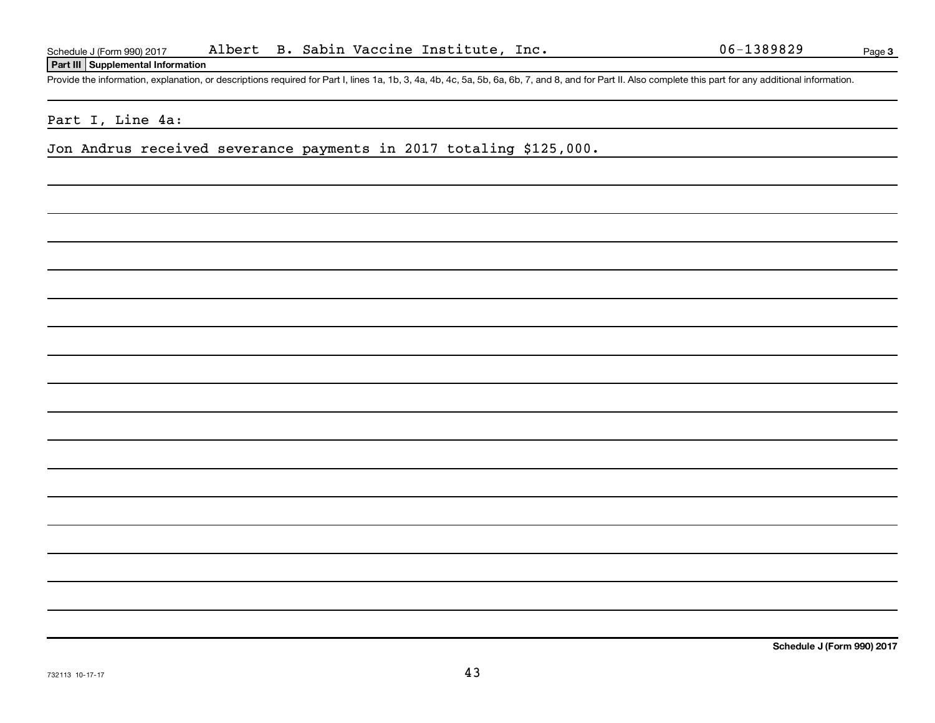**Part III Supplemental Information**

Provide the information, explanation, or descriptions required for Part I, lines 1a, 1b, 3, 4a, 4b, 4c, 5a, 5b, 6a, 6b, 7, and 8, and for Part II. Also complete this part for any additional information.

## Part I, Line 4a:

Jon Andrus received severance payments in 2017 totaling \$125,000.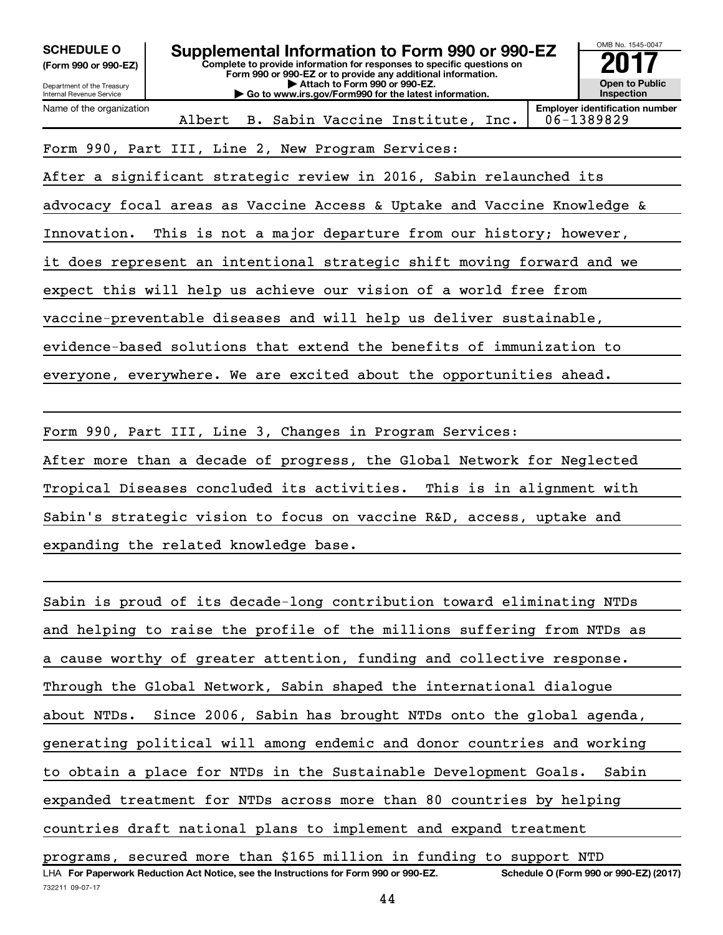| <b>SCHEDULE O</b><br>(Form 990 or 990-EZ)<br>Department of the Treasury<br><b>Internal Revenue Service</b> | OMB No. 1545-0047<br><b>Open to Public</b><br>Inspection                |  |                                         |  |  |  |                                                     |
|------------------------------------------------------------------------------------------------------------|-------------------------------------------------------------------------|--|-----------------------------------------|--|--|--|-----------------------------------------------------|
| Name of the organization                                                                                   |                                                                         |  | Albert B. Sabin Vaccine Institute, Inc. |  |  |  | <b>Employer identification number</b><br>06-1389829 |
|                                                                                                            | Form 990, Part III, Line 2, New Program Services:                       |  |                                         |  |  |  |                                                     |
|                                                                                                            | After a significant strategic review in 2016, Sabin relaunched its      |  |                                         |  |  |  |                                                     |
|                                                                                                            | advocacy focal areas as Vaccine Access & Uptake and Vaccine Knowledge & |  |                                         |  |  |  |                                                     |
| Innovation.                                                                                                | This is not a major departure from our history; however,                |  |                                         |  |  |  |                                                     |
|                                                                                                            | it does represent an intentional strategic shift moving forward and we  |  |                                         |  |  |  |                                                     |
|                                                                                                            | expect this will help us achieve our vision of a world free from        |  |                                         |  |  |  |                                                     |
|                                                                                                            | vaccine-preventable diseases and will help us deliver sustainable,      |  |                                         |  |  |  |                                                     |
|                                                                                                            | evidence-based solutions that extend the benefits of immunization to    |  |                                         |  |  |  |                                                     |
| everyone, everywhere. We are excited about the opportunities ahead.                                        |                                                                         |  |                                         |  |  |  |                                                     |
|                                                                                                            |                                                                         |  |                                         |  |  |  |                                                     |
|                                                                                                            | Form 990, Part III, Line 3, Changes in Program Services:                |  |                                         |  |  |  |                                                     |
| After more than a decade of progress, the Global Network for Neglected                                     |                                                                         |  |                                         |  |  |  |                                                     |

Tropical Diseases concluded its activities. This is in alignment with

Sabin's strategic vision to focus on vaccine R&D, access, uptake and

expanding the related knowledge base.

LHA For Paperwork Reduction Act Notice, see the Instructions for Form 990 or 990-EZ. Schedule O (Form 990 or 990-EZ) (2017) Sabin is proud of its decade-long contribution toward eliminating NTDs and helping to raise the profile of the millions suffering from NTDs as a cause worthy of greater attention, funding and collective response. Through the Global Network, Sabin shaped the international dialogue about NTDs. Since 2006, Sabin has brought NTDs onto the global agenda, generating political will among endemic and donor countries and working to obtain a place for NTDs in the Sustainable Development Goals. Sabin expanded treatment for NTDs across more than 80 countries by helping countries draft national plans to implement and expand treatment programs, secured more than \$165 million in funding to support NTD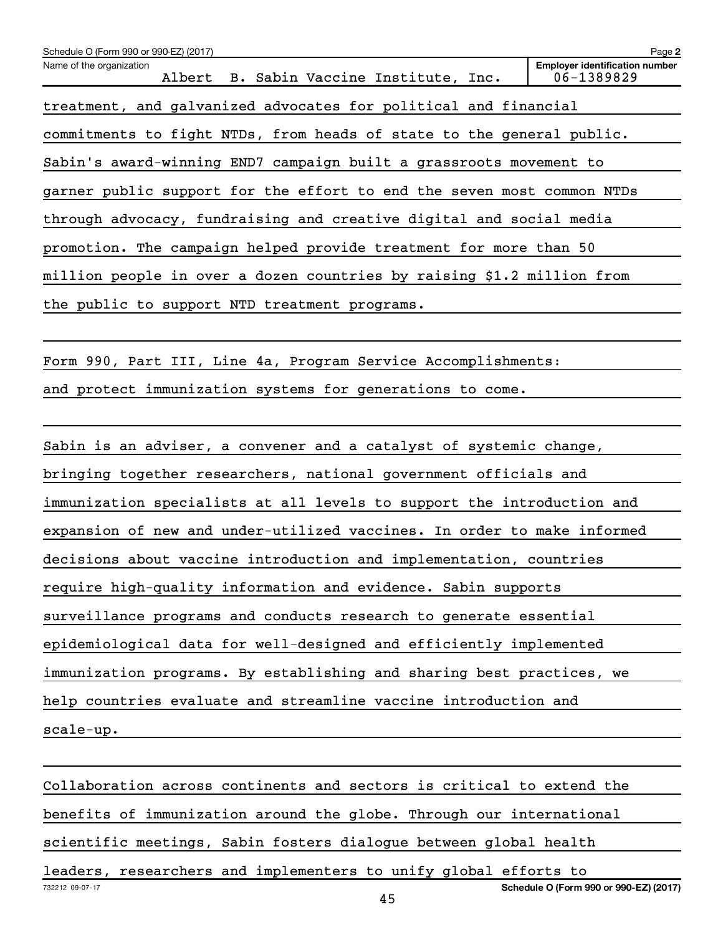| Schedule O (Form 990 or 990-EZ) (2017)                                 | Page 2                                              |
|------------------------------------------------------------------------|-----------------------------------------------------|
| Name of the organization<br>Albert B. Sabin Vaccine Institute, Inc.    | <b>Employer identification number</b><br>06-1389829 |
| treatment, and galvanized advocates for political and financial        |                                                     |
| commitments to fight NTDs, from heads of state to the general public.  |                                                     |
| Sabin's award-winning END7 campaign built a grassroots movement to     |                                                     |
| garner public support for the effort to end the seven most common NTDs |                                                     |
| through advocacy, fundraising and creative digital and social media    |                                                     |
| promotion. The campaign helped provide treatment for more than 50      |                                                     |
| million people in over a dozen countries by raising \$1.2 million from |                                                     |
| the public to support NTD treatment programs.                          |                                                     |
|                                                                        |                                                     |
| Form 990, Part III, Line 4a, Program Service Accomplishments:          |                                                     |
| and protect immunization systems for generations to come.              |                                                     |
|                                                                        |                                                     |
| Sabin is an adviser, a convener and a catalyst of systemic change,     |                                                     |
| bringing together researchers, national government officials and       |                                                     |
| immunization specialists at all levels to support the introduction and |                                                     |

expansion of new and under-utilized vaccines. In order to make informed

decisions about vaccine introduction and implementation, countries

require high-quality information and evidence. Sabin supports

surveillance programs and conducts research to generate essential

epidemiological data for well-designed and efficiently implemented

immunization programs. By establishing and sharing best practices, we

help countries evaluate and streamline vaccine introduction and

scale-up.

732212 09-07-17 **Schedule O (Form 990 or 990-EZ) (2017)** Collaboration across continents and sectors is critical to extend the benefits of immunization around the globe. Through our international scientific meetings, Sabin fosters dialogue between global health leaders, researchers and implementers to unify global efforts to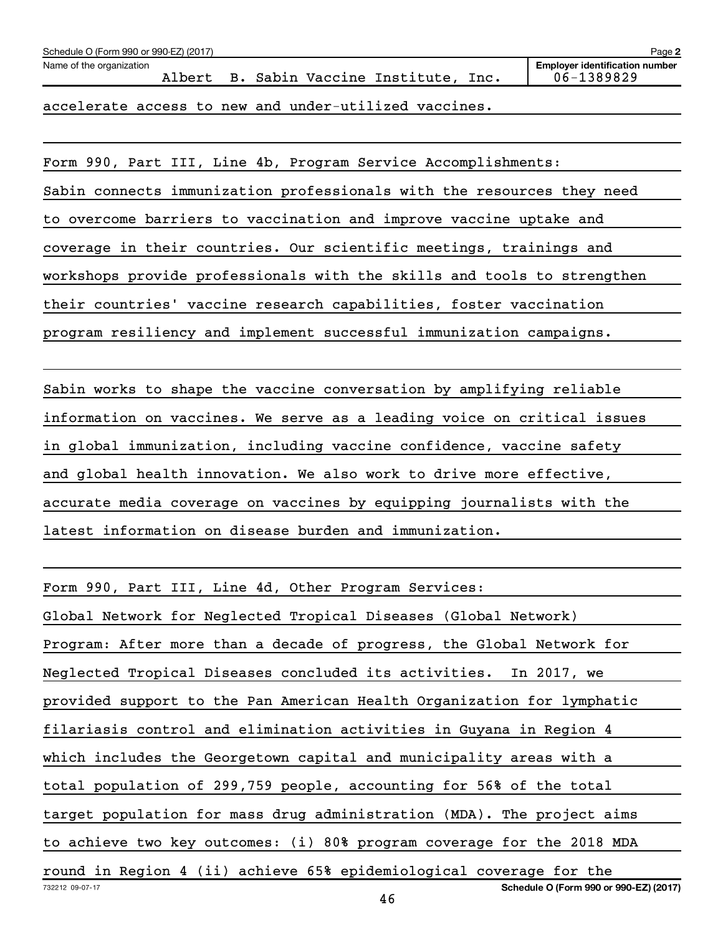| Schedule O (Form 990 or 990-EZ) (2017) |  |                                                       |  | Page 2                                              |
|----------------------------------------|--|-------------------------------------------------------|--|-----------------------------------------------------|
| Name of the organization               |  | Albert B. Sabin Vaccine Institute, Inc.               |  | <b>Employer identification number</b><br>06-1389829 |
|                                        |  | accelerate access to new and under-utilized vaccines. |  |                                                     |

Form 990, Part III, Line 4b, Program Service Accomplishments:

Sabin connects immunization professionals with the resources they need to overcome barriers to vaccination and improve vaccine uptake and coverage in their countries. Our scientific meetings, trainings and workshops provide professionals with the skills and tools to strengthen their countries' vaccine research capabilities, foster vaccination program resiliency and implement successful immunization campaigns.

Sabin works to shape the vaccine conversation by amplifying reliable information on vaccines. We serve as a leading voice on critical issues in global immunization, including vaccine confidence, vaccine safety and global health innovation. We also work to drive more effective, accurate media coverage on vaccines by equipping journalists with the latest information on disease burden and immunization.

732212 09-07-17 **Schedule O (Form 990 or 990-EZ) (2017)** Form 990, Part III, Line 4d, Other Program Services: Global Network for Neglected Tropical Diseases (Global Network) Program: After more than a decade of progress, the Global Network for Neglected Tropical Diseases concluded its activities. In 2017, we provided support to the Pan American Health Organization for lymphatic filariasis control and elimination activities in Guyana in Region 4 which includes the Georgetown capital and municipality areas with a total population of 299,759 people, accounting for 56% of the total target population for mass drug administration (MDA). The project aims to achieve two key outcomes: (i) 80% program coverage for the 2018 MDA round in Region 4 (ii) achieve 65% epidemiological coverage for the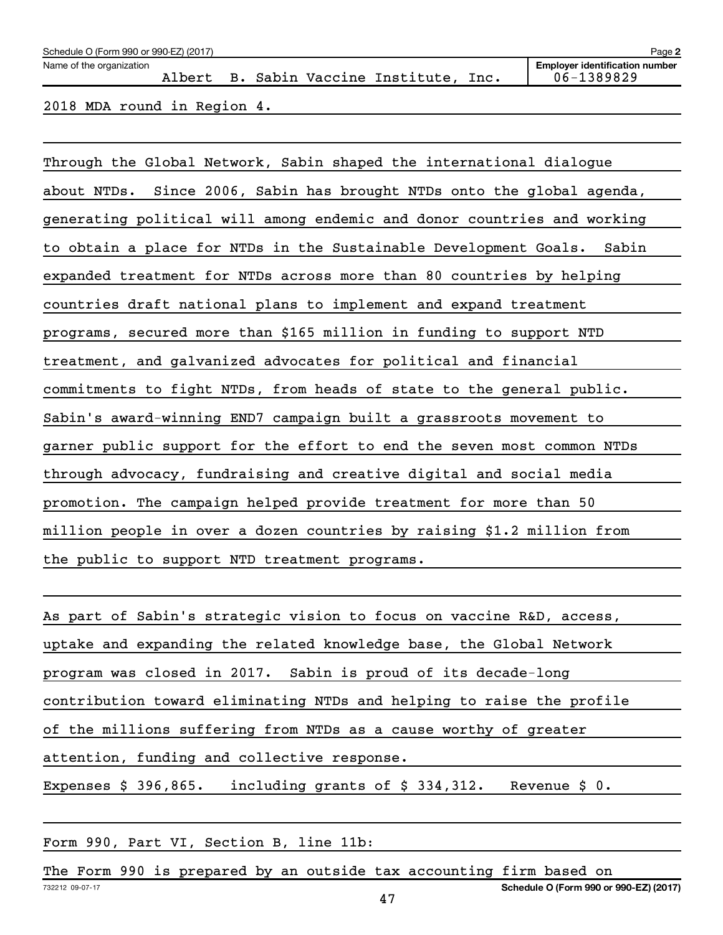| Schedule O (Form 990 or 990-EZ) (2017)<br>Page 2 |  |  |  |  |                                         |  |                                                     |  |  |  |  |
|--------------------------------------------------|--|--|--|--|-----------------------------------------|--|-----------------------------------------------------|--|--|--|--|
| Name of the organization                         |  |  |  |  | Albert B. Sabin Vaccine Institute, Inc. |  | <b>Employer identification number</b><br>06-1389829 |  |  |  |  |
| 2018 MDA round in Region 4.                      |  |  |  |  |                                         |  |                                                     |  |  |  |  |

Through the Global Network, Sabin shaped the international dialogue about NTDs. Since 2006, Sabin has brought NTDs onto the global agenda, generating political will among endemic and donor countries and working to obtain a place for NTDs in the Sustainable Development Goals. Sabin expanded treatment for NTDs across more than 80 countries by helping countries draft national plans to implement and expand treatment programs, secured more than \$165 million in funding to support NTD treatment, and galvanized advocates for political and financial commitments to fight NTDs, from heads of state to the general public. Sabin's award-winning END7 campaign built a grassroots movement to garner public support for the effort to end the seven most common NTDs through advocacy, fundraising and creative digital and social media promotion. The campaign helped provide treatment for more than 50 million people in over a dozen countries by raising \$1.2 million from the public to support NTD treatment programs.

Form 990, Part VI, Section B, line 11b:

732212 09-07-17 **Schedule O (Form 990 or 990-EZ) (2017)** The Form 990 is prepared by an outside tax accounting firm based on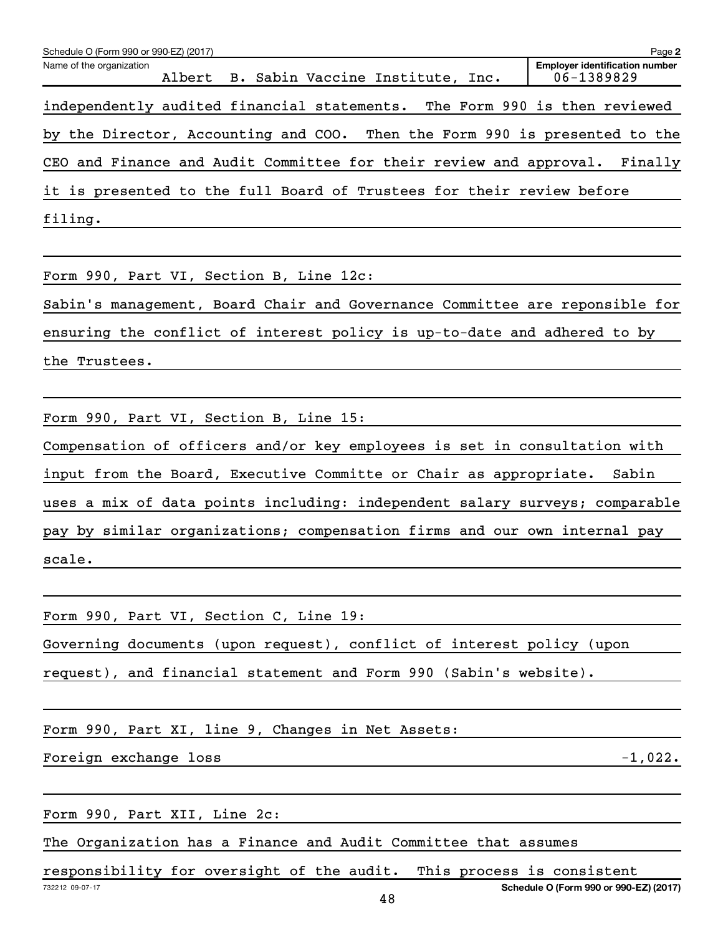| Schedule O (Form 990 or 990-EZ) (2017)                                     |  |                                         |                                                     | Page 2  |
|----------------------------------------------------------------------------|--|-----------------------------------------|-----------------------------------------------------|---------|
| Name of the organization                                                   |  | Albert B. Sabin Vaccine Institute, Inc. | <b>Employer identification number</b><br>06-1389829 |         |
| independently audited financial statements. The Form 990 is then reviewed  |  |                                         |                                                     |         |
| by the Director, Accounting and COO. Then the Form 990 is presented to the |  |                                         |                                                     |         |
| CEO and Finance and Audit Committee for their review and approval.         |  |                                         |                                                     | Finally |
| it is presented to the full Board of Trustees for their review before      |  |                                         |                                                     |         |
| filing.                                                                    |  |                                         |                                                     |         |
|                                                                            |  |                                         |                                                     |         |
|                                                                            |  |                                         |                                                     |         |

Form 990, Part VI, Section B, Line 12c:

Sabin's management, Board Chair and Governance Committee are reponsible for ensuring the conflict of interest policy is up-to-date and adhered to by the Trustees.

Form 990, Part VI, Section B, Line 15:

Compensation of officers and/or key employees is set in consultation with input from the Board, Executive Committe or Chair as appropriate. Sabin uses a mix of data points including: independent salary surveys; comparable pay by similar organizations; compensation firms and our own internal pay scale.

Form 990, Part VI, Section C, Line 19:

Governing documents (upon request), conflict of interest policy (upon

request), and financial statement and Form 990 (Sabin's website).

Form 990, Part XI, line 9, Changes in Net Assets:

Foreign exchange loss -1,022.

Form 990, Part XII, Line 2c:

The Organization has a Finance and Audit Committee that assumes

responsibility for oversight of the audit. This process is consistent

**Schedule O (Form 990 or 990-EZ) (2017)**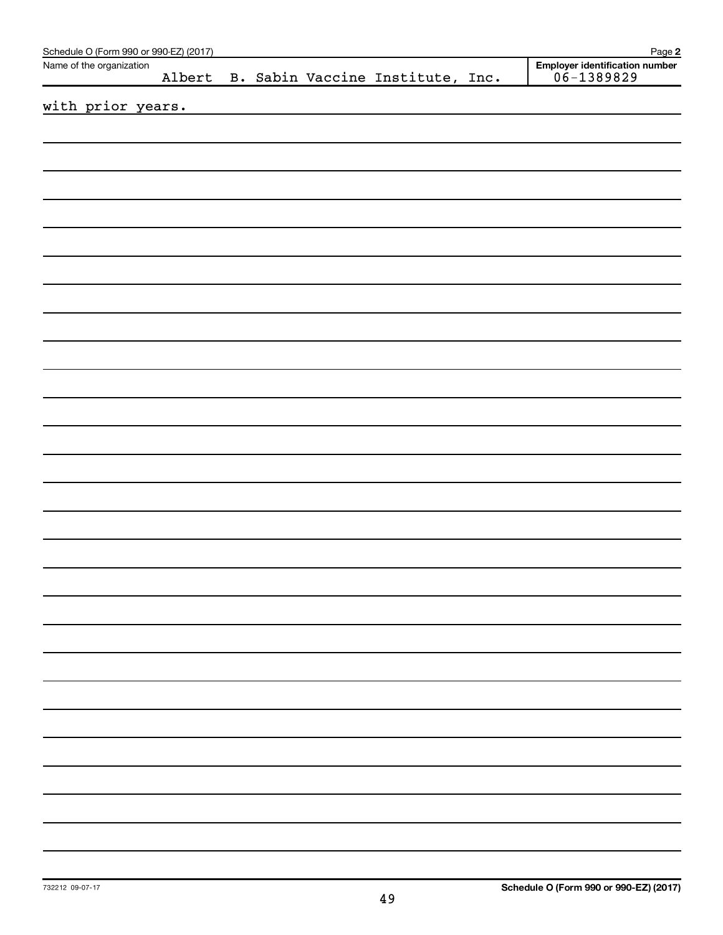| Schedule O (Form 990 or 990-EZ) (2017) |        |  |                                  | Page 2                                           |
|----------------------------------------|--------|--|----------------------------------|--------------------------------------------------|
| Name of the organization               | Albert |  | B. Sabin Vaccine Institute, Inc. | Employer identification number<br>$06 - 1389829$ |
| with prior years.                      |        |  |                                  |                                                  |
|                                        |        |  |                                  |                                                  |
|                                        |        |  |                                  |                                                  |
|                                        |        |  |                                  |                                                  |
|                                        |        |  |                                  |                                                  |
|                                        |        |  |                                  |                                                  |
|                                        |        |  |                                  |                                                  |
|                                        |        |  |                                  |                                                  |
|                                        |        |  |                                  |                                                  |
|                                        |        |  |                                  |                                                  |
|                                        |        |  |                                  |                                                  |
|                                        |        |  |                                  |                                                  |
|                                        |        |  |                                  |                                                  |
|                                        |        |  |                                  |                                                  |
|                                        |        |  |                                  |                                                  |
|                                        |        |  |                                  |                                                  |
|                                        |        |  |                                  |                                                  |
|                                        |        |  |                                  |                                                  |
|                                        |        |  |                                  |                                                  |
|                                        |        |  |                                  |                                                  |
|                                        |        |  |                                  |                                                  |
|                                        |        |  |                                  |                                                  |
|                                        |        |  |                                  |                                                  |
|                                        |        |  |                                  |                                                  |
|                                        |        |  |                                  |                                                  |
|                                        |        |  |                                  |                                                  |
|                                        |        |  |                                  |                                                  |
|                                        |        |  |                                  |                                                  |